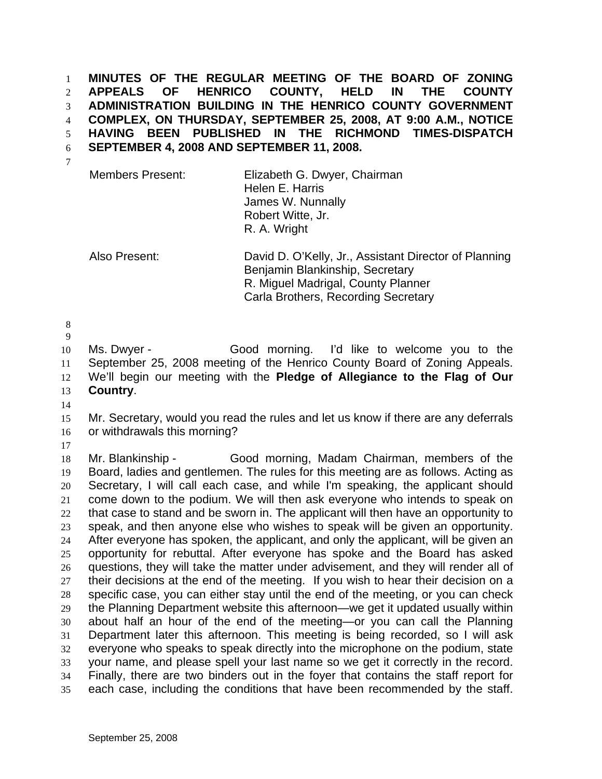**MINUTES OF THE REGULAR MEETING OF THE BOARD OF ZONING APPEALS OF HENRICO COUNTY, HELD IN THE COUNTY ADMINISTRATION BUILDING IN THE HENRICO COUNTY GOVERNMENT COMPLEX, ON THURSDAY, SEPTEMBER 25, 2008, AT 9:00 A.M., NOTICE HAVING BEEN PUBLISHED IN THE RICHMOND TIMES-DISPATCH SEPTEMBER 4, 2008 AND SEPTEMBER 11, 2008.**  1 2 3 4 5 6 7

| <b>Members Present:</b> | Elizabeth G. Dwyer, Chairman<br>Helen E. Harris<br>James W. Nunnally<br>Robert Witte, Jr.<br>R. A. Wright |
|-------------------------|-----------------------------------------------------------------------------------------------------------|
|                         |                                                                                                           |

Also Present: David D. O'Kelly, Jr., Assistant Director of Planning Benjamin Blankinship, Secretary R. Miguel Madrigal, County Planner Carla Brothers, Recording Secretary

8

9 10 11 12 13 Ms. Dwyer - Good morning. I'd like to welcome you to the September 25, 2008 meeting of the Henrico County Board of Zoning Appeals. We'll begin our meeting with the **Pledge of Allegiance to the Flag of Our Country**.

14

15 16 Mr. Secretary, would you read the rules and let us know if there are any deferrals or withdrawals this morning?

17

18 19 20 21 22 23 24 25 26 27 28 29 30 31 32 33 34 35 Mr. Blankinship - Good morning, Madam Chairman, members of the Board, ladies and gentlemen. The rules for this meeting are as follows. Acting as Secretary, I will call each case, and while I'm speaking, the applicant should come down to the podium. We will then ask everyone who intends to speak on that case to stand and be sworn in. The applicant will then have an opportunity to speak, and then anyone else who wishes to speak will be given an opportunity. After everyone has spoken, the applicant, and only the applicant, will be given an opportunity for rebuttal. After everyone has spoke and the Board has asked questions, they will take the matter under advisement, and they will render all of their decisions at the end of the meeting. If you wish to hear their decision on a specific case, you can either stay until the end of the meeting, or you can check the Planning Department website this afternoon—we get it updated usually within about half an hour of the end of the meeting—or you can call the Planning Department later this afternoon. This meeting is being recorded, so I will ask everyone who speaks to speak directly into the microphone on the podium, state your name, and please spell your last name so we get it correctly in the record. Finally, there are two binders out in the foyer that contains the staff report for each case, including the conditions that have been recommended by the staff.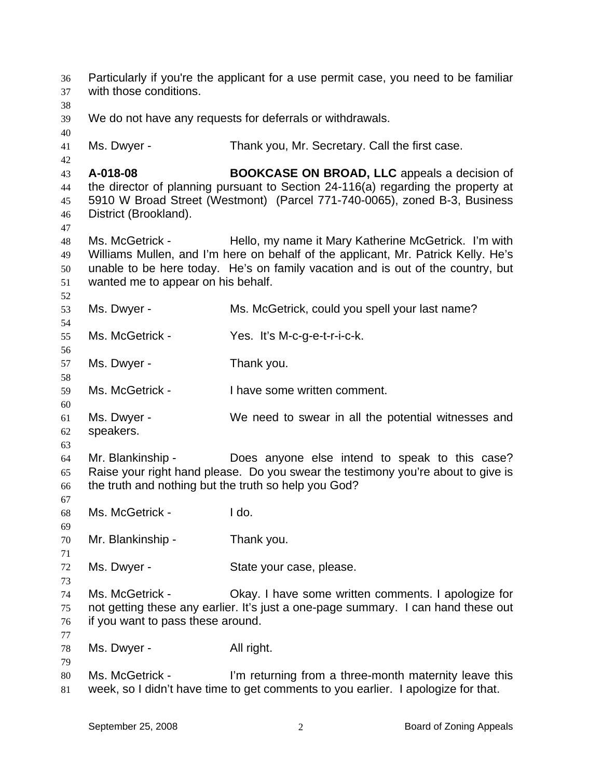| 36<br>37<br>38 | Particularly if you're the applicant for a use permit case, you need to be familiar<br>with those conditions. |                                                                                                                                            |
|----------------|---------------------------------------------------------------------------------------------------------------|--------------------------------------------------------------------------------------------------------------------------------------------|
| 39<br>40       |                                                                                                               | We do not have any requests for deferrals or withdrawals.                                                                                  |
| 41<br>42       | Ms. Dwyer -                                                                                                   | Thank you, Mr. Secretary. Call the first case.                                                                                             |
| 43             | A-018-08                                                                                                      | <b>BOOKCASE ON BROAD, LLC</b> appeals a decision of                                                                                        |
| 44             |                                                                                                               | the director of planning pursuant to Section 24-116(a) regarding the property at                                                           |
| 45             |                                                                                                               | 5910 W Broad Street (Westmont) (Parcel 771-740-0065), zoned B-3, Business                                                                  |
| 46<br>47       | District (Brookland).                                                                                         |                                                                                                                                            |
| 48             | Ms. McGetrick -                                                                                               | Hello, my name it Mary Katherine McGetrick. I'm with                                                                                       |
| 49             |                                                                                                               | Williams Mullen, and I'm here on behalf of the applicant, Mr. Patrick Kelly. He's                                                          |
| 50             |                                                                                                               | unable to be here today. He's on family vacation and is out of the country, but                                                            |
| 51             | wanted me to appear on his behalf.                                                                            |                                                                                                                                            |
| 52<br>53       | Ms. Dwyer -                                                                                                   | Ms. McGetrick, could you spell your last name?                                                                                             |
| 54             |                                                                                                               |                                                                                                                                            |
| 55             | Ms. McGetrick -                                                                                               | Yes. It's M-c-g-e-t-r-i-c-k.                                                                                                               |
| 56             |                                                                                                               |                                                                                                                                            |
| 57             | Ms. Dwyer -                                                                                                   | Thank you.                                                                                                                                 |
| 58             |                                                                                                               |                                                                                                                                            |
| 59             | Ms. McGetrick -                                                                                               | I have some written comment.                                                                                                               |
| 60             |                                                                                                               |                                                                                                                                            |
| 61             | Ms. Dwyer -                                                                                                   | We need to swear in all the potential witnesses and                                                                                        |
| 62<br>63       | speakers.                                                                                                     |                                                                                                                                            |
| 64             | Mr. Blankinship -                                                                                             | Does anyone else intend to speak to this case?                                                                                             |
| 65             |                                                                                                               | Raise your right hand please. Do you swear the testimony you're about to give is                                                           |
| 66<br>67       | the truth and nothing but the truth so help you God?                                                          |                                                                                                                                            |
| 68<br>69       | Ms. McGetrick -                                                                                               | I do.                                                                                                                                      |
| 70<br>71       | Mr. Blankinship -                                                                                             | Thank you.                                                                                                                                 |
| 72<br>73       | Ms. Dwyer -                                                                                                   | State your case, please.                                                                                                                   |
| 74             | Ms. McGetrick -                                                                                               | Okay. I have some written comments. I apologize for                                                                                        |
| 75<br>76<br>77 | if you want to pass these around.                                                                             | not getting these any earlier. It's just a one-page summary. I can hand these out                                                          |
| 78<br>79       | Ms. Dwyer -                                                                                                   | All right.                                                                                                                                 |
| 80<br>81       | Ms. McGetrick -                                                                                               | I'm returning from a three-month maternity leave this<br>week, so I didn't have time to get comments to you earlier. I apologize for that. |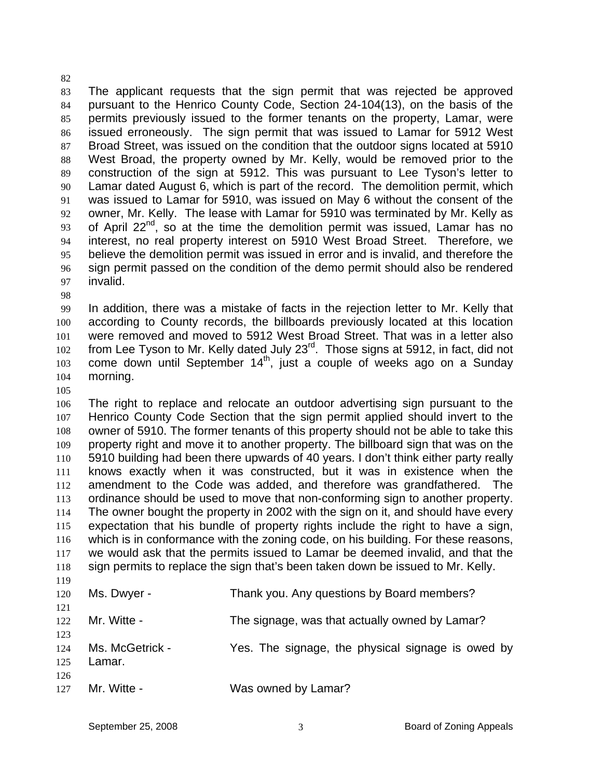83 84 85 86 87 88 89 90 91 92 93 94 95 96 97 The applicant requests that the sign permit that was rejected be approved pursuant to the Henrico County Code, Section 24-104(13), on the basis of the permits previously issued to the former tenants on the property, Lamar, were issued erroneously. The sign permit that was issued to Lamar for 5912 West Broad Street, was issued on the condition that the outdoor signs located at 5910 West Broad, the property owned by Mr. Kelly, would be removed prior to the construction of the sign at 5912. This was pursuant to Lee Tyson's letter to Lamar dated August 6, which is part of the record. The demolition permit, which was issued to Lamar for 5910, was issued on May 6 without the consent of the owner, Mr. Kelly. The lease with Lamar for 5910 was terminated by Mr. Kelly as of April  $22^{nd}$ , so at the time the demolition permit was issued, Lamar has no interest, no real property interest on 5910 West Broad Street. Therefore, we believe the demolition permit was issued in error and is invalid, and therefore the sign permit passed on the condition of the demo permit should also be rendered invalid.

98

82

99 100 101 102 103 104 In addition, there was a mistake of facts in the rejection letter to Mr. Kelly that according to County records, the billboards previously located at this location were removed and moved to 5912 West Broad Street. That was in a letter also from Lee Tyson to Mr. Kelly dated July 23<sup>rd</sup>. Those signs at 5912, in fact, did not come down until September  $14<sup>th</sup>$ , just a couple of weeks ago on a Sunday morning.

105

106 107 108 109 110 111 112 113 114 115 116 117 118 119 The right to replace and relocate an outdoor advertising sign pursuant to the Henrico County Code Section that the sign permit applied should invert to the owner of 5910. The former tenants of this property should not be able to take this property right and move it to another property. The billboard sign that was on the 5910 building had been there upwards of 40 years. I don't think either party really knows exactly when it was constructed, but it was in existence when the amendment to the Code was added, and therefore was grandfathered. The ordinance should be used to move that non-conforming sign to another property. The owner bought the property in 2002 with the sign on it, and should have every expectation that his bundle of property rights include the right to have a sign, which is in conformance with the zoning code, on his building. For these reasons, we would ask that the permits issued to Lamar be deemed invalid, and that the sign permits to replace the sign that's been taken down be issued to Mr. Kelly.

| 120        | Ms. Dwyer -     | Thank you. Any questions by Board members?        |
|------------|-----------------|---------------------------------------------------|
| 121<br>122 | Mr. Witte -     | The signage, was that actually owned by Lamar?    |
| 123        |                 |                                                   |
| 124        | Ms. McGetrick - | Yes. The signage, the physical signage is owed by |
| 125<br>126 | Lamar.          |                                                   |
| 127        | Mr. Witte -     | Was owned by Lamar?                               |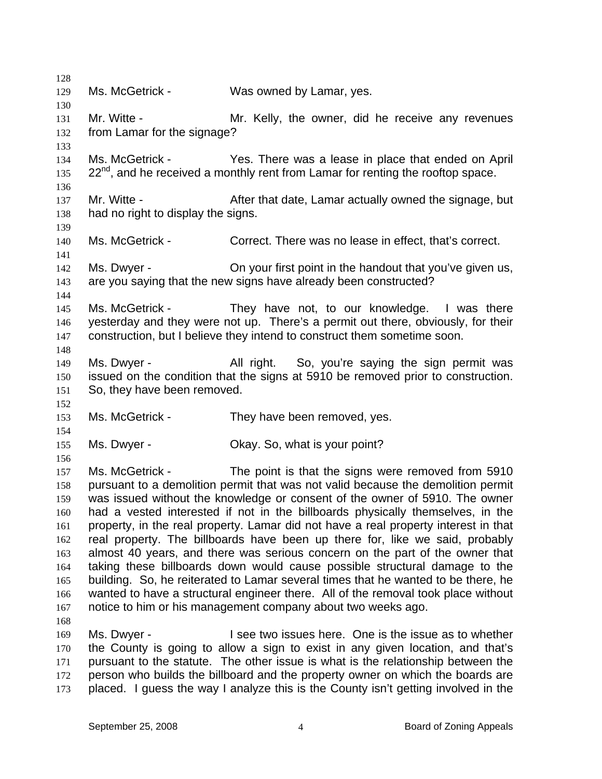| 128        |                                    |                                                                                                                              |
|------------|------------------------------------|------------------------------------------------------------------------------------------------------------------------------|
| 129        | Ms. McGetrick -                    | Was owned by Lamar, yes.                                                                                                     |
| 130        |                                    |                                                                                                                              |
| 131        | Mr. Witte -                        | Mr. Kelly, the owner, did he receive any revenues                                                                            |
| 132        | from Lamar for the signage?        |                                                                                                                              |
| 133        |                                    |                                                                                                                              |
| 134        | Ms. McGetrick -                    | Yes. There was a lease in place that ended on April                                                                          |
| 135        |                                    | $22^{nd}$ , and he received a monthly rent from Lamar for renting the rooftop space.                                         |
| 136        |                                    |                                                                                                                              |
| 137        | Mr. Witte -                        | After that date, Lamar actually owned the signage, but                                                                       |
| 138        | had no right to display the signs. |                                                                                                                              |
| 139        |                                    |                                                                                                                              |
| 140        | Ms. McGetrick -                    | Correct. There was no lease in effect, that's correct.                                                                       |
| 141        | Ms. Dwyer -                        |                                                                                                                              |
| 142        |                                    | On your first point in the handout that you've given us,<br>are you saying that the new signs have already been constructed? |
| 143<br>144 |                                    |                                                                                                                              |
| 145        | Ms. McGetrick -                    | They have not, to our knowledge. I was there                                                                                 |
| 146        |                                    | yesterday and they were not up. There's a permit out there, obviously, for their                                             |
| 147        |                                    | construction, but I believe they intend to construct them sometime soon.                                                     |
| 148        |                                    |                                                                                                                              |
| 149        | Ms. Dwyer -                        | All right. So, you're saying the sign permit was                                                                             |
| 150        |                                    | issued on the condition that the signs at 5910 be removed prior to construction.                                             |
| 151        | So, they have been removed.        |                                                                                                                              |
| 152        |                                    |                                                                                                                              |
| 153        | Ms. McGetrick -                    | They have been removed, yes.                                                                                                 |
| 154        |                                    |                                                                                                                              |
| 155        | Ms. Dwyer -                        | Okay. So, what is your point?                                                                                                |
| 156        |                                    |                                                                                                                              |
| 157        | Ms. McGetrick -                    | The point is that the signs were removed from 5910                                                                           |
| 158        |                                    | pursuant to a demolition permit that was not valid because the demolition permit                                             |
| 159        |                                    | was issued without the knowledge or consent of the owner of 5910. The owner                                                  |
| 160        |                                    | had a vested interested if not in the billboards physically themselves, in the                                               |
| 161        |                                    | property, in the real property. Lamar did not have a real property interest in that                                          |
| 162        |                                    | real property. The billboards have been up there for, like we said, probably                                                 |
| 163        |                                    | almost 40 years, and there was serious concern on the part of the owner that                                                 |
| 164        |                                    | taking these billboards down would cause possible structural damage to the                                                   |
| 165        |                                    | building. So, he reiterated to Lamar several times that he wanted to be there, he                                            |
| 166        |                                    | wanted to have a structural engineer there. All of the removal took place without                                            |
| 167        |                                    | notice to him or his management company about two weeks ago.                                                                 |
| 168        |                                    |                                                                                                                              |
| 169        | Ms. Dwyer -                        | I see two issues here. One is the issue as to whether                                                                        |
| 170        |                                    | the County is going to allow a sign to exist in any given location, and that's                                               |
| 171        |                                    | pursuant to the statute. The other issue is what is the relationship between the                                             |
| 172        |                                    | person who builds the billboard and the property owner on which the boards are                                               |
| 173        |                                    | placed. I guess the way I analyze this is the County isn't getting involved in the                                           |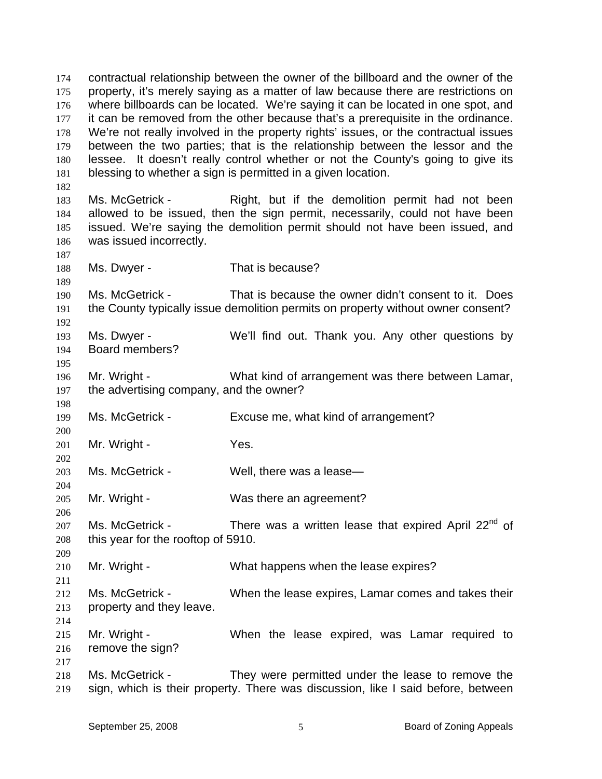contractual relationship between the owner of the billboard and the owner of the property, it's merely saying as a matter of law because there are restrictions on where billboards can be located. We're saying it can be located in one spot, and it can be removed from the other because that's a prerequisite in the ordinance. We're not really involved in the property rights' issues, or the contractual issues between the two parties; that is the relationship between the lessor and the lessee. It doesn't really control whether or not the County's going to give its blessing to whether a sign is permitted in a given location. 174 175 176 177 178 179 180 181 182 183 184 185 186 187 188 189 190 191 192 193 194 195 196 197 198 199 200 201 202 203 204 205 206 207 208 209 210 211 212 213 214 215 216 217 218 219 Ms. McGetrick - Right, but if the demolition permit had not been allowed to be issued, then the sign permit, necessarily, could not have been issued. We're saying the demolition permit should not have been issued, and was issued incorrectly. Ms. Dwyer - That is because? Ms. McGetrick - That is because the owner didn't consent to it. Does the County typically issue demolition permits on property without owner consent? Ms. Dwyer - We'll find out. Thank you. Any other questions by Board members? Mr. Wright - What kind of arrangement was there between Lamar, the advertising company, and the owner? Ms. McGetrick - Excuse me, what kind of arrangement? Mr. Wright - Yes. Ms. McGetrick - Well, there was a lease-Mr. Wright - Was there an agreement? Ms. McGetrick - There was a written lease that expired April 22<sup>nd</sup> of this year for the rooftop of 5910. Mr. Wright - What happens when the lease expires? Ms. McGetrick - When the lease expires, Lamar comes and takes their property and they leave. Mr. Wright - When the lease expired, was Lamar required to remove the sign? Ms. McGetrick - They were permitted under the lease to remove the sign, which is their property. There was discussion, like I said before, between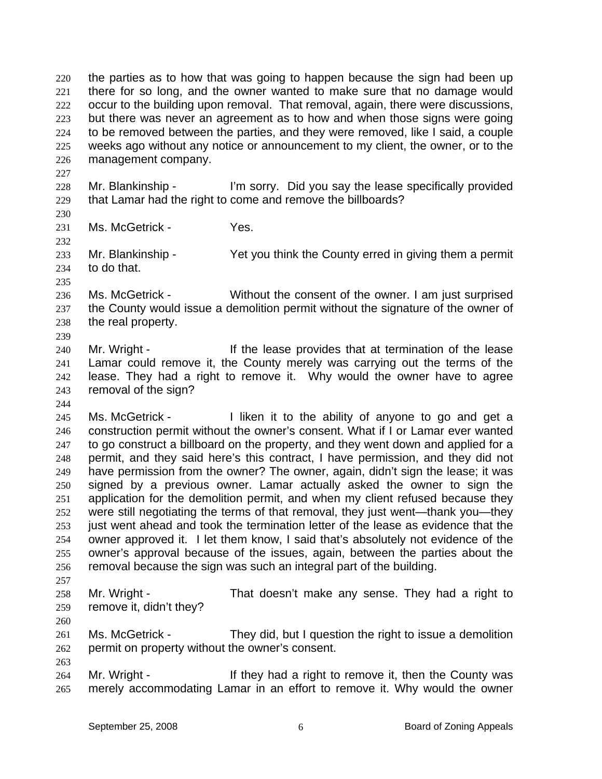the parties as to how that was going to happen because the sign had been up there for so long, and the owner wanted to make sure that no damage would occur to the building upon removal. That removal, again, there were discussions, but there was never an agreement as to how and when those signs were going to be removed between the parties, and they were removed, like I said, a couple weeks ago without any notice or announcement to my client, the owner, or to the management company. 220 221 222 223 224 225 226 227 228 229 230 231 232 233 234 235 236 237 238 239 240 241 242 243 244 245 Mr. Blankinship - I'm sorry. Did you say the lease specifically provided that Lamar had the right to come and remove the billboards? Ms. McGetrick - Yes. Mr. Blankinship - Yet you think the County erred in giving them a permit to do that. Ms. McGetrick - Without the consent of the owner. I am just surprised the County would issue a demolition permit without the signature of the owner of the real property. Mr. Wright - The lease provides that at termination of the lease Lamar could remove it, the County merely was carrying out the terms of the lease. They had a right to remove it. Why would the owner have to agree removal of the sign? Ms. McGetrick - Thiken it to the ability of anyone to go and get a

246 247 248 249 250 251 252 253 254 255 256 257 construction permit without the owner's consent. What if I or Lamar ever wanted to go construct a billboard on the property, and they went down and applied for a permit, and they said here's this contract, I have permission, and they did not have permission from the owner? The owner, again, didn't sign the lease; it was signed by a previous owner. Lamar actually asked the owner to sign the application for the demolition permit, and when my client refused because they were still negotiating the terms of that removal, they just went—thank you—they just went ahead and took the termination letter of the lease as evidence that the owner approved it. I let them know, I said that's absolutely not evidence of the owner's approval because of the issues, again, between the parties about the removal because the sign was such an integral part of the building.

258 259 Mr. Wright - That doesn't make any sense. They had a right to remove it, didn't they?

- 261 262 Ms. McGetrick - They did, but I question the right to issue a demolition permit on property without the owner's consent.
- 264 265 Mr. Wright - If they had a right to remove it, then the County was merely accommodating Lamar in an effort to remove it. Why would the owner

260

263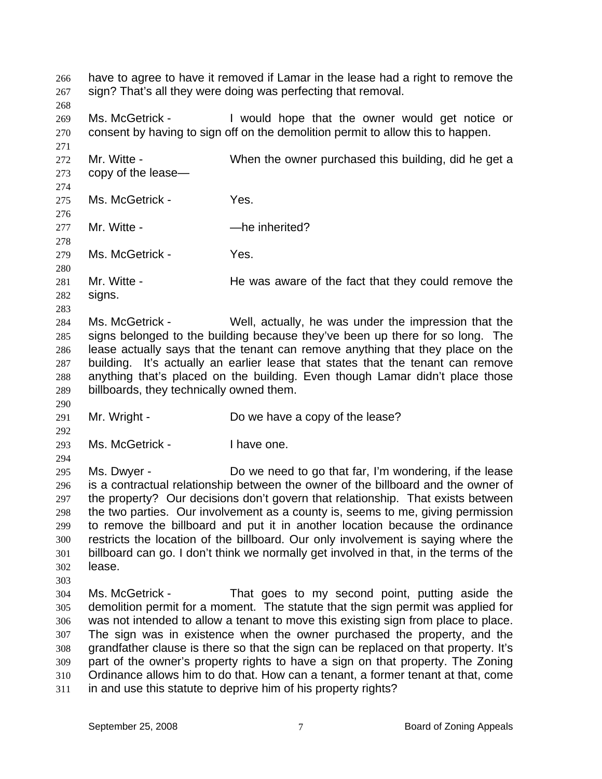have to agree to have it removed if Lamar in the lease had a right to remove the sign? That's all they were doing was perfecting that removal. 266 267 268 269 270 271 272 273 274 275 276 277 278 279 280 281 282 283 284 285 286 287 288 289 290 291 292 293 294 295 296 297 298 299 300 301 302 303 304 305 306 307 308 309 310 311 Ms. McGetrick - I would hope that the owner would get notice or consent by having to sign off on the demolition permit to allow this to happen. Mr. Witte - When the owner purchased this building, did he get a copy of the lease— Ms. McGetrick - Yes. Mr. Witte - **All Accord - Manufall** - **Mr.** Witte - **Mr.** 2016 Ms. McGetrick - Yes. Mr. Witte - He was aware of the fact that they could remove the signs. Ms. McGetrick - Well, actually, he was under the impression that the signs belonged to the building because they've been up there for so long. The lease actually says that the tenant can remove anything that they place on the building. It's actually an earlier lease that states that the tenant can remove anything that's placed on the building. Even though Lamar didn't place those billboards, they technically owned them. Mr. Wright - Do we have a copy of the lease? Ms. McGetrick - I have one. Ms. Dwyer - Do we need to go that far, I'm wondering, if the lease is a contractual relationship between the owner of the billboard and the owner of the property? Our decisions don't govern that relationship. That exists between the two parties. Our involvement as a county is, seems to me, giving permission to remove the billboard and put it in another location because the ordinance restricts the location of the billboard. Our only involvement is saying where the billboard can go. I don't think we normally get involved in that, in the terms of the lease. Ms. McGetrick - That goes to my second point, putting aside the demolition permit for a moment. The statute that the sign permit was applied for was not intended to allow a tenant to move this existing sign from place to place. The sign was in existence when the owner purchased the property, and the grandfather clause is there so that the sign can be replaced on that property. It's part of the owner's property rights to have a sign on that property. The Zoning Ordinance allows him to do that. How can a tenant, a former tenant at that, come in and use this statute to deprive him of his property rights?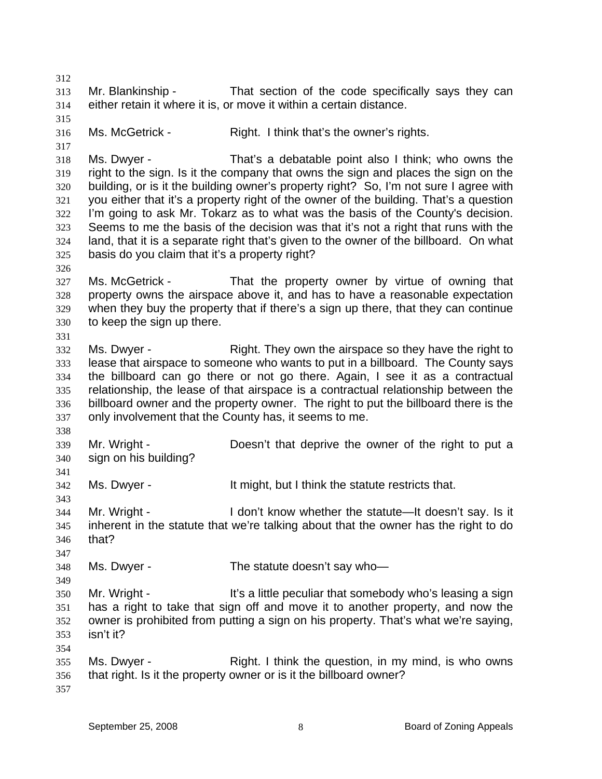312 313 314 315 316 317 318 319 320 321 322 323 324 325 326 327 328 329 330 331 332 333 334 335 336 337 338 339 340 341 342 343 344 345 346 347 348 349 350 351 352 353 354 355 356 357 Mr. Blankinship - That section of the code specifically says they can either retain it where it is, or move it within a certain distance. Ms. McGetrick - Right. I think that's the owner's rights. Ms. Dwyer - That's a debatable point also I think; who owns the right to the sign. Is it the company that owns the sign and places the sign on the building, or is it the building owner's property right? So, I'm not sure I agree with you either that it's a property right of the owner of the building. That's a question I'm going to ask Mr. Tokarz as to what was the basis of the County's decision. Seems to me the basis of the decision was that it's not a right that runs with the land, that it is a separate right that's given to the owner of the billboard. On what basis do you claim that it's a property right? Ms. McGetrick - That the property owner by virtue of owning that property owns the airspace above it, and has to have a reasonable expectation when they buy the property that if there's a sign up there, that they can continue to keep the sign up there. Ms. Dwyer - Right. They own the airspace so they have the right to lease that airspace to someone who wants to put in a billboard. The County says the billboard can go there or not go there. Again, I see it as a contractual relationship, the lease of that airspace is a contractual relationship between the billboard owner and the property owner. The right to put the billboard there is the only involvement that the County has, it seems to me. Mr. Wright - Doesn't that deprive the owner of the right to put a sign on his building? Ms. Dwyer - The Music It might, but I think the statute restricts that. Mr. Wright - I don't know whether the statute—It doesn't say. Is it inherent in the statute that we're talking about that the owner has the right to do that? Ms. Dwyer - The statute doesn't say who-Mr. Wright - It's a little peculiar that somebody who's leasing a sign has a right to take that sign off and move it to another property, and now the owner is prohibited from putting a sign on his property. That's what we're saying, isn't it? Ms. Dwyer - Think the question, in my mind, is who owns that right. Is it the property owner or is it the billboard owner?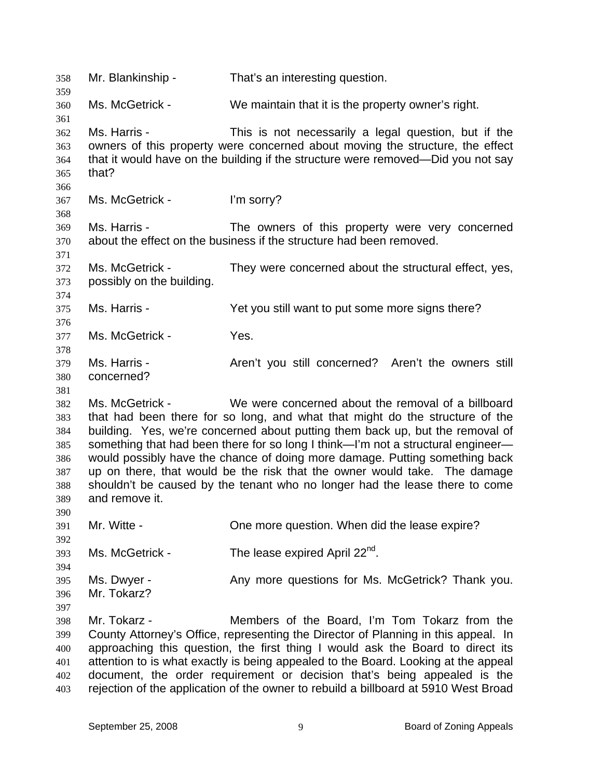| 358<br>359                                                  | Mr. Blankinship -                            | That's an interesting question.                                                                                                                                                                                                                                                                                                                                                                                                                                                                                                                    |
|-------------------------------------------------------------|----------------------------------------------|----------------------------------------------------------------------------------------------------------------------------------------------------------------------------------------------------------------------------------------------------------------------------------------------------------------------------------------------------------------------------------------------------------------------------------------------------------------------------------------------------------------------------------------------------|
| 360<br>361                                                  | Ms. McGetrick -                              | We maintain that it is the property owner's right.                                                                                                                                                                                                                                                                                                                                                                                                                                                                                                 |
| 362<br>363<br>364<br>365                                    | Ms. Harris -<br>that?                        | This is not necessarily a legal question, but if the<br>owners of this property were concerned about moving the structure, the effect<br>that it would have on the building if the structure were removed—Did you not say                                                                                                                                                                                                                                                                                                                          |
| 366<br>367<br>368                                           | Ms. McGetrick -                              | I'm sorry?                                                                                                                                                                                                                                                                                                                                                                                                                                                                                                                                         |
| 369<br>370<br>371                                           | Ms. Harris -                                 | The owners of this property were very concerned<br>about the effect on the business if the structure had been removed.                                                                                                                                                                                                                                                                                                                                                                                                                             |
| 372<br>373<br>374                                           | Ms. McGetrick -<br>possibly on the building. | They were concerned about the structural effect, yes,                                                                                                                                                                                                                                                                                                                                                                                                                                                                                              |
| 375<br>376                                                  | Ms. Harris -                                 | Yet you still want to put some more signs there?                                                                                                                                                                                                                                                                                                                                                                                                                                                                                                   |
| 377<br>378                                                  | Ms. McGetrick -                              | Yes.                                                                                                                                                                                                                                                                                                                                                                                                                                                                                                                                               |
| 379<br>380<br>381                                           | Ms. Harris -<br>concerned?                   | Aren't you still concerned? Aren't the owners still                                                                                                                                                                                                                                                                                                                                                                                                                                                                                                |
| 382<br>383<br>384<br>385<br>386<br>387<br>388<br>389<br>390 | Ms. McGetrick -<br>and remove it.            | We were concerned about the removal of a billboard<br>that had been there for so long, and what that might do the structure of the<br>building. Yes, we're concerned about putting them back up, but the removal of<br>something that had been there for so long I think—I'm not a structural engineer—<br>would possibly have the chance of doing more damage. Putting something back<br>up on there, that would be the risk that the owner would take. The damage<br>shouldn't be caused by the tenant who no longer had the lease there to come |
| 391<br>392                                                  | Mr. Witte -                                  | One more question. When did the lease expire?                                                                                                                                                                                                                                                                                                                                                                                                                                                                                                      |
| 393<br>394                                                  | Ms. McGetrick -                              | The lease expired April 22 <sup>nd</sup> .                                                                                                                                                                                                                                                                                                                                                                                                                                                                                                         |
| 395<br>396<br>397                                           | Ms. Dwyer -<br>Mr. Tokarz?                   | Any more questions for Ms. McGetrick? Thank you.                                                                                                                                                                                                                                                                                                                                                                                                                                                                                                   |
| 398<br>399<br>400<br>401<br>402<br>403                      | Mr. Tokarz -                                 | Members of the Board, I'm Tom Tokarz from the<br>County Attorney's Office, representing the Director of Planning in this appeal. In<br>approaching this question, the first thing I would ask the Board to direct its<br>attention to is what exactly is being appealed to the Board. Looking at the appeal<br>document, the order requirement or decision that's being appealed is the<br>rejection of the application of the owner to rebuild a billboard at 5910 West Broad                                                                     |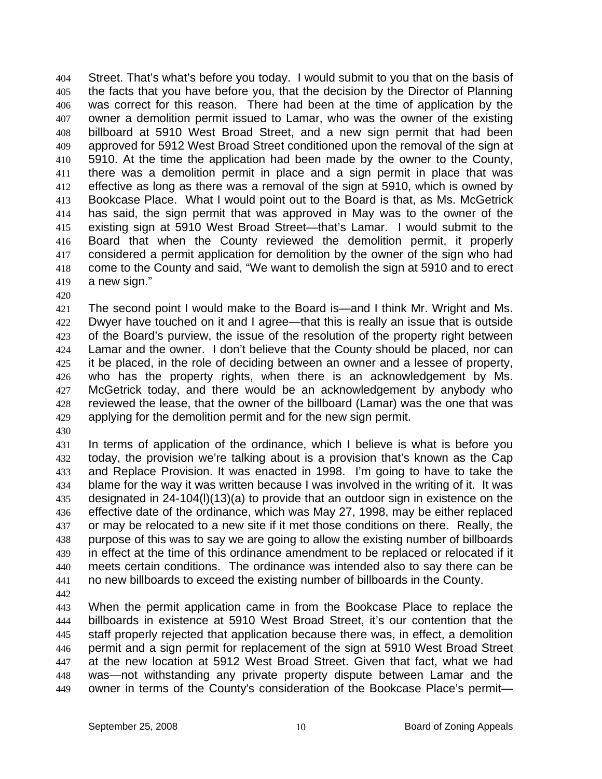Street. That's what's before you today. I would submit to you that on the basis of the facts that you have before you, that the decision by the Director of Planning was correct for this reason. There had been at the time of application by the owner a demolition permit issued to Lamar, who was the owner of the existing billboard at 5910 West Broad Street, and a new sign permit that had been approved for 5912 West Broad Street conditioned upon the removal of the sign at 5910. At the time the application had been made by the owner to the County, there was a demolition permit in place and a sign permit in place that was effective as long as there was a removal of the sign at 5910, which is owned by Bookcase Place. What I would point out to the Board is that, as Ms. McGetrick has said, the sign permit that was approved in May was to the owner of the existing sign at 5910 West Broad Street—that's Lamar. I would submit to the Board that when the County reviewed the demolition permit, it properly considered a permit application for demolition by the owner of the sign who had come to the County and said, "We want to demolish the sign at 5910 and to erect a new sign." 404 405 406 407 408 409 410 411 412 413 414 415 416 417 418 419

420

421 422 423 424 425 426 427 428 429 The second point I would make to the Board is—and I think Mr. Wright and Ms. Dwyer have touched on it and I agree—that this is really an issue that is outside of the Board's purview, the issue of the resolution of the property right between Lamar and the owner. I don't believe that the County should be placed, nor can it be placed, in the role of deciding between an owner and a lessee of property, who has the property rights, when there is an acknowledgement by Ms. McGetrick today, and there would be an acknowledgement by anybody who reviewed the lease, that the owner of the billboard (Lamar) was the one that was applying for the demolition permit and for the new sign permit.

430

431 432 433 434 435 436 437 438 439 440 441 In terms of application of the ordinance, which I believe is what is before you today, the provision we're talking about is a provision that's known as the Cap and Replace Provision. It was enacted in 1998. I'm going to have to take the blame for the way it was written because I was involved in the writing of it. It was designated in 24-104(l)(13)(a) to provide that an outdoor sign in existence on the effective date of the ordinance, which was May 27, 1998, may be either replaced or may be relocated to a new site if it met those conditions on there. Really, the purpose of this was to say we are going to allow the existing number of billboards in effect at the time of this ordinance amendment to be replaced or relocated if it meets certain conditions. The ordinance was intended also to say there can be no new billboards to exceed the existing number of billboards in the County.

442

443 444 445 446 447 448 449 When the permit application came in from the Bookcase Place to replace the billboards in existence at 5910 West Broad Street, it's our contention that the staff properly rejected that application because there was, in effect, a demolition permit and a sign permit for replacement of the sign at 5910 West Broad Street at the new location at 5912 West Broad Street. Given that fact, what we had was—not withstanding any private property dispute between Lamar and the owner in terms of the County's consideration of the Bookcase Place's permit—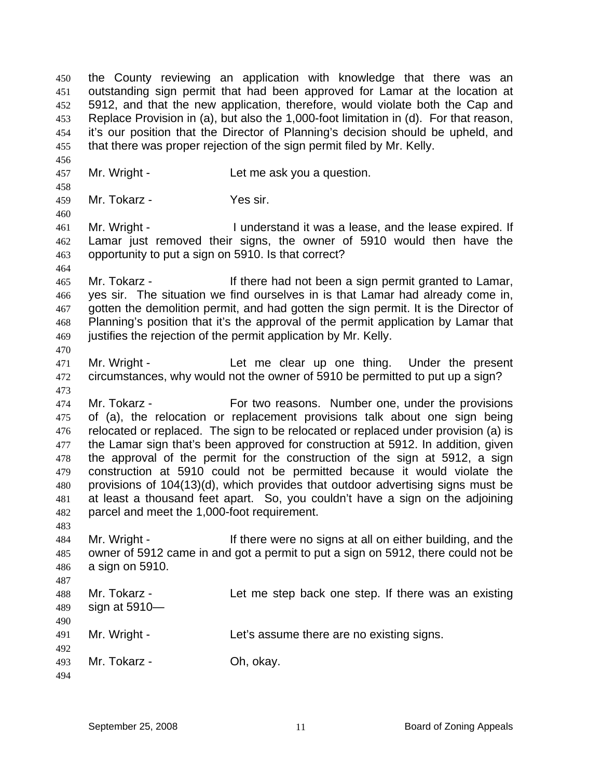the County reviewing an application with knowledge that there was an outstanding sign permit that had been approved for Lamar at the location at 5912, and that the new application, therefore, would violate both the Cap and Replace Provision in (a), but also the 1,000-foot limitation in (d). For that reason, it's our position that the Director of Planning's decision should be upheld, and that there was proper rejection of the sign permit filed by Mr. Kelly. 450 451 452 453 454 455 456 457 458 459 460 461 462 463 464 465 466 467 468 469 470 471 472 473 474 475 476 477 478 479 480 481 482 483 484 485 486 487 488 489 490 491 492 493 494 Mr. Wright - Let me ask you a question. Mr. Tokarz - Yes sir. Mr. Wright - The I understand it was a lease, and the lease expired. If Lamar just removed their signs, the owner of 5910 would then have the opportunity to put a sign on 5910. Is that correct? Mr. Tokarz - If there had not been a sign permit granted to Lamar, yes sir. The situation we find ourselves in is that Lamar had already come in, gotten the demolition permit, and had gotten the sign permit. It is the Director of Planning's position that it's the approval of the permit application by Lamar that justifies the rejection of the permit application by Mr. Kelly. Mr. Wright - The Let me clear up one thing. Under the present circumstances, why would not the owner of 5910 be permitted to put up a sign? Mr. Tokarz - For two reasons. Number one, under the provisions of (a), the relocation or replacement provisions talk about one sign being relocated or replaced. The sign to be relocated or replaced under provision (a) is the Lamar sign that's been approved for construction at 5912. In addition, given the approval of the permit for the construction of the sign at 5912, a sign construction at 5910 could not be permitted because it would violate the provisions of 104(13)(d), which provides that outdoor advertising signs must be at least a thousand feet apart. So, you couldn't have a sign on the adjoining parcel and meet the 1,000-foot requirement. Mr. Wright - There were no signs at all on either building, and the owner of 5912 came in and got a permit to put a sign on 5912, there could not be a sign on 5910. Mr. Tokarz - Let me step back one step. If there was an existing sign at 5910-Mr. Wright - Let's assume there are no existing signs. Mr. Tokarz - Oh, okay.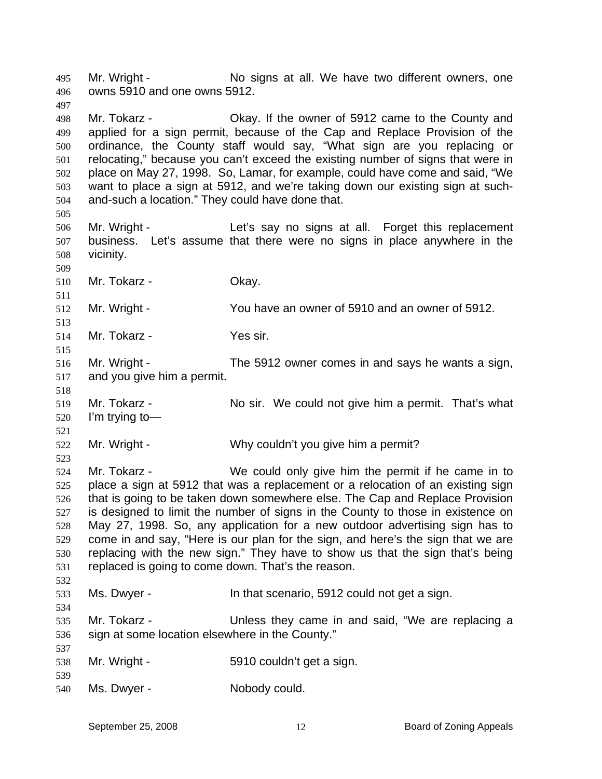Mr. Wright - No signs at all. We have two different owners, one owns 5910 and one owns 5912. 495 496

- 498 499 500 501 502 503 504 Mr. Tokarz - Chay. If the owner of 5912 came to the County and applied for a sign permit, because of the Cap and Replace Provision of the ordinance, the County staff would say, "What sign are you replacing or relocating," because you can't exceed the existing number of signs that were in place on May 27, 1998. So, Lamar, for example, could have come and said, "We want to place a sign at 5912, and we're taking down our existing sign at suchand-such a location." They could have done that.
- 506 507 508 Mr. Wright - The Let's say no signs at all. Forget this replacement business. Let's assume that there were no signs in place anywhere in the vicinity.

510 Mr. Tokarz - Okay.

497

505

509

511

513

515

518

521

523

534

537

539

512 Mr. Wright - You have an owner of 5910 and an owner of 5912.

514 Mr. Tokarz - Yes sir.

- 516 517 Mr. Wright - The 5912 owner comes in and says he wants a sign, and you give him a permit.
- 519 520 Mr. Tokarz - No sir. We could not give him a permit. That's what I'm trying to—
- 522 Mr. Wright - Why couldn't you give him a permit?

524 525 526 527 528 529 530 531 532 Mr. Tokarz - We could only give him the permit if he came in to place a sign at 5912 that was a replacement or a relocation of an existing sign that is going to be taken down somewhere else. The Cap and Replace Provision is designed to limit the number of signs in the County to those in existence on May 27, 1998. So, any application for a new outdoor advertising sign has to come in and say, "Here is our plan for the sign, and here's the sign that we are replacing with the new sign." They have to show us that the sign that's being replaced is going to come down. That's the reason.

533 Ms. Dwyer - In that scenario, 5912 could not get a sign.

- 535 536 Mr. Tokarz - The Unless they came in and said, "We are replacing a sign at some location elsewhere in the County."
- 538 Mr. Wright - 5910 couldn't get a sign.
- 540 Ms. Dwyer - Nobody could.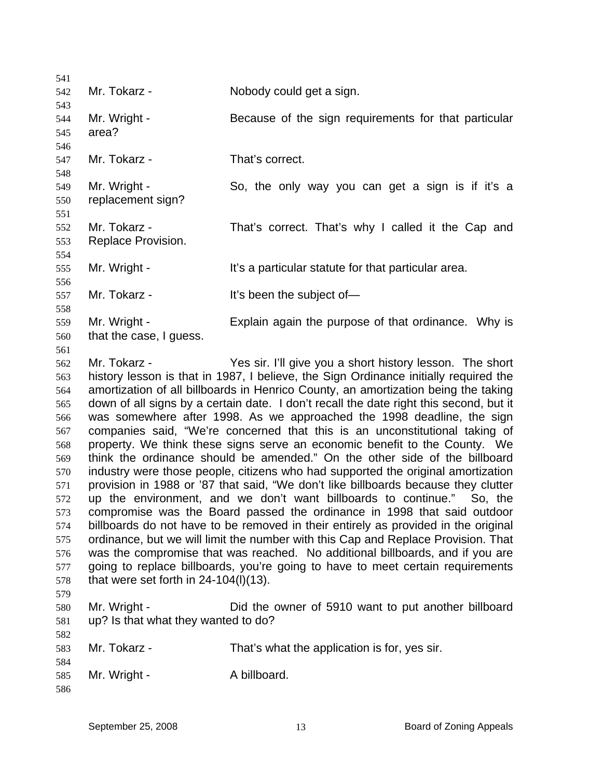| 541        |                                          |                                                                                        |
|------------|------------------------------------------|----------------------------------------------------------------------------------------|
| 542        | Mr. Tokarz -                             | Nobody could get a sign.                                                               |
| 543        |                                          |                                                                                        |
| 544        | Mr. Wright -                             | Because of the sign requirements for that particular                                   |
| 545        | area?                                    |                                                                                        |
| 546        |                                          |                                                                                        |
| 547        | Mr. Tokarz -                             | That's correct.                                                                        |
| 548        |                                          |                                                                                        |
| 549        | Mr. Wright -                             | So, the only way you can get a sign is if it's a                                       |
| 550        | replacement sign?                        |                                                                                        |
| 551        |                                          |                                                                                        |
| 552        | Mr. Tokarz -                             | That's correct. That's why I called it the Cap and                                     |
| 553        | Replace Provision.                       |                                                                                        |
| 554        |                                          |                                                                                        |
| 555        | Mr. Wright -                             | It's a particular statute for that particular area.                                    |
| 556        |                                          |                                                                                        |
| 557        | Mr. Tokarz -                             | It's been the subject of-                                                              |
| 558        |                                          |                                                                                        |
| 559        | Mr. Wright -<br>that the case, I guess.  | Explain again the purpose of that ordinance. Why is                                    |
| 560        |                                          |                                                                                        |
| 561<br>562 | Mr. Tokarz -                             | Yes sir. I'll give you a short history lesson. The short                               |
| 563        |                                          | history lesson is that in 1987, I believe, the Sign Ordinance initially required the   |
| 564        |                                          | amortization of all billboards in Henrico County, an amortization being the taking     |
| 565        |                                          | down of all signs by a certain date. I don't recall the date right this second, but it |
| 566        |                                          | was somewhere after 1998. As we approached the 1998 deadline, the sign                 |
| 567        |                                          | companies said, "We're concerned that this is an unconstitutional taking of            |
| 568        |                                          | property. We think these signs serve an economic benefit to the County. We             |
| 569        |                                          | think the ordinance should be amended." On the other side of the billboard             |
| 570        |                                          | industry were those people, citizens who had supported the original amortization       |
| 571        |                                          | provision in 1988 or '87 that said, "We don't like billboards because they clutter     |
| 572        |                                          | up the environment, and we don't want billboards to continue."<br>So, the              |
| 573        |                                          | compromise was the Board passed the ordinance in 1998 that said outdoor                |
| 574        |                                          | billboards do not have to be removed in their entirely as provided in the original     |
| 575        |                                          | ordinance, but we will limit the number with this Cap and Replace Provision. That      |
| 576        |                                          | was the compromise that was reached. No additional billboards, and if you are          |
| 577        |                                          | going to replace billboards, you're going to have to meet certain requirements         |
| 578        | that were set forth in $24-104(1)(13)$ . |                                                                                        |
| 579        |                                          |                                                                                        |
| 580        | Mr. Wright -                             | Did the owner of 5910 want to put another billboard                                    |
| 581        | up? Is that what they wanted to do?      |                                                                                        |
| 582        |                                          |                                                                                        |
| 583        | Mr. Tokarz -                             | That's what the application is for, yes sir.                                           |
| 584        |                                          |                                                                                        |
| 585        | Mr. Wright -                             | A billboard.                                                                           |
| 586        |                                          |                                                                                        |
|            |                                          |                                                                                        |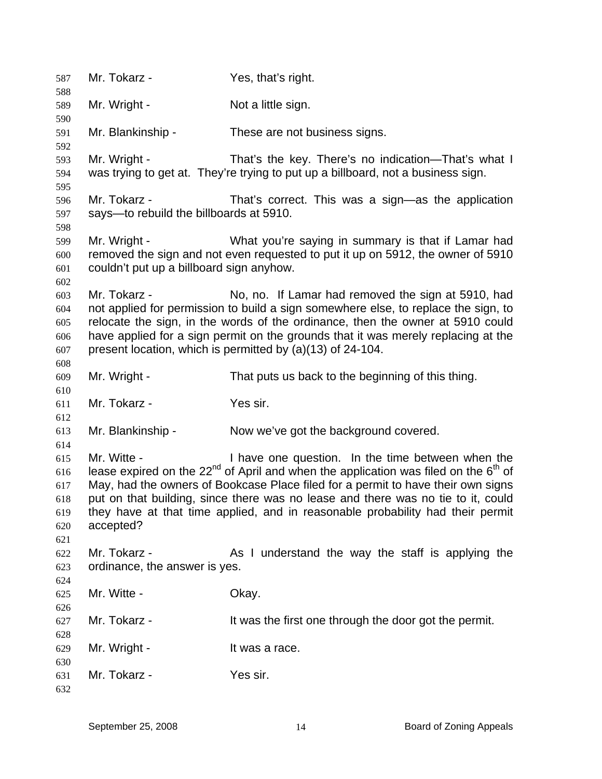| 587        | Mr. Tokarz -                             | Yes, that's right.                                                                                                                                                 |
|------------|------------------------------------------|--------------------------------------------------------------------------------------------------------------------------------------------------------------------|
| 588<br>589 | Mr. Wright -                             | Not a little sign.                                                                                                                                                 |
| 590        |                                          |                                                                                                                                                                    |
| 591        | Mr. Blankinship -                        | These are not business signs.                                                                                                                                      |
| 592        |                                          |                                                                                                                                                                    |
| 593        | Mr. Wright -                             | That's the key. There's no indication—That's what I                                                                                                                |
| 594        |                                          | was trying to get at. They're trying to put up a billboard, not a business sign.                                                                                   |
| 595        |                                          |                                                                                                                                                                    |
| 596        | Mr. Tokarz -                             | That's correct. This was a sign-as the application                                                                                                                 |
| 597        | says-to rebuild the billboards at 5910.  |                                                                                                                                                                    |
| 598        |                                          |                                                                                                                                                                    |
| 599        | Mr. Wright -                             | What you're saying in summary is that if Lamar had                                                                                                                 |
| 600        |                                          | removed the sign and not even requested to put it up on 5912, the owner of 5910                                                                                    |
| 601        | couldn't put up a billboard sign anyhow. |                                                                                                                                                                    |
| 602        |                                          |                                                                                                                                                                    |
| 603        | Mr. Tokarz -                             | No, no. If Lamar had removed the sign at 5910, had                                                                                                                 |
| 604        |                                          | not applied for permission to build a sign somewhere else, to replace the sign, to                                                                                 |
| 605        |                                          | relocate the sign, in the words of the ordinance, then the owner at 5910 could                                                                                     |
| 606        |                                          | have applied for a sign permit on the grounds that it was merely replacing at the                                                                                  |
| 607        |                                          | present location, which is permitted by (a)(13) of 24-104.                                                                                                         |
| 608        |                                          |                                                                                                                                                                    |
| 609        | Mr. Wright -                             | That puts us back to the beginning of this thing.                                                                                                                  |
| 610        |                                          |                                                                                                                                                                    |
| 611        | Mr. Tokarz -                             | Yes sir.                                                                                                                                                           |
| 612        |                                          |                                                                                                                                                                    |
| 613        | Mr. Blankinship -                        | Now we've got the background covered.                                                                                                                              |
| 614        |                                          |                                                                                                                                                                    |
| 615        | Mr. Witte -                              | I have one question. In the time between when the<br>lease expired on the $22^{nd}$ of April and when the application was filed on the $6^{th}$ of                 |
| 616        |                                          |                                                                                                                                                                    |
| 617        |                                          | May, had the owners of Bookcase Place filed for a permit to have their own signs                                                                                   |
| 618        |                                          | put on that building, since there was no lease and there was no tie to it, could<br>they have at that time applied, and in reasonable probability had their permit |
| 619<br>620 | accepted?                                |                                                                                                                                                                    |
| 621        |                                          |                                                                                                                                                                    |
| 622        | Mr. Tokarz -                             | As I understand the way the staff is applying the                                                                                                                  |
| 623        | ordinance, the answer is yes.            |                                                                                                                                                                    |
| 624        |                                          |                                                                                                                                                                    |
| 625        | Mr. Witte -                              | Okay.                                                                                                                                                              |
| 626        |                                          |                                                                                                                                                                    |
| 627        | Mr. Tokarz -                             | It was the first one through the door got the permit.                                                                                                              |
| 628        |                                          |                                                                                                                                                                    |
| 629        | Mr. Wright -                             | It was a race.                                                                                                                                                     |
| 630        |                                          |                                                                                                                                                                    |
| 631        | Mr. Tokarz -                             | Yes sir.                                                                                                                                                           |
| 632        |                                          |                                                                                                                                                                    |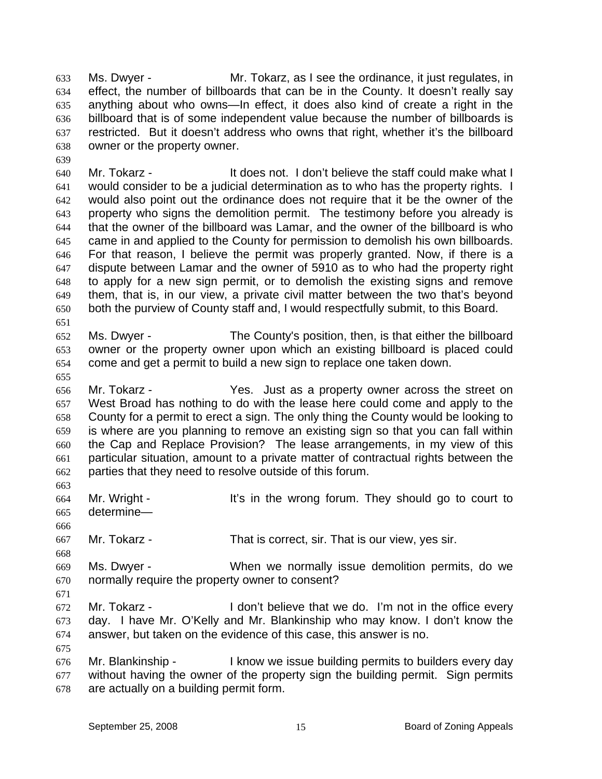Ms. Dwyer - Mr. Tokarz, as I see the ordinance, it just regulates, in effect, the number of billboards that can be in the County. It doesn't really say anything about who owns—In effect, it does also kind of create a right in the billboard that is of some independent value because the number of billboards is restricted. But it doesn't address who owns that right, whether it's the billboard owner or the property owner. 633 634 635 636 637 638

640 641 642 643 644 645 646 647 648 649 650 Mr. Tokarz - The State of the State of the staff could make what I would consider to be a judicial determination as to who has the property rights. I would also point out the ordinance does not require that it be the owner of the property who signs the demolition permit. The testimony before you already is that the owner of the billboard was Lamar, and the owner of the billboard is who came in and applied to the County for permission to demolish his own billboards. For that reason, I believe the permit was properly granted. Now, if there is a dispute between Lamar and the owner of 5910 as to who had the property right to apply for a new sign permit, or to demolish the existing signs and remove them, that is, in our view, a private civil matter between the two that's beyond both the purview of County staff and, I would respectfully submit, to this Board.

652 653 654 Ms. Dwyer - The County's position, then, is that either the billboard owner or the property owner upon which an existing billboard is placed could come and get a permit to build a new sign to replace one taken down.

656 657 658 659 660 661 662 Mr. Tokarz - The Yes. Just as a property owner across the street on West Broad has nothing to do with the lease here could come and apply to the County for a permit to erect a sign. The only thing the County would be looking to is where are you planning to remove an existing sign so that you can fall within the Cap and Replace Provision? The lease arrangements, in my view of this particular situation, amount to a private matter of contractual rights between the parties that they need to resolve outside of this forum.

664 665 Mr. Wright - The Vis in the wrong forum. They should go to court to determine—

667 Mr. Tokarz - That is correct, sir. That is our view, yes sir.

669 670 Ms. Dwyer - When we normally issue demolition permits, do we normally require the property owner to consent?

671

675

639

651

655

663

666

668

672 673 674 Mr. Tokarz - I don't believe that we do. I'm not in the office every day. I have Mr. O'Kelly and Mr. Blankinship who may know. I don't know the answer, but taken on the evidence of this case, this answer is no.

676 677 678 Mr. Blankinship - The light of itsue building permits to builders every day without having the owner of the property sign the building permit. Sign permits are actually on a building permit form.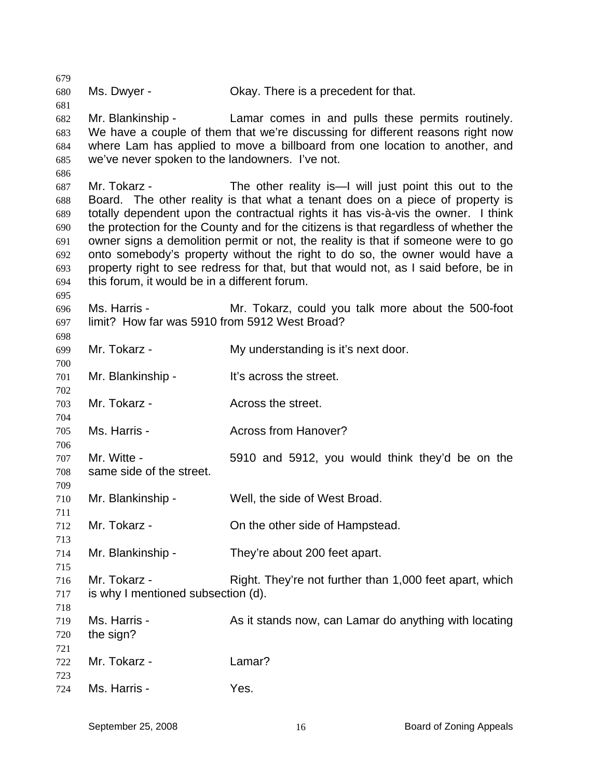679 680 681 682 683 684 685 686 687 688 689 690 691 692 693 694 695 696 697 698 699 700 701 702 703 704 705 706 707 708 709 710 711 712 713 714 715 716 717 718 719 720 721 722 723 724 Ms. Dwyer - Chay. There is a precedent for that. Mr. Blankinship - Lamar comes in and pulls these permits routinely. We have a couple of them that we're discussing for different reasons right now where Lam has applied to move a billboard from one location to another, and we've never spoken to the landowners. I've not. Mr. Tokarz - The other reality is—I will just point this out to the Board. The other reality is that what a tenant does on a piece of property is totally dependent upon the contractual rights it has vis-à-vis the owner. I think the protection for the County and for the citizens is that regardless of whether the owner signs a demolition permit or not, the reality is that if someone were to go onto somebody's property without the right to do so, the owner would have a property right to see redress for that, but that would not, as I said before, be in this forum, it would be in a different forum. Ms. Harris - The Mr. Tokarz, could you talk more about the 500-foot limit? How far was 5910 from 5912 West Broad? Mr. Tokarz - My understanding is it's next door. Mr. Blankinship - It's across the street. Mr. Tokarz - **Across the street.** Ms. Harris - **Across from Hanover?** Mr. Witte - 5910 and 5912, you would think they'd be on the same side of the street. Mr. Blankinship - Well, the side of West Broad. Mr. Tokarz - Christian Constantial Christian Christian Christian Mr. Tokarz - Christian Christian Christian Mr Mr. Blankinship - They're about 200 feet apart. Mr. Tokarz - Right. They're not further than 1,000 feet apart, which is why I mentioned subsection (d). Ms. Harris - As it stands now, can Lamar do anything with locating the sign? Mr. Tokarz - Lamar? Ms. Harris - Yes.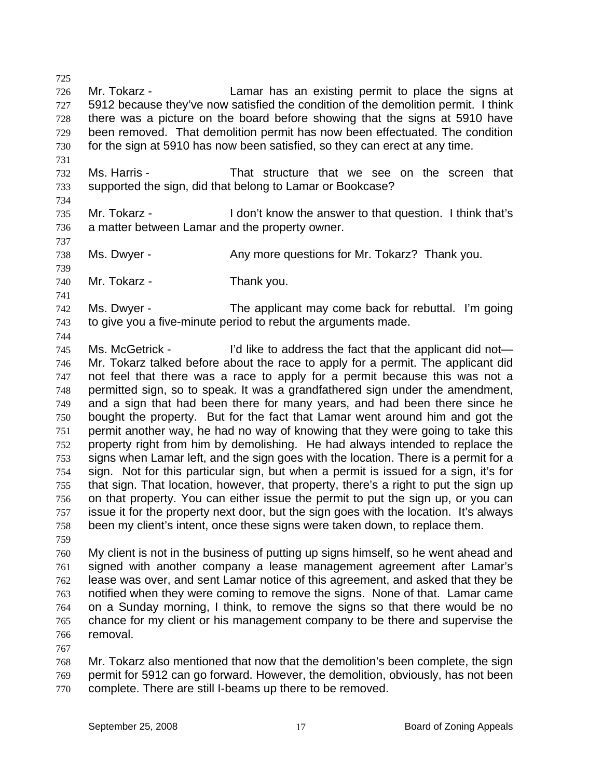725 726 727 728 729 730 Mr. Tokarz - The Lamar has an existing permit to place the signs at 5912 because they've now satisfied the condition of the demolition permit. I think there was a picture on the board before showing that the signs at 5910 have been removed. That demolition permit has now been effectuated. The condition for the sign at 5910 has now been satisfied, so they can erect at any time.

- 732 733 Ms. Harris - That structure that we see on the screen that supported the sign, did that belong to Lamar or Bookcase?
- 734

737

739

741

744

731

735 736 Mr. Tokarz - I don't know the answer to that question. I think that's a matter between Lamar and the property owner.

738 Ms. Dwyer - Any more questions for Mr. Tokarz? Thank you.

740 Mr. Tokarz - Thank you.

742 743 Ms. Dwyer - The applicant may come back for rebuttal. I'm going to give you a five-minute period to rebut the arguments made.

745 746 747 748 749 750 751 752 753 754 755 756 757 758 759 Ms. McGetrick - I'd like to address the fact that the applicant did not— Mr. Tokarz talked before about the race to apply for a permit. The applicant did not feel that there was a race to apply for a permit because this was not a permitted sign, so to speak. It was a grandfathered sign under the amendment, and a sign that had been there for many years, and had been there since he bought the property. But for the fact that Lamar went around him and got the permit another way, he had no way of knowing that they were going to take this property right from him by demolishing. He had always intended to replace the signs when Lamar left, and the sign goes with the location. There is a permit for a sign. Not for this particular sign, but when a permit is issued for a sign, it's for that sign. That location, however, that property, there's a right to put the sign up on that property. You can either issue the permit to put the sign up, or you can issue it for the property next door, but the sign goes with the location. It's always been my client's intent, once these signs were taken down, to replace them.

- 760 761 My client is not in the business of putting up signs himself, so he went ahead and signed with another company a lease management agreement after Lamar's
- 762 763 764 765 766 lease was over, and sent Lamar notice of this agreement, and asked that they be notified when they were coming to remove the signs. None of that. Lamar came on a Sunday morning, I think, to remove the signs so that there would be no chance for my client or his management company to be there and supervise the removal.
- 767

768 769 770 Mr. Tokarz also mentioned that now that the demolition's been complete, the sign permit for 5912 can go forward. However, the demolition, obviously, has not been complete. There are still I-beams up there to be removed.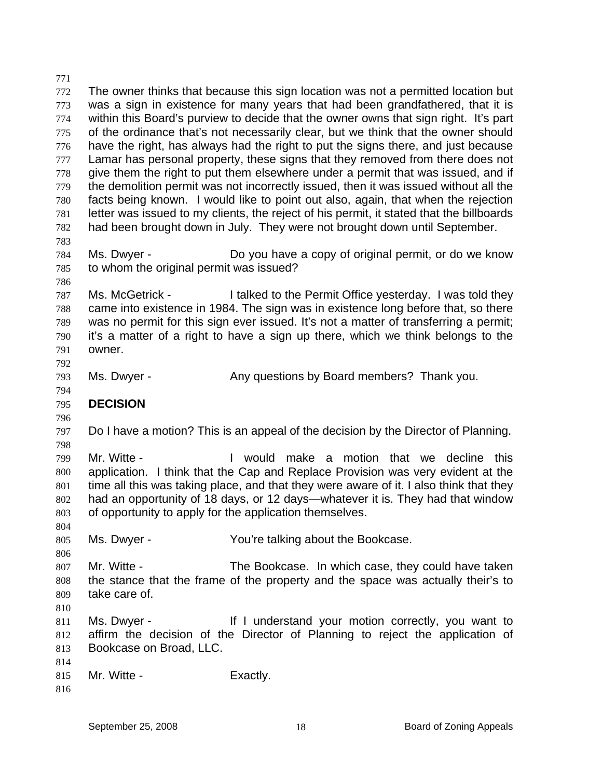771 772 773 774 775 776 777 778 779 780 781 782 783 784 785 786 787 788 789 790 791 792 793 794 795 796 797 798 799 800 801 802 803 804 805 806 807 808 809 810 811 812 813 814 815 816 The owner thinks that because this sign location was not a permitted location but was a sign in existence for many years that had been grandfathered, that it is within this Board's purview to decide that the owner owns that sign right. It's part of the ordinance that's not necessarily clear, but we think that the owner should have the right, has always had the right to put the signs there, and just because Lamar has personal property, these signs that they removed from there does not give them the right to put them elsewhere under a permit that was issued, and if the demolition permit was not incorrectly issued, then it was issued without all the facts being known. I would like to point out also, again, that when the rejection letter was issued to my clients, the reject of his permit, it stated that the billboards had been brought down in July. They were not brought down until September. Ms. Dwyer - **Do you have a copy of original permit, or do we know** to whom the original permit was issued? Ms. McGetrick - I talked to the Permit Office yesterday. I was told they came into existence in 1984. The sign was in existence long before that, so there was no permit for this sign ever issued. It's not a matter of transferring a permit; it's a matter of a right to have a sign up there, which we think belongs to the owner. Ms. Dwyer - Any questions by Board members? Thank you. **DECISION**  Do I have a motion? This is an appeal of the decision by the Director of Planning. Mr. Witte - I would make a motion that we decline this application. I think that the Cap and Replace Provision was very evident at the time all this was taking place, and that they were aware of it. I also think that they had an opportunity of 18 days, or 12 days—whatever it is. They had that window of opportunity to apply for the application themselves. Ms. Dwyer - The You're talking about the Bookcase. Mr. Witte - The Bookcase. In which case, they could have taken the stance that the frame of the property and the space was actually their's to take care of. Ms. Dwyer - The Music of It I understand your motion correctly, you want to affirm the decision of the Director of Planning to reject the application of Bookcase on Broad, LLC. Mr. Witte - Exactly.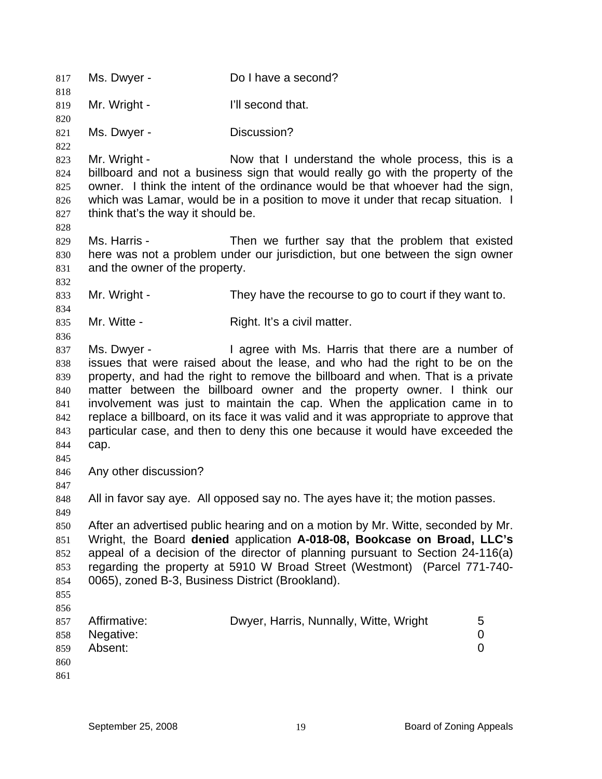817 Ms. Dwyer - Do I have a second? 818 819 820 821 822 823 824 825 826 827 828 829 830 831 832 833 834 835 836 837 838 839 840 841 842 843 844 845 846 847 848 849 850 851 852 853 854 855 856 857 858 859 860 861 Mr. Wright - The I'll second that. Ms. Dwyer - **Discussion?** Mr. Wright - Now that I understand the whole process, this is a billboard and not a business sign that would really go with the property of the owner. I think the intent of the ordinance would be that whoever had the sign, which was Lamar, would be in a position to move it under that recap situation. I think that's the way it should be. Ms. Harris - Then we further say that the problem that existed here was not a problem under our jurisdiction, but one between the sign owner and the owner of the property. Mr. Wright - They have the recourse to go to court if they want to. Mr. Witte - Right. It's a civil matter. Ms. Dwyer - I agree with Ms. Harris that there are a number of issues that were raised about the lease, and who had the right to be on the property, and had the right to remove the billboard and when. That is a private matter between the billboard owner and the property owner. I think our involvement was just to maintain the cap. When the application came in to replace a billboard, on its face it was valid and it was appropriate to approve that particular case, and then to deny this one because it would have exceeded the cap. Any other discussion? All in favor say aye. All opposed say no. The ayes have it; the motion passes. After an advertised public hearing and on a motion by Mr. Witte, seconded by Mr. Wright, the Board **denied** application **A-018-08, Bookcase on Broad, LLC's** appeal of a decision of the director of planning pursuant to Section 24-116(a) regarding the property at 5910 W Broad Street (Westmont) (Parcel 771-740- 0065), zoned B-3, Business District (Brookland). Affirmative: **Dwyer, Harris, Nunnally, Witte, Wright** 5 Negative: 0 Absent: 0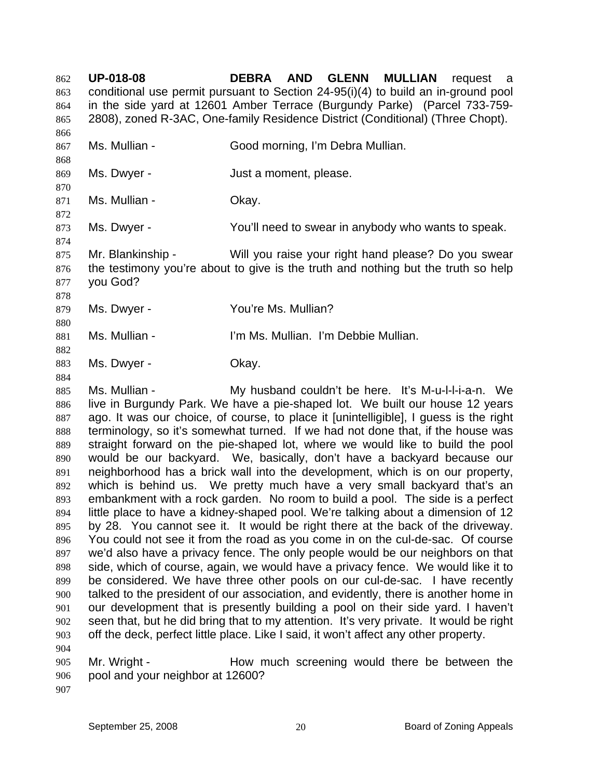**UP-018-08 DEBRA AND GLENN MULLIAN** request a conditional use permit pursuant to Section 24-95(i)(4) to build an in-ground pool in the side yard at 12601 Amber Terrace (Burgundy Parke) (Parcel 733-759- 2808), zoned R-3AC, One-family Residence District (Conditional) (Three Chopt). 862 863 864 865 866 867 868 869 870 871 872 873 874 875 876 877 878 879 880 881 882 883 884 885 886 887 888 889 890 891 892 893 894 895 896 897 898 899 900 901 902 903 904 905 906 907 Ms. Mullian - Good morning, I'm Debra Mullian. Ms. Dwyer - The South State of Just a moment, please. Ms. Mullian - Chay. Ms. Dwyer - The You'll need to swear in anybody who wants to speak. Mr. Blankinship - Will you raise your right hand please? Do you swear the testimony you're about to give is the truth and nothing but the truth so help you God? Ms. Dwyer - You're Ms. Mullian? Ms. Mullian - I'm Ms. Mullian. I'm Debbie Mullian. Ms. Dwyer - Chay. Ms. Mullian - The My husband couldn't be here. It's M-u-l-l-i-a-n. We live in Burgundy Park. We have a pie-shaped lot. We built our house 12 years ago. It was our choice, of course, to place it [unintelligible], I guess is the right terminology, so it's somewhat turned. If we had not done that, if the house was straight forward on the pie-shaped lot, where we would like to build the pool would be our backyard. We, basically, don't have a backyard because our neighborhood has a brick wall into the development, which is on our property, which is behind us. We pretty much have a very small backyard that's an embankment with a rock garden. No room to build a pool. The side is a perfect little place to have a kidney-shaped pool. We're talking about a dimension of 12 by 28. You cannot see it. It would be right there at the back of the driveway. You could not see it from the road as you come in on the cul-de-sac. Of course we'd also have a privacy fence. The only people would be our neighbors on that side, which of course, again, we would have a privacy fence. We would like it to be considered. We have three other pools on our cul-de-sac. I have recently talked to the president of our association, and evidently, there is another home in our development that is presently building a pool on their side yard. I haven't seen that, but he did bring that to my attention. It's very private. It would be right off the deck, perfect little place. Like I said, it won't affect any other property. Mr. Wright - How much screening would there be between the pool and your neighbor at 12600?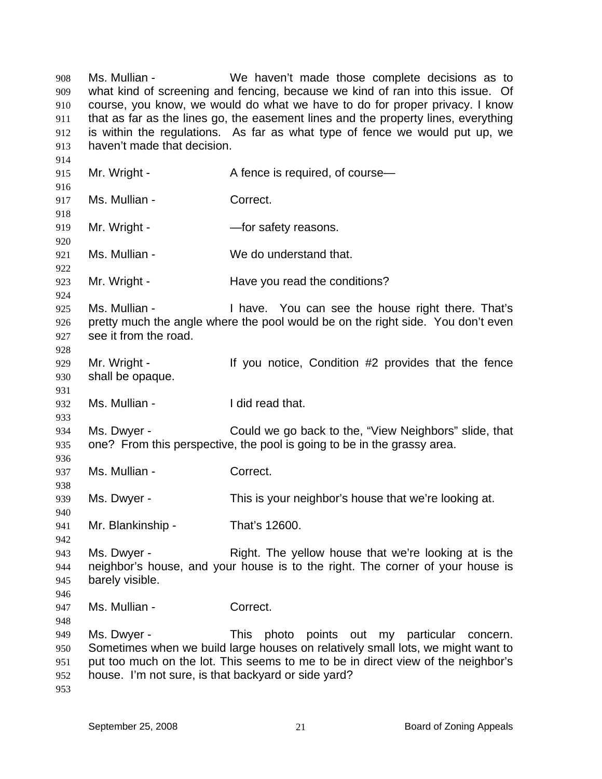Ms. Mullian - We haven't made those complete decisions as to what kind of screening and fencing, because we kind of ran into this issue. Of course, you know, we would do what we have to do for proper privacy. I know that as far as the lines go, the easement lines and the property lines, everything is within the regulations. As far as what type of fence we would put up, we haven't made that decision. 908 909 910 911 912 913 914 915 916 917 918 919 920 921 922 923 924 925 926 927 928 929 930 931 932 933 934 935 936 937 938 939 940 941 942 943 944 945 946 947 948 949 950 951 952 953 Mr. Wright - A fence is required, of course— Ms. Mullian - Correct. Mr. Wright - The Safety reasons. Ms. Mullian - We do understand that. Mr. Wright - The Have you read the conditions? Ms. Mullian - I have. You can see the house right there. That's pretty much the angle where the pool would be on the right side. You don't even see it from the road. Mr. Wright - The Mr ou notice, Condition #2 provides that the fence shall be opaque. Ms. Mullian - The I did read that. Ms. Dwyer - Could we go back to the, "View Neighbors" slide, that one? From this perspective, the pool is going to be in the grassy area. Ms. Mullian - Correct. Ms. Dwyer - This is your neighbor's house that we're looking at. Mr. Blankinship - That's 12600. Ms. Dwyer - The Night. The yellow house that we're looking at is the neighbor's house, and your house is to the right. The corner of your house is barely visible. Ms. Mullian - Correct. Ms. Dwyer - This photo points out my particular concern. Sometimes when we build large houses on relatively small lots, we might want to put too much on the lot. This seems to me to be in direct view of the neighbor's house. I'm not sure, is that backyard or side yard?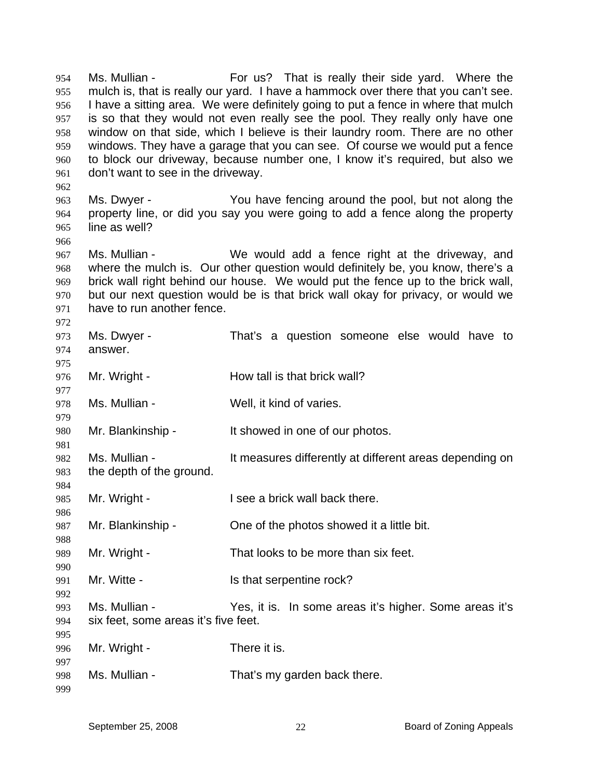Ms. Mullian - The For us? That is really their side yard. Where the mulch is, that is really our yard. I have a hammock over there that you can't see. I have a sitting area. We were definitely going to put a fence in where that mulch is so that they would not even really see the pool. They really only have one window on that side, which I believe is their laundry room. There are no other windows. They have a garage that you can see. Of course we would put a fence to block our driveway, because number one, I know it's required, but also we don't want to see in the driveway. 954 955 956 957 958 959 960 961

963 964 965 Ms. Dwyer - You have fencing around the pool, but not along the property line, or did you say you were going to add a fence along the property line as well?

967 968 969 970 971 Ms. Mullian - We would add a fence right at the driveway, and where the mulch is. Our other question would definitely be, you know, there's a brick wall right behind our house. We would put the fence up to the brick wall, but our next question would be is that brick wall okay for privacy, or would we have to run another fence.

972 973 974 975 976 977 978 Ms. Dwyer - That's a question someone else would have to answer. Mr. Wright - **How tall is that brick wall?** Ms. Mullian - Well, it kind of varies.

979

980 Mr. Blankinship - It showed in one of our photos.

982 983 Ms. Mullian - The It measures differently at different areas depending on the depth of the ground.

985 Mr. Wright - **I** see a brick wall back there.

987 Mr. Blankinship - Che of the photos showed it a little bit.

989 Mr. Wright - That looks to be more than six feet.

991 Mr. Witte - The Muslim State Serpentine rock?

993 994 995 Ms. Mullian - Yes, it is. In some areas it's higher. Some areas it's six feet, some areas it's five feet.

996 Mr. Wright - There it is.

997 998 Ms. Mullian - That's my garden back there.

962

966

981

984

986

988

990

992

999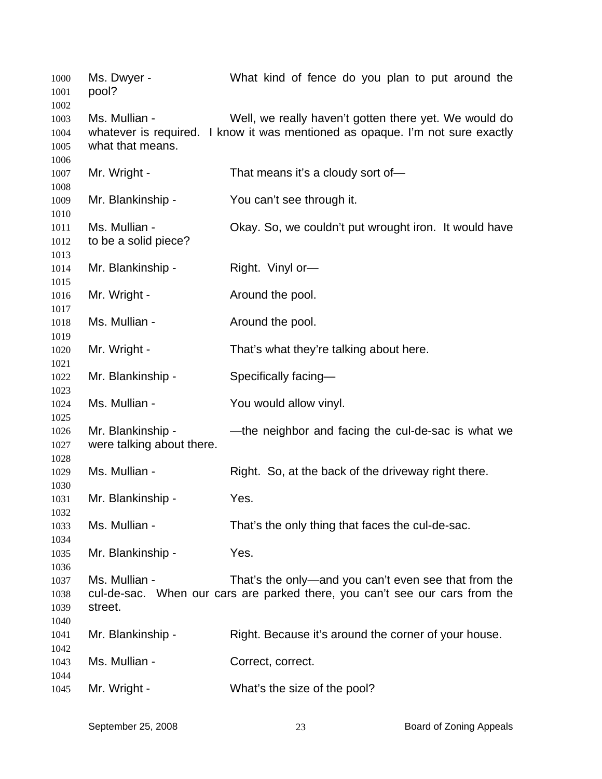| 1000<br>1001                 | Ms. Dwyer -<br>pool?                           | What kind of fence do you plan to put around the                                                                                       |
|------------------------------|------------------------------------------------|----------------------------------------------------------------------------------------------------------------------------------------|
| 1002<br>1003<br>1004<br>1005 | Ms. Mullian -<br>what that means.              | Well, we really haven't gotten there yet. We would do<br>whatever is required. I know it was mentioned as opaque. I'm not sure exactly |
| 1006<br>1007                 | Mr. Wright -                                   | That means it's a cloudy sort of-                                                                                                      |
| 1008<br>1009                 | Mr. Blankinship -                              | You can't see through it.                                                                                                              |
| 1010<br>1011<br>1012<br>1013 | Ms. Mullian -<br>to be a solid piece?          | Okay. So, we couldn't put wrought iron. It would have                                                                                  |
| 1014<br>1015                 | Mr. Blankinship -                              | Right. Vinyl or-                                                                                                                       |
| 1016<br>1017                 | Mr. Wright -                                   | Around the pool.                                                                                                                       |
| 1018                         | Ms. Mullian -                                  | Around the pool.                                                                                                                       |
| 1019<br>1020                 | Mr. Wright -                                   | That's what they're talking about here.                                                                                                |
| 1021<br>1022                 | Mr. Blankinship -                              | Specifically facing-                                                                                                                   |
| 1023<br>1024                 | Ms. Mullian -                                  | You would allow vinyl.                                                                                                                 |
| 1025<br>1026<br>1027         | Mr. Blankinship -<br>were talking about there. | —the neighbor and facing the cul-de-sac is what we                                                                                     |
| 1028<br>1029                 | Ms. Mullian -                                  | Right. So, at the back of the driveway right there.                                                                                    |
| 1030<br>1031                 | Mr. Blankinship -                              | Yes.                                                                                                                                   |
| 1032<br>1033                 | Ms. Mullian -                                  | That's the only thing that faces the cul-de-sac.                                                                                       |
| 1034<br>1035<br>1036         | Mr. Blankinship -                              | Yes.                                                                                                                                   |
| 1037<br>1038<br>1039<br>1040 | Ms. Mullian -<br>street.                       | That's the only—and you can't even see that from the<br>cul-de-sac. When our cars are parked there, you can't see our cars from the    |
| 1041<br>1042                 | Mr. Blankinship -                              | Right. Because it's around the corner of your house.                                                                                   |
| 1043                         | Ms. Mullian -                                  | Correct, correct.                                                                                                                      |
| 1044<br>1045                 | Mr. Wright -                                   | What's the size of the pool?                                                                                                           |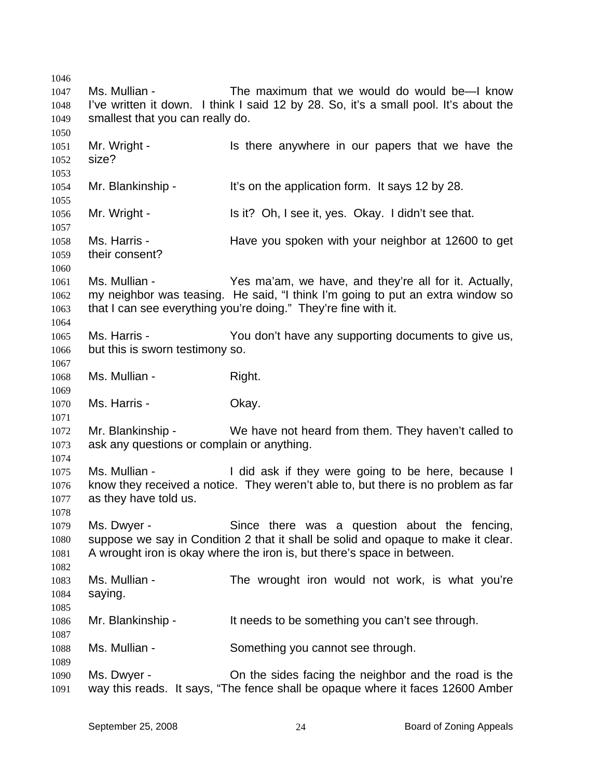1046 1047 1048 1049 1050 1051 1052 1053 1054 1055 1056 1057 1058 1059 1060 1061 1062 1063 1064 1065 1066 1067 1068 1069 1070 1071 1072 1073 1074 1075 1076 1077 1078 1079 1080 1081 1082 1083 1084 1085 1086 1087 1088 1089 1090 1091 Ms. Mullian - The maximum that we would do would be—I know I've written it down. I think I said 12 by 28. So, it's a small pool. It's about the smallest that you can really do. Mr. Wright - Is there anywhere in our papers that we have the size? Mr. Blankinship - It's on the application form. It says 12 by 28. Mr. Wright - Is it? Oh, I see it, yes. Okay. I didn't see that. Ms. Harris - Have you spoken with your neighbor at 12600 to get their consent? Ms. Mullian - The Yes ma'am, we have, and they're all for it. Actually, my neighbor was teasing. He said, "I think I'm going to put an extra window so that I can see everything you're doing." They're fine with it. Ms. Harris - The You don't have any supporting documents to give us, but this is sworn testimony so. Ms. Mullian - Right. Ms. Harris - Ckay. Mr. Blankinship - We have not heard from them. They haven't called to ask any questions or complain or anything. Ms. Mullian - The Unit of the Hilbert were going to be here, because I know they received a notice. They weren't able to, but there is no problem as far as they have told us. Ms. Dwyer - Since there was a question about the fencing, suppose we say in Condition 2 that it shall be solid and opaque to make it clear. A wrought iron is okay where the iron is, but there's space in between. Ms. Mullian - The wrought iron would not work, is what you're saying. Mr. Blankinship - It needs to be something you can't see through. Ms. Mullian - Something you cannot see through. Ms. Dwyer - On the sides facing the neighbor and the road is the way this reads. It says, "The fence shall be opaque where it faces 12600 Amber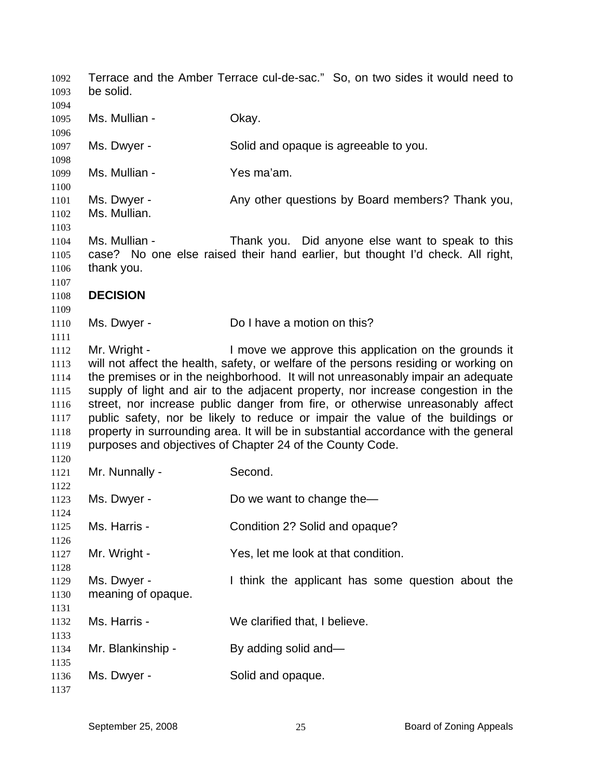Terrace and the Amber Terrace cul-de-sac." So, on two sides it would need to be solid. Ms. Mullian - Chay. Ms. Dwyer - Solid and opaque is agreeable to you. Ms. Mullian - Yes ma'am. Ms. Dwyer - Any other questions by Board members? Thank you, Ms. Mullian. Ms. Mullian - Thank you. Did anyone else want to speak to this case? No one else raised their hand earlier, but thought I'd check. All right, thank you. **DECISION**  Ms. Dwyer - Do I have a motion on this? Mr. Wright - I move we approve this application on the grounds it will not affect the health, safety, or welfare of the persons residing or working on the premises or in the neighborhood. It will not unreasonably impair an adequate supply of light and air to the adjacent property, nor increase congestion in the street, nor increase public danger from fire, or otherwise unreasonably affect public safety, nor be likely to reduce or impair the value of the buildings or property in surrounding area. It will be in substantial accordance with the general purposes and objectives of Chapter 24 of the County Code. Mr. Nunnally - Second. Ms. Dwyer - Do we want to change the— Ms. Harris - Condition 2? Solid and opaque? Mr. Wright - Yes, let me look at that condition. Ms. Dwyer - Think the applicant has some question about the meaning of opaque. Ms. Harris - We clarified that, I believe. Mr. Blankinship - By adding solid and— Ms. Dwyer - Solid and opaque.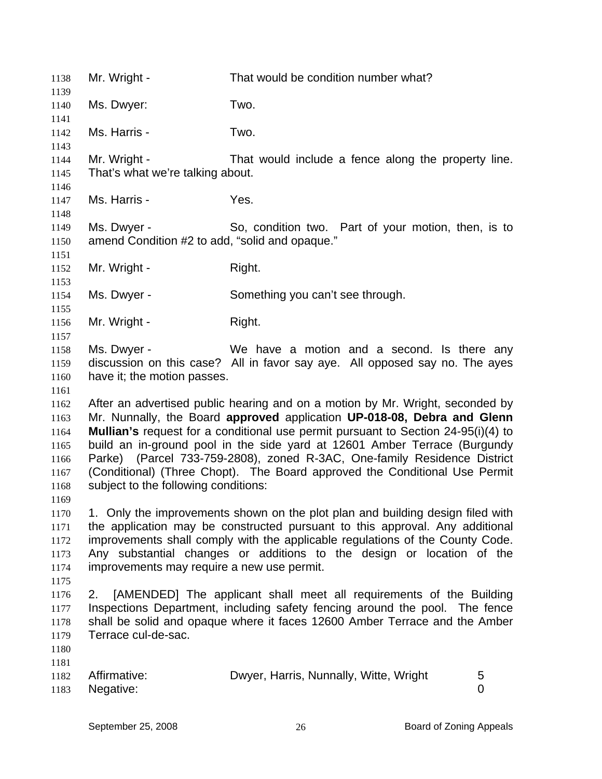| 1138<br>1139                                                 | Mr. Wright -                                                  | That would be condition number what?                                                                                                                                                                                                                                                                                                                                                                                                                                                 |        |
|--------------------------------------------------------------|---------------------------------------------------------------|--------------------------------------------------------------------------------------------------------------------------------------------------------------------------------------------------------------------------------------------------------------------------------------------------------------------------------------------------------------------------------------------------------------------------------------------------------------------------------------|--------|
| 1140                                                         | Ms. Dwyer:                                                    | Two.                                                                                                                                                                                                                                                                                                                                                                                                                                                                                 |        |
| 1141<br>1142                                                 | Ms. Harris -                                                  | Two.                                                                                                                                                                                                                                                                                                                                                                                                                                                                                 |        |
| 1143<br>1144<br>1145                                         | Mr. Wright -<br>That's what we're talking about.              | That would include a fence along the property line.                                                                                                                                                                                                                                                                                                                                                                                                                                  |        |
| 1146<br>1147                                                 | Ms. Harris -                                                  | Yes.                                                                                                                                                                                                                                                                                                                                                                                                                                                                                 |        |
| 1148<br>1149<br>1150                                         | Ms. Dwyer -<br>amend Condition #2 to add, "solid and opaque." | So, condition two. Part of your motion, then, is to                                                                                                                                                                                                                                                                                                                                                                                                                                  |        |
| 1151<br>1152                                                 | Mr. Wright -                                                  | Right.                                                                                                                                                                                                                                                                                                                                                                                                                                                                               |        |
| 1153<br>1154<br>1155                                         | Ms. Dwyer -                                                   | Something you can't see through.                                                                                                                                                                                                                                                                                                                                                                                                                                                     |        |
| 1156<br>1157                                                 | Mr. Wright -                                                  | Right.                                                                                                                                                                                                                                                                                                                                                                                                                                                                               |        |
| 1158<br>1159<br>1160<br>1161                                 | Ms. Dwyer -<br>have it; the motion passes.                    | We have a motion and a second. Is there any<br>discussion on this case? All in favor say aye. All opposed say no. The ayes                                                                                                                                                                                                                                                                                                                                                           |        |
| 1162<br>1163<br>1164<br>1165<br>1166<br>1167<br>1168<br>1169 | subject to the following conditions:                          | After an advertised public hearing and on a motion by Mr. Wright, seconded by<br>Mr. Nunnally, the Board approved application UP-018-08, Debra and Glenn<br>Mullian's request for a conditional use permit pursuant to Section 24-95(i)(4) to<br>build an in-ground pool in the side yard at 12601 Amber Terrace (Burgundy<br>Parke) (Parcel 733-759-2808), zoned R-3AC, One-family Residence District<br>(Conditional) (Three Chopt). The Board approved the Conditional Use Permit |        |
| 1170<br>1171<br>1172<br>1173<br>1174                         | improvements may require a new use permit.                    | 1. Only the improvements shown on the plot plan and building design filed with<br>the application may be constructed pursuant to this approval. Any additional<br>improvements shall comply with the applicable regulations of the County Code.<br>Any substantial changes or additions to the design or location of the                                                                                                                                                             |        |
| 1175<br>1176<br>1177<br>1178<br>1179<br>1180                 | 2.<br>Terrace cul-de-sac.                                     | [AMENDED] The applicant shall meet all requirements of the Building<br>Inspections Department, including safety fencing around the pool. The fence<br>shall be solid and opaque where it faces 12600 Amber Terrace and the Amber                                                                                                                                                                                                                                                     |        |
| 1181<br>1182<br>1183                                         | Affirmative:<br>Negative:                                     | Dwyer, Harris, Nunnally, Witte, Wright                                                                                                                                                                                                                                                                                                                                                                                                                                               | 5<br>0 |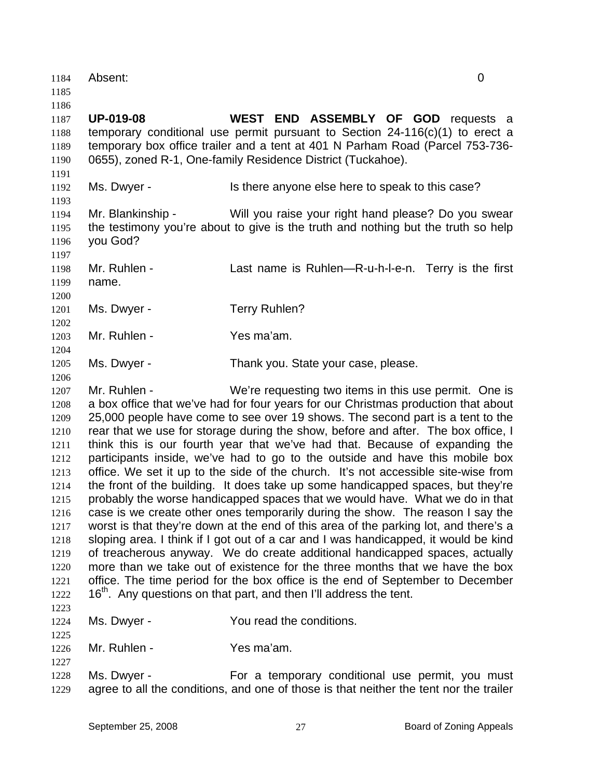| 1186<br>WEST END ASSEMBLY OF GOD requests a<br><b>UP-019-08</b><br>1187<br>temporary conditional use permit pursuant to Section $24-116(c)(1)$ to erect a<br>1188<br>temporary box office trailer and a tent at 401 N Parham Road (Parcel 753-736-<br>1189<br>0655), zoned R-1, One-family Residence District (Tuckahoe).<br>1190<br>1191<br>Ms. Dwyer -<br>Is there anyone else here to speak to this case?<br>1192<br>1193<br>Mr. Blankinship -<br>Will you raise your right hand please? Do you swear<br>1194<br>the testimony you're about to give is the truth and nothing but the truth so help<br>1195<br>you God?<br>1196<br>1197<br>Mr. Ruhlen -<br>Last name is Ruhlen—R-u-h-l-e-n. Terry is the first<br>1198<br>name.<br>1199<br>1200<br>Ms. Dwyer -<br><b>Terry Ruhlen?</b><br>1201<br>1202<br>Yes ma'am.<br>Mr. Ruhlen -<br>1203<br>1204<br>Ms. Dwyer -<br>Thank you. State your case, please.<br>1205<br>1206<br>Mr. Ruhlen -<br>We're requesting two items in this use permit. One is<br>1207<br>a box office that we've had for four years for our Christmas production that about<br>1208<br>25,000 people have come to see over 19 shows. The second part is a tent to the<br>1209<br>rear that we use for storage during the show, before and after. The box office, I<br>1210<br>think this is our fourth year that we've had that. Because of expanding the<br>1211<br>participants inside, we've had to go to the outside and have this mobile box<br>1212<br>office. We set it up to the side of the church. It's not accessible site-wise from<br>1213<br>the front of the building. It does take up some handicapped spaces, but they're<br>1214<br>probably the worse handicapped spaces that we would have. What we do in that<br>1215<br>case is we create other ones temporarily during the show. The reason I say the<br>1216<br>worst is that they're down at the end of this area of the parking lot, and there's a<br>1217<br>sloping area. I think if I got out of a car and I was handicapped, it would be kind<br>1218<br>of treacherous anyway. We do create additional handicapped spaces, actually<br>1219<br>more than we take out of existence for the three months that we have the box<br>1220<br>office. The time period for the box office is the end of September to December<br>1221<br>16 <sup>th</sup> . Any questions on that part, and then I'll address the tent.<br>1222<br>1223<br>You read the conditions.<br>Ms. Dwyer -<br>1224<br>1225<br>Mr. Ruhlen -<br>Yes ma'am.<br>1226<br>1227<br>For a temporary conditional use permit, you must<br>Ms. Dwyer -<br>1228<br>agree to all the conditions, and one of those is that neither the tent nor the trailer | 1184<br>1185 | Absent: | $\overline{0}$ |  |
|----------------------------------------------------------------------------------------------------------------------------------------------------------------------------------------------------------------------------------------------------------------------------------------------------------------------------------------------------------------------------------------------------------------------------------------------------------------------------------------------------------------------------------------------------------------------------------------------------------------------------------------------------------------------------------------------------------------------------------------------------------------------------------------------------------------------------------------------------------------------------------------------------------------------------------------------------------------------------------------------------------------------------------------------------------------------------------------------------------------------------------------------------------------------------------------------------------------------------------------------------------------------------------------------------------------------------------------------------------------------------------------------------------------------------------------------------------------------------------------------------------------------------------------------------------------------------------------------------------------------------------------------------------------------------------------------------------------------------------------------------------------------------------------------------------------------------------------------------------------------------------------------------------------------------------------------------------------------------------------------------------------------------------------------------------------------------------------------------------------------------------------------------------------------------------------------------------------------------------------------------------------------------------------------------------------------------------------------------------------------------------------------------------------------------------------------------------------------------------------------------------------------------------------------------------------------------------------------------------------------------------------------------------------------------------------------------------------------|--------------|---------|----------------|--|
|                                                                                                                                                                                                                                                                                                                                                                                                                                                                                                                                                                                                                                                                                                                                                                                                                                                                                                                                                                                                                                                                                                                                                                                                                                                                                                                                                                                                                                                                                                                                                                                                                                                                                                                                                                                                                                                                                                                                                                                                                                                                                                                                                                                                                                                                                                                                                                                                                                                                                                                                                                                                                                                                                                                      |              |         |                |  |
|                                                                                                                                                                                                                                                                                                                                                                                                                                                                                                                                                                                                                                                                                                                                                                                                                                                                                                                                                                                                                                                                                                                                                                                                                                                                                                                                                                                                                                                                                                                                                                                                                                                                                                                                                                                                                                                                                                                                                                                                                                                                                                                                                                                                                                                                                                                                                                                                                                                                                                                                                                                                                                                                                                                      |              |         |                |  |
|                                                                                                                                                                                                                                                                                                                                                                                                                                                                                                                                                                                                                                                                                                                                                                                                                                                                                                                                                                                                                                                                                                                                                                                                                                                                                                                                                                                                                                                                                                                                                                                                                                                                                                                                                                                                                                                                                                                                                                                                                                                                                                                                                                                                                                                                                                                                                                                                                                                                                                                                                                                                                                                                                                                      |              |         |                |  |
|                                                                                                                                                                                                                                                                                                                                                                                                                                                                                                                                                                                                                                                                                                                                                                                                                                                                                                                                                                                                                                                                                                                                                                                                                                                                                                                                                                                                                                                                                                                                                                                                                                                                                                                                                                                                                                                                                                                                                                                                                                                                                                                                                                                                                                                                                                                                                                                                                                                                                                                                                                                                                                                                                                                      |              |         |                |  |
|                                                                                                                                                                                                                                                                                                                                                                                                                                                                                                                                                                                                                                                                                                                                                                                                                                                                                                                                                                                                                                                                                                                                                                                                                                                                                                                                                                                                                                                                                                                                                                                                                                                                                                                                                                                                                                                                                                                                                                                                                                                                                                                                                                                                                                                                                                                                                                                                                                                                                                                                                                                                                                                                                                                      |              |         |                |  |
|                                                                                                                                                                                                                                                                                                                                                                                                                                                                                                                                                                                                                                                                                                                                                                                                                                                                                                                                                                                                                                                                                                                                                                                                                                                                                                                                                                                                                                                                                                                                                                                                                                                                                                                                                                                                                                                                                                                                                                                                                                                                                                                                                                                                                                                                                                                                                                                                                                                                                                                                                                                                                                                                                                                      |              |         |                |  |
|                                                                                                                                                                                                                                                                                                                                                                                                                                                                                                                                                                                                                                                                                                                                                                                                                                                                                                                                                                                                                                                                                                                                                                                                                                                                                                                                                                                                                                                                                                                                                                                                                                                                                                                                                                                                                                                                                                                                                                                                                                                                                                                                                                                                                                                                                                                                                                                                                                                                                                                                                                                                                                                                                                                      |              |         |                |  |
|                                                                                                                                                                                                                                                                                                                                                                                                                                                                                                                                                                                                                                                                                                                                                                                                                                                                                                                                                                                                                                                                                                                                                                                                                                                                                                                                                                                                                                                                                                                                                                                                                                                                                                                                                                                                                                                                                                                                                                                                                                                                                                                                                                                                                                                                                                                                                                                                                                                                                                                                                                                                                                                                                                                      |              |         |                |  |
|                                                                                                                                                                                                                                                                                                                                                                                                                                                                                                                                                                                                                                                                                                                                                                                                                                                                                                                                                                                                                                                                                                                                                                                                                                                                                                                                                                                                                                                                                                                                                                                                                                                                                                                                                                                                                                                                                                                                                                                                                                                                                                                                                                                                                                                                                                                                                                                                                                                                                                                                                                                                                                                                                                                      |              |         |                |  |
|                                                                                                                                                                                                                                                                                                                                                                                                                                                                                                                                                                                                                                                                                                                                                                                                                                                                                                                                                                                                                                                                                                                                                                                                                                                                                                                                                                                                                                                                                                                                                                                                                                                                                                                                                                                                                                                                                                                                                                                                                                                                                                                                                                                                                                                                                                                                                                                                                                                                                                                                                                                                                                                                                                                      |              |         |                |  |
|                                                                                                                                                                                                                                                                                                                                                                                                                                                                                                                                                                                                                                                                                                                                                                                                                                                                                                                                                                                                                                                                                                                                                                                                                                                                                                                                                                                                                                                                                                                                                                                                                                                                                                                                                                                                                                                                                                                                                                                                                                                                                                                                                                                                                                                                                                                                                                                                                                                                                                                                                                                                                                                                                                                      |              |         |                |  |
|                                                                                                                                                                                                                                                                                                                                                                                                                                                                                                                                                                                                                                                                                                                                                                                                                                                                                                                                                                                                                                                                                                                                                                                                                                                                                                                                                                                                                                                                                                                                                                                                                                                                                                                                                                                                                                                                                                                                                                                                                                                                                                                                                                                                                                                                                                                                                                                                                                                                                                                                                                                                                                                                                                                      |              |         |                |  |
|                                                                                                                                                                                                                                                                                                                                                                                                                                                                                                                                                                                                                                                                                                                                                                                                                                                                                                                                                                                                                                                                                                                                                                                                                                                                                                                                                                                                                                                                                                                                                                                                                                                                                                                                                                                                                                                                                                                                                                                                                                                                                                                                                                                                                                                                                                                                                                                                                                                                                                                                                                                                                                                                                                                      |              |         |                |  |
|                                                                                                                                                                                                                                                                                                                                                                                                                                                                                                                                                                                                                                                                                                                                                                                                                                                                                                                                                                                                                                                                                                                                                                                                                                                                                                                                                                                                                                                                                                                                                                                                                                                                                                                                                                                                                                                                                                                                                                                                                                                                                                                                                                                                                                                                                                                                                                                                                                                                                                                                                                                                                                                                                                                      |              |         |                |  |
|                                                                                                                                                                                                                                                                                                                                                                                                                                                                                                                                                                                                                                                                                                                                                                                                                                                                                                                                                                                                                                                                                                                                                                                                                                                                                                                                                                                                                                                                                                                                                                                                                                                                                                                                                                                                                                                                                                                                                                                                                                                                                                                                                                                                                                                                                                                                                                                                                                                                                                                                                                                                                                                                                                                      |              |         |                |  |
|                                                                                                                                                                                                                                                                                                                                                                                                                                                                                                                                                                                                                                                                                                                                                                                                                                                                                                                                                                                                                                                                                                                                                                                                                                                                                                                                                                                                                                                                                                                                                                                                                                                                                                                                                                                                                                                                                                                                                                                                                                                                                                                                                                                                                                                                                                                                                                                                                                                                                                                                                                                                                                                                                                                      |              |         |                |  |
|                                                                                                                                                                                                                                                                                                                                                                                                                                                                                                                                                                                                                                                                                                                                                                                                                                                                                                                                                                                                                                                                                                                                                                                                                                                                                                                                                                                                                                                                                                                                                                                                                                                                                                                                                                                                                                                                                                                                                                                                                                                                                                                                                                                                                                                                                                                                                                                                                                                                                                                                                                                                                                                                                                                      |              |         |                |  |
|                                                                                                                                                                                                                                                                                                                                                                                                                                                                                                                                                                                                                                                                                                                                                                                                                                                                                                                                                                                                                                                                                                                                                                                                                                                                                                                                                                                                                                                                                                                                                                                                                                                                                                                                                                                                                                                                                                                                                                                                                                                                                                                                                                                                                                                                                                                                                                                                                                                                                                                                                                                                                                                                                                                      |              |         |                |  |
|                                                                                                                                                                                                                                                                                                                                                                                                                                                                                                                                                                                                                                                                                                                                                                                                                                                                                                                                                                                                                                                                                                                                                                                                                                                                                                                                                                                                                                                                                                                                                                                                                                                                                                                                                                                                                                                                                                                                                                                                                                                                                                                                                                                                                                                                                                                                                                                                                                                                                                                                                                                                                                                                                                                      |              |         |                |  |
|                                                                                                                                                                                                                                                                                                                                                                                                                                                                                                                                                                                                                                                                                                                                                                                                                                                                                                                                                                                                                                                                                                                                                                                                                                                                                                                                                                                                                                                                                                                                                                                                                                                                                                                                                                                                                                                                                                                                                                                                                                                                                                                                                                                                                                                                                                                                                                                                                                                                                                                                                                                                                                                                                                                      |              |         |                |  |
|                                                                                                                                                                                                                                                                                                                                                                                                                                                                                                                                                                                                                                                                                                                                                                                                                                                                                                                                                                                                                                                                                                                                                                                                                                                                                                                                                                                                                                                                                                                                                                                                                                                                                                                                                                                                                                                                                                                                                                                                                                                                                                                                                                                                                                                                                                                                                                                                                                                                                                                                                                                                                                                                                                                      |              |         |                |  |
|                                                                                                                                                                                                                                                                                                                                                                                                                                                                                                                                                                                                                                                                                                                                                                                                                                                                                                                                                                                                                                                                                                                                                                                                                                                                                                                                                                                                                                                                                                                                                                                                                                                                                                                                                                                                                                                                                                                                                                                                                                                                                                                                                                                                                                                                                                                                                                                                                                                                                                                                                                                                                                                                                                                      |              |         |                |  |
|                                                                                                                                                                                                                                                                                                                                                                                                                                                                                                                                                                                                                                                                                                                                                                                                                                                                                                                                                                                                                                                                                                                                                                                                                                                                                                                                                                                                                                                                                                                                                                                                                                                                                                                                                                                                                                                                                                                                                                                                                                                                                                                                                                                                                                                                                                                                                                                                                                                                                                                                                                                                                                                                                                                      |              |         |                |  |
|                                                                                                                                                                                                                                                                                                                                                                                                                                                                                                                                                                                                                                                                                                                                                                                                                                                                                                                                                                                                                                                                                                                                                                                                                                                                                                                                                                                                                                                                                                                                                                                                                                                                                                                                                                                                                                                                                                                                                                                                                                                                                                                                                                                                                                                                                                                                                                                                                                                                                                                                                                                                                                                                                                                      |              |         |                |  |
|                                                                                                                                                                                                                                                                                                                                                                                                                                                                                                                                                                                                                                                                                                                                                                                                                                                                                                                                                                                                                                                                                                                                                                                                                                                                                                                                                                                                                                                                                                                                                                                                                                                                                                                                                                                                                                                                                                                                                                                                                                                                                                                                                                                                                                                                                                                                                                                                                                                                                                                                                                                                                                                                                                                      |              |         |                |  |
|                                                                                                                                                                                                                                                                                                                                                                                                                                                                                                                                                                                                                                                                                                                                                                                                                                                                                                                                                                                                                                                                                                                                                                                                                                                                                                                                                                                                                                                                                                                                                                                                                                                                                                                                                                                                                                                                                                                                                                                                                                                                                                                                                                                                                                                                                                                                                                                                                                                                                                                                                                                                                                                                                                                      |              |         |                |  |
|                                                                                                                                                                                                                                                                                                                                                                                                                                                                                                                                                                                                                                                                                                                                                                                                                                                                                                                                                                                                                                                                                                                                                                                                                                                                                                                                                                                                                                                                                                                                                                                                                                                                                                                                                                                                                                                                                                                                                                                                                                                                                                                                                                                                                                                                                                                                                                                                                                                                                                                                                                                                                                                                                                                      |              |         |                |  |
|                                                                                                                                                                                                                                                                                                                                                                                                                                                                                                                                                                                                                                                                                                                                                                                                                                                                                                                                                                                                                                                                                                                                                                                                                                                                                                                                                                                                                                                                                                                                                                                                                                                                                                                                                                                                                                                                                                                                                                                                                                                                                                                                                                                                                                                                                                                                                                                                                                                                                                                                                                                                                                                                                                                      |              |         |                |  |
|                                                                                                                                                                                                                                                                                                                                                                                                                                                                                                                                                                                                                                                                                                                                                                                                                                                                                                                                                                                                                                                                                                                                                                                                                                                                                                                                                                                                                                                                                                                                                                                                                                                                                                                                                                                                                                                                                                                                                                                                                                                                                                                                                                                                                                                                                                                                                                                                                                                                                                                                                                                                                                                                                                                      |              |         |                |  |
|                                                                                                                                                                                                                                                                                                                                                                                                                                                                                                                                                                                                                                                                                                                                                                                                                                                                                                                                                                                                                                                                                                                                                                                                                                                                                                                                                                                                                                                                                                                                                                                                                                                                                                                                                                                                                                                                                                                                                                                                                                                                                                                                                                                                                                                                                                                                                                                                                                                                                                                                                                                                                                                                                                                      |              |         |                |  |
|                                                                                                                                                                                                                                                                                                                                                                                                                                                                                                                                                                                                                                                                                                                                                                                                                                                                                                                                                                                                                                                                                                                                                                                                                                                                                                                                                                                                                                                                                                                                                                                                                                                                                                                                                                                                                                                                                                                                                                                                                                                                                                                                                                                                                                                                                                                                                                                                                                                                                                                                                                                                                                                                                                                      |              |         |                |  |
|                                                                                                                                                                                                                                                                                                                                                                                                                                                                                                                                                                                                                                                                                                                                                                                                                                                                                                                                                                                                                                                                                                                                                                                                                                                                                                                                                                                                                                                                                                                                                                                                                                                                                                                                                                                                                                                                                                                                                                                                                                                                                                                                                                                                                                                                                                                                                                                                                                                                                                                                                                                                                                                                                                                      |              |         |                |  |
|                                                                                                                                                                                                                                                                                                                                                                                                                                                                                                                                                                                                                                                                                                                                                                                                                                                                                                                                                                                                                                                                                                                                                                                                                                                                                                                                                                                                                                                                                                                                                                                                                                                                                                                                                                                                                                                                                                                                                                                                                                                                                                                                                                                                                                                                                                                                                                                                                                                                                                                                                                                                                                                                                                                      |              |         |                |  |
|                                                                                                                                                                                                                                                                                                                                                                                                                                                                                                                                                                                                                                                                                                                                                                                                                                                                                                                                                                                                                                                                                                                                                                                                                                                                                                                                                                                                                                                                                                                                                                                                                                                                                                                                                                                                                                                                                                                                                                                                                                                                                                                                                                                                                                                                                                                                                                                                                                                                                                                                                                                                                                                                                                                      |              |         |                |  |
|                                                                                                                                                                                                                                                                                                                                                                                                                                                                                                                                                                                                                                                                                                                                                                                                                                                                                                                                                                                                                                                                                                                                                                                                                                                                                                                                                                                                                                                                                                                                                                                                                                                                                                                                                                                                                                                                                                                                                                                                                                                                                                                                                                                                                                                                                                                                                                                                                                                                                                                                                                                                                                                                                                                      |              |         |                |  |
|                                                                                                                                                                                                                                                                                                                                                                                                                                                                                                                                                                                                                                                                                                                                                                                                                                                                                                                                                                                                                                                                                                                                                                                                                                                                                                                                                                                                                                                                                                                                                                                                                                                                                                                                                                                                                                                                                                                                                                                                                                                                                                                                                                                                                                                                                                                                                                                                                                                                                                                                                                                                                                                                                                                      |              |         |                |  |
|                                                                                                                                                                                                                                                                                                                                                                                                                                                                                                                                                                                                                                                                                                                                                                                                                                                                                                                                                                                                                                                                                                                                                                                                                                                                                                                                                                                                                                                                                                                                                                                                                                                                                                                                                                                                                                                                                                                                                                                                                                                                                                                                                                                                                                                                                                                                                                                                                                                                                                                                                                                                                                                                                                                      |              |         |                |  |
|                                                                                                                                                                                                                                                                                                                                                                                                                                                                                                                                                                                                                                                                                                                                                                                                                                                                                                                                                                                                                                                                                                                                                                                                                                                                                                                                                                                                                                                                                                                                                                                                                                                                                                                                                                                                                                                                                                                                                                                                                                                                                                                                                                                                                                                                                                                                                                                                                                                                                                                                                                                                                                                                                                                      |              |         |                |  |
|                                                                                                                                                                                                                                                                                                                                                                                                                                                                                                                                                                                                                                                                                                                                                                                                                                                                                                                                                                                                                                                                                                                                                                                                                                                                                                                                                                                                                                                                                                                                                                                                                                                                                                                                                                                                                                                                                                                                                                                                                                                                                                                                                                                                                                                                                                                                                                                                                                                                                                                                                                                                                                                                                                                      |              |         |                |  |
|                                                                                                                                                                                                                                                                                                                                                                                                                                                                                                                                                                                                                                                                                                                                                                                                                                                                                                                                                                                                                                                                                                                                                                                                                                                                                                                                                                                                                                                                                                                                                                                                                                                                                                                                                                                                                                                                                                                                                                                                                                                                                                                                                                                                                                                                                                                                                                                                                                                                                                                                                                                                                                                                                                                      |              |         |                |  |
|                                                                                                                                                                                                                                                                                                                                                                                                                                                                                                                                                                                                                                                                                                                                                                                                                                                                                                                                                                                                                                                                                                                                                                                                                                                                                                                                                                                                                                                                                                                                                                                                                                                                                                                                                                                                                                                                                                                                                                                                                                                                                                                                                                                                                                                                                                                                                                                                                                                                                                                                                                                                                                                                                                                      |              |         |                |  |
|                                                                                                                                                                                                                                                                                                                                                                                                                                                                                                                                                                                                                                                                                                                                                                                                                                                                                                                                                                                                                                                                                                                                                                                                                                                                                                                                                                                                                                                                                                                                                                                                                                                                                                                                                                                                                                                                                                                                                                                                                                                                                                                                                                                                                                                                                                                                                                                                                                                                                                                                                                                                                                                                                                                      |              |         |                |  |
|                                                                                                                                                                                                                                                                                                                                                                                                                                                                                                                                                                                                                                                                                                                                                                                                                                                                                                                                                                                                                                                                                                                                                                                                                                                                                                                                                                                                                                                                                                                                                                                                                                                                                                                                                                                                                                                                                                                                                                                                                                                                                                                                                                                                                                                                                                                                                                                                                                                                                                                                                                                                                                                                                                                      | 1229         |         |                |  |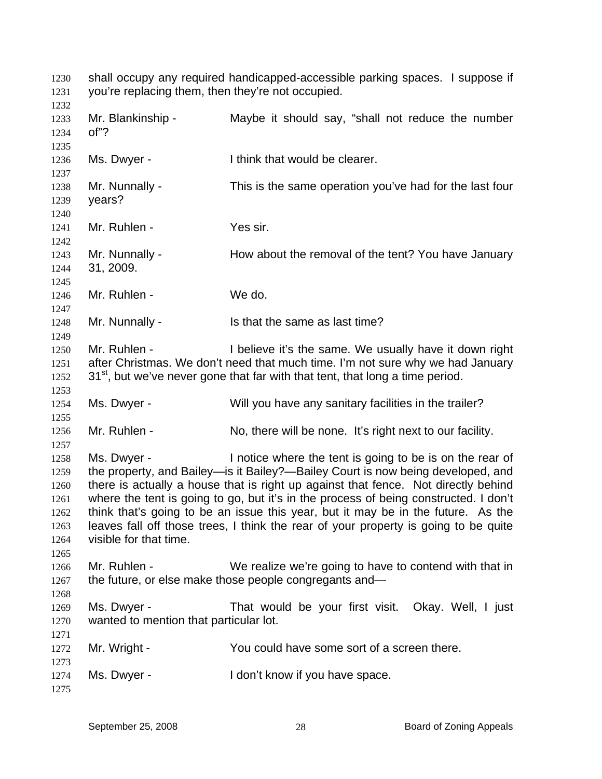shall occupy any required handicapped-accessible parking spaces. I suppose if you're replacing them, then they're not occupied. 1230 1231 1232 1233 1234 1235 1236 1237 1238 1239 1240 1241 1242 1243 1244 1245 1246 1247 1248 1249 1250 1251 1252 1253 1254 1255 1256 1257 1258 1259 1260 1261 1262 1263 1264 1265 1266 1267 1268 1269 1270 1271 1272 1273 1274 1275 Mr. Blankinship - Maybe it should say, "shall not reduce the number of"? Ms. Dwyer - Think that would be clearer. Mr. Nunnally - This is the same operation you've had for the last four years? Mr. Ruhlen - Yes sir. Mr. Nunnally - How about the removal of the tent? You have January 31, 2009. Mr. Ruhlen - We do. Mr. Nunnally - Is that the same as last time? Mr. Ruhlen - I believe it's the same. We usually have it down right after Christmas. We don't need that much time. I'm not sure why we had January  $31<sup>st</sup>$ , but we've never gone that far with that tent, that long a time period. Ms. Dwyer - Will you have any sanitary facilities in the trailer? Mr. Ruhlen - No, there will be none. It's right next to our facility. Ms. Dwyer - Inotice where the tent is going to be is on the rear of the property, and Bailey—is it Bailey?—Bailey Court is now being developed, and there is actually a house that is right up against that fence. Not directly behind where the tent is going to go, but it's in the process of being constructed. I don't think that's going to be an issue this year, but it may be in the future. As the leaves fall off those trees, I think the rear of your property is going to be quite visible for that time. Mr. Ruhlen - We realize we're going to have to contend with that in the future, or else make those people congregants and— Ms. Dwyer - That would be your first visit. Okay. Well, I just wanted to mention that particular lot. Mr. Wright - You could have some sort of a screen there. Ms. Dwyer - The Mon't know if you have space.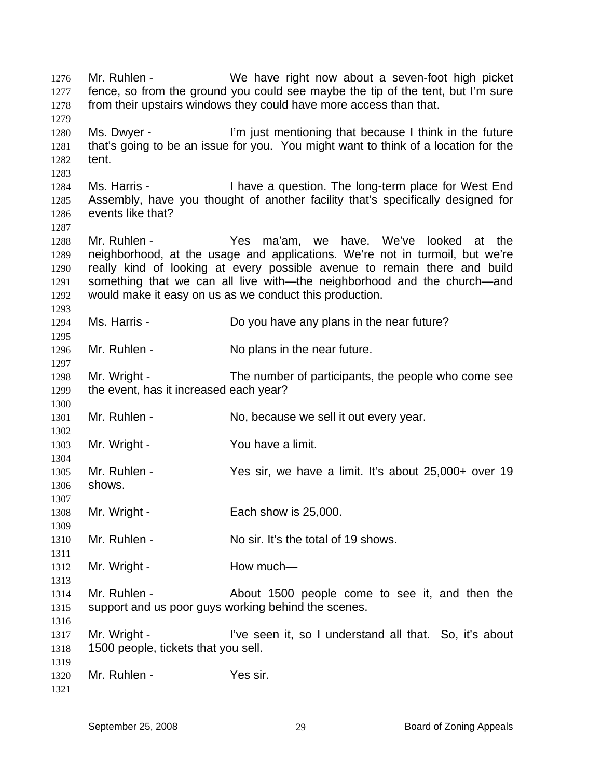Mr. Ruhlen - We have right now about a seven-foot high picket fence, so from the ground you could see maybe the tip of the tent, but I'm sure from their upstairs windows they could have more access than that. 1276 1277 1278 1279 1280 1281 1282 1283 1284 1285 1286 1287 1288 1289 1290 1291 1292 1293 1294 1295 1296 1297 1298 1299 1300 1301 1302 1303 1304 1305 1306 1307 1308 1309 1310 1311 1312 1313 1314 1315 1316 1317 1318 1319 1320 1321 Ms. Dwyer - The limit is the nettioning that because I think in the future that's going to be an issue for you. You might want to think of a location for the tent. Ms. Harris - Thave a question. The long-term place for West End Assembly, have you thought of another facility that's specifically designed for events like that? Mr. Ruhlen - Yes ma'am, we have. We've looked at the neighborhood, at the usage and applications. We're not in turmoil, but we're really kind of looking at every possible avenue to remain there and build something that we can all live with—the neighborhood and the church—and would make it easy on us as we conduct this production. Ms. Harris - Do you have any plans in the near future? Mr. Ruhlen - No plans in the near future. Mr. Wright - The number of participants, the people who come see the event, has it increased each year? Mr. Ruhlen - No, because we sell it out every year. Mr. Wright - You have a limit. Mr. Ruhlen - Yes sir, we have a limit. It's about 25,000+ over 19 shows. Mr. Wright - Each show is 25,000. Mr. Ruhlen - No sir. It's the total of 19 shows. Mr. Wright - **How much—** Mr. Ruhlen - The About 1500 people come to see it, and then the support and us poor guys working behind the scenes. Mr. Wright - I've seen it, so I understand all that. So, it's about 1500 people, tickets that you sell. Mr. Ruhlen - Yes sir.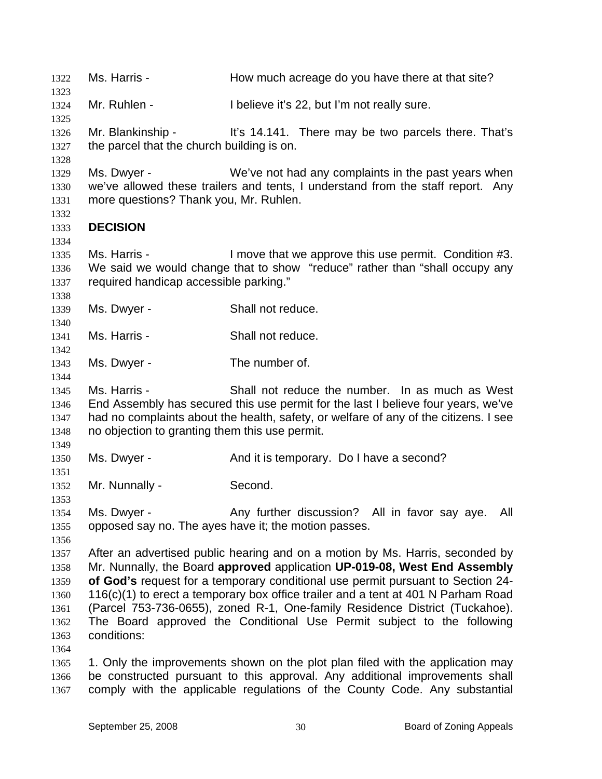1322 Ms. Harris - How much acreage do you have there at that site? 1323 1324 1325 1326 1327 1328 1329 1330 1331 1332 1333 1334 1335 1336 1337 1338 1339 1340 1341 1342 1343 1344 1345 1346 1347 1348 1349 1350 1351 1352 1353 1354 1355 1356 1357 1358 1359 1360 1361 1362 1363 1364 1365 1366 1367 Mr. Ruhlen - I believe it's 22, but I'm not really sure. Mr. Blankinship - It's 14.141. There may be two parcels there. That's the parcel that the church building is on. Ms. Dwyer - We've not had any complaints in the past years when we've allowed these trailers and tents, I understand from the staff report. Any more questions? Thank you, Mr. Ruhlen. **DECISION**  Ms. Harris - The Move that we approve this use permit. Condition #3. We said we would change that to show "reduce" rather than "shall occupy any required handicap accessible parking." Ms. Dwyer - Shall not reduce. Ms. Harris - Shall not reduce. Ms. Dwyer - The number of. Ms. Harris - Shall not reduce the number. In as much as West End Assembly has secured this use permit for the last I believe four years, we've had no complaints about the health, safety, or welfare of any of the citizens. I see no objection to granting them this use permit. Ms. Dwyer - The And it is temporary. Do I have a second? Mr. Nunnally - Second. Ms. Dwyer - The Any further discussion? All in favor say aye. All opposed say no. The ayes have it; the motion passes. After an advertised public hearing and on a motion by Ms. Harris, seconded by Mr. Nunnally, the Board **approved** application **UP-019-08, West End Assembly of God's** request for a temporary conditional use permit pursuant to Section 24- 116(c)(1) to erect a temporary box office trailer and a tent at 401 N Parham Road (Parcel 753-736-0655), zoned R-1, One-family Residence District (Tuckahoe). The Board approved the Conditional Use Permit subject to the following conditions: 1. Only the improvements shown on the plot plan filed with the application may be constructed pursuant to this approval. Any additional improvements shall comply with the applicable regulations of the County Code. Any substantial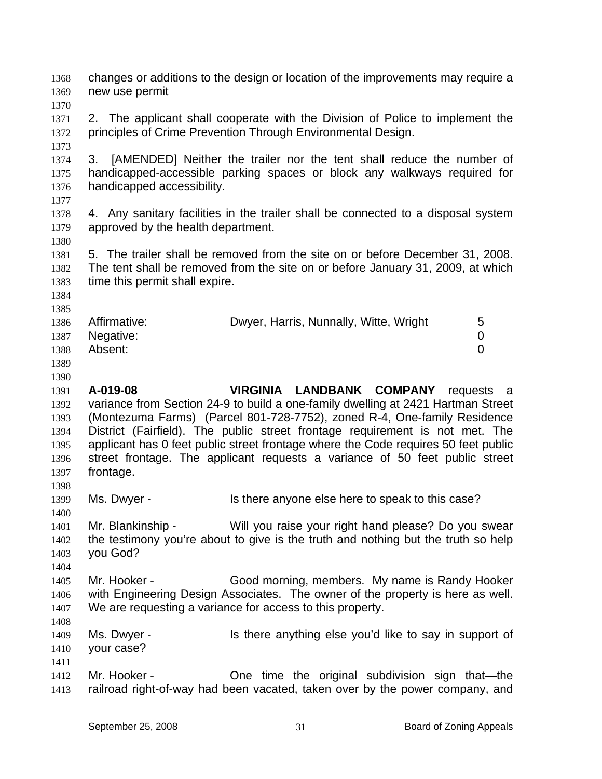changes or additions to the design or location of the improvements may require a new use permit 1368 1369 1370 1371 1372 1373 1374 1375 1376 1377 1378 1379 1380 1381 1382 1383 1384 1385 1386 1387 1388 1389 1390 1391 1392 1393 1394 1395 1396 1397 1398 1399 1400 1401 1402 1403 1404 1405 1406 1407 1408 1409 1410 1411 1412 1413 2. The applicant shall cooperate with the Division of Police to implement the principles of Crime Prevention Through Environmental Design. 3. [AMENDED] Neither the trailer nor the tent shall reduce the number of handicapped-accessible parking spaces or block any walkways required for handicapped accessibility. 4. Any sanitary facilities in the trailer shall be connected to a disposal system approved by the health department. 5. The trailer shall be removed from the site on or before December 31, 2008. The tent shall be removed from the site on or before January 31, 2009, at which time this permit shall expire. Affirmative: **Dwyer, Harris, Nunnally, Witte, Wright** 5 Negative: 0 Absent: 0 **A-019-08 VIRGINIA LANDBANK COMPANY** requests a variance from Section 24-9 to build a one-family dwelling at 2421 Hartman Street (Montezuma Farms) (Parcel 801-728-7752), zoned R-4, One-family Residence District (Fairfield). The public street frontage requirement is not met. The applicant has 0 feet public street frontage where the Code requires 50 feet public street frontage. The applicant requests a variance of 50 feet public street frontage. Ms. Dwyer - Is there anyone else here to speak to this case? Mr. Blankinship - Will you raise your right hand please? Do you swear the testimony you're about to give is the truth and nothing but the truth so help you God? Mr. Hooker - Good morning, members. My name is Randy Hooker with Engineering Design Associates. The owner of the property is here as well. We are requesting a variance for access to this property. Ms. Dwyer - Is there anything else you'd like to say in support of your case? Mr. Hooker - Che time the original subdivision sign that—the railroad right-of-way had been vacated, taken over by the power company, and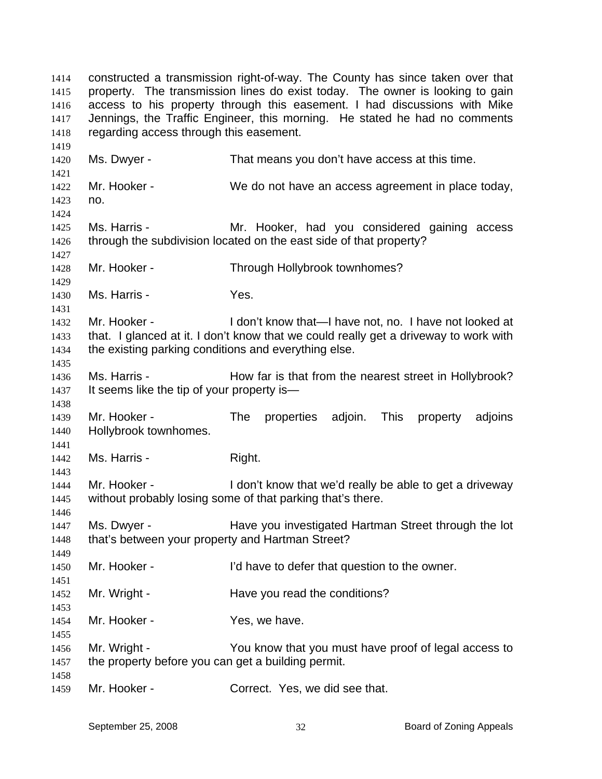constructed a transmission right-of-way. The County has since taken over that property. The transmission lines do exist today. The owner is looking to gain access to his property through this easement. I had discussions with Mike Jennings, the Traffic Engineer, this morning. He stated he had no comments regarding access through this easement. 1414 1415 1416 1417 1418 1419 1420 1421 1422 1423 1424 1425 1426 1427 1428 1429 1430 1431 1432 1433 1434 1435 1436 1437 1438 1439 1440 1441 1442 1443 1444 1445 1446 1447 1448 1449 1450 1451 1452 1453 1454 1455 1456 1457 1458 1459 Ms. Dwyer - That means you don't have access at this time. Mr. Hooker - We do not have an access agreement in place today, no. Ms. Harris - The Mr. Hooker, had you considered gaining access through the subdivision located on the east side of that property? Mr. Hooker - Through Hollybrook townhomes? Ms. Harris - Yes. Mr. Hooker - I don't know that—I have not, no. I have not looked at that. I glanced at it. I don't know that we could really get a driveway to work with the existing parking conditions and everything else. Ms. Harris - **How far is that from the nearest street in Hollybrook**? It seems like the tip of your property is— Mr. Hooker - The properties adjoin. This property adjoins Hollybrook townhomes. Ms. Harris - Right. Mr. Hooker - The I don't know that we'd really be able to get a driveway without probably losing some of that parking that's there. Ms. Dwyer - Have you investigated Hartman Street through the lot that's between your property and Hartman Street? Mr. Hooker - I'd have to defer that question to the owner. Mr. Wright - The Have you read the conditions? Mr. Hooker - Yes, we have. Mr. Wright - You know that you must have proof of legal access to the property before you can get a building permit. Mr. Hooker - Correct. Yes, we did see that.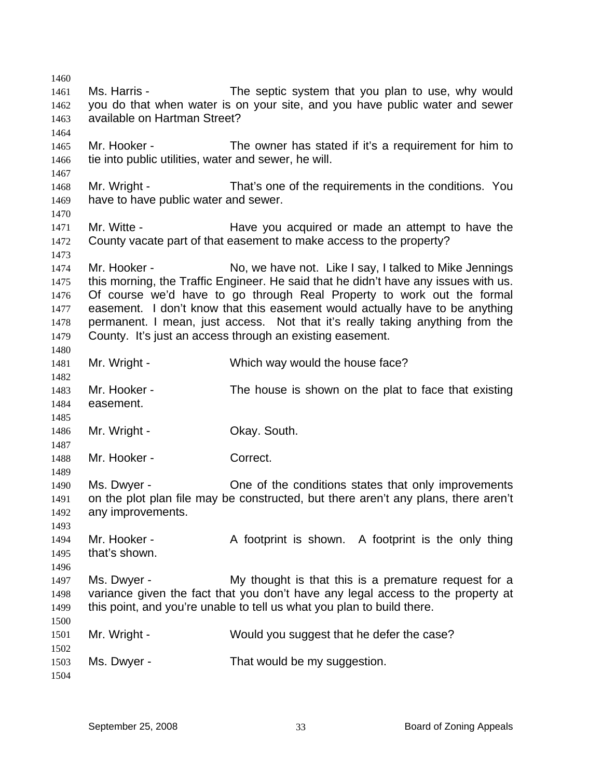1460 1461 1462 1463 1464 1465 1466 1467 1468 1469 1470 1471 1472 1473 1474 1475 1476 1477 1478 1479 1480 1481 1482 1483 1484 1485 1486 1487 1488 1489 1490 1491 1492 1493 1494 1495 1496 1497 1498 1499 1500 1501 1502 1503 1504 Ms. Harris - The septic system that you plan to use, why would you do that when water is on your site, and you have public water and sewer available on Hartman Street? Mr. Hooker - The owner has stated if it's a requirement for him to tie into public utilities, water and sewer, he will. Mr. Wright - That's one of the requirements in the conditions. You have to have public water and sewer. Mr. Witte - The Have you acquired or made an attempt to have the County vacate part of that easement to make access to the property? Mr. Hooker - No, we have not. Like I say, I talked to Mike Jennings this morning, the Traffic Engineer. He said that he didn't have any issues with us. Of course we'd have to go through Real Property to work out the formal easement. I don't know that this easement would actually have to be anything permanent. I mean, just access. Not that it's really taking anything from the County. It's just an access through an existing easement. Mr. Wright - Which way would the house face? Mr. Hooker - The house is shown on the plat to face that existing easement. Mr. Wright - Ckay. South. Mr. Hooker - Correct. Ms. Dwyer - China China of the conditions states that only improvements on the plot plan file may be constructed, but there aren't any plans, there aren't any improvements. Mr. Hooker - A footprint is shown. A footprint is the only thing that's shown. Ms. Dwyer - My thought is that this is a premature request for a variance given the fact that you don't have any legal access to the property at this point, and you're unable to tell us what you plan to build there. Mr. Wright - Would you suggest that he defer the case? Ms. Dwyer - That would be my suggestion.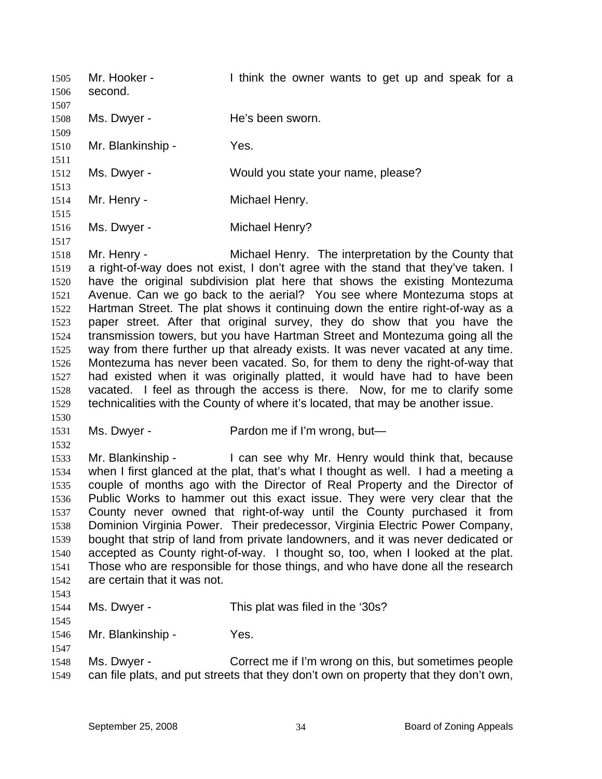| 1505<br>1506<br>1507                                                                                 | Mr. Hooker -<br>second. | I think the owner wants to get up and speak for a                                                                                                                                                                                                                                                                                                                                                                                                                                                                                                                                                                                                                                                                                                                                                                                                                                                                                                                   |
|------------------------------------------------------------------------------------------------------|-------------------------|---------------------------------------------------------------------------------------------------------------------------------------------------------------------------------------------------------------------------------------------------------------------------------------------------------------------------------------------------------------------------------------------------------------------------------------------------------------------------------------------------------------------------------------------------------------------------------------------------------------------------------------------------------------------------------------------------------------------------------------------------------------------------------------------------------------------------------------------------------------------------------------------------------------------------------------------------------------------|
| 1508<br>1509                                                                                         | Ms. Dwyer -             | He's been sworn.                                                                                                                                                                                                                                                                                                                                                                                                                                                                                                                                                                                                                                                                                                                                                                                                                                                                                                                                                    |
| 1510<br>1511                                                                                         | Mr. Blankinship -       | Yes.                                                                                                                                                                                                                                                                                                                                                                                                                                                                                                                                                                                                                                                                                                                                                                                                                                                                                                                                                                |
| 1512<br>1513                                                                                         | Ms. Dwyer -             | Would you state your name, please?                                                                                                                                                                                                                                                                                                                                                                                                                                                                                                                                                                                                                                                                                                                                                                                                                                                                                                                                  |
| 1514<br>1515                                                                                         | Mr. Henry -             | Michael Henry.                                                                                                                                                                                                                                                                                                                                                                                                                                                                                                                                                                                                                                                                                                                                                                                                                                                                                                                                                      |
| 1516<br>1517                                                                                         | Ms. Dwyer -             | Michael Henry?                                                                                                                                                                                                                                                                                                                                                                                                                                                                                                                                                                                                                                                                                                                                                                                                                                                                                                                                                      |
| 1518<br>1519<br>1520<br>1521<br>1522<br>1523<br>1524<br>1525<br>1526<br>1527<br>1528<br>1529<br>1530 | Mr. Henry -             | Michael Henry. The interpretation by the County that<br>a right-of-way does not exist, I don't agree with the stand that they've taken. I<br>have the original subdivision plat here that shows the existing Montezuma<br>Avenue. Can we go back to the aerial? You see where Montezuma stops at<br>Hartman Street. The plat shows it continuing down the entire right-of-way as a<br>paper street. After that original survey, they do show that you have the<br>transmission towers, but you have Hartman Street and Montezuma going all the<br>way from there further up that already exists. It was never vacated at any time.<br>Montezuma has never been vacated. So, for them to deny the right-of-way that<br>had existed when it was originally platted, it would have had to have been<br>vacated. I feel as through the access is there. Now, for me to clarify some<br>technicalities with the County of where it's located, that may be another issue. |
|                                                                                                      |                         |                                                                                                                                                                                                                                                                                                                                                                                                                                                                                                                                                                                                                                                                                                                                                                                                                                                                                                                                                                     |

- 1531 1532
- Ms. Dwyer Pardon me if I'm wrong, but—

1533 1534 1535 1536 1537 1538 1539 1540 1541 1542 Mr. Blankinship - I can see why Mr. Henry would think that, because when I first glanced at the plat, that's what I thought as well. I had a meeting a couple of months ago with the Director of Real Property and the Director of Public Works to hammer out this exact issue. They were very clear that the County never owned that right-of-way until the County purchased it from Dominion Virginia Power. Their predecessor, Virginia Electric Power Company, bought that strip of land from private landowners, and it was never dedicated or accepted as County right-of-way. I thought so, too, when I looked at the plat. Those who are responsible for those things, and who have done all the research are certain that it was not.

1543

1545

1547

1544 Ms. Dwyer - This plat was filed in the '30s?

1546 Mr. Blankinship - Yes.

1548 1549 Ms. Dwyer - Correct me if I'm wrong on this, but sometimes people can file plats, and put streets that they don't own on property that they don't own,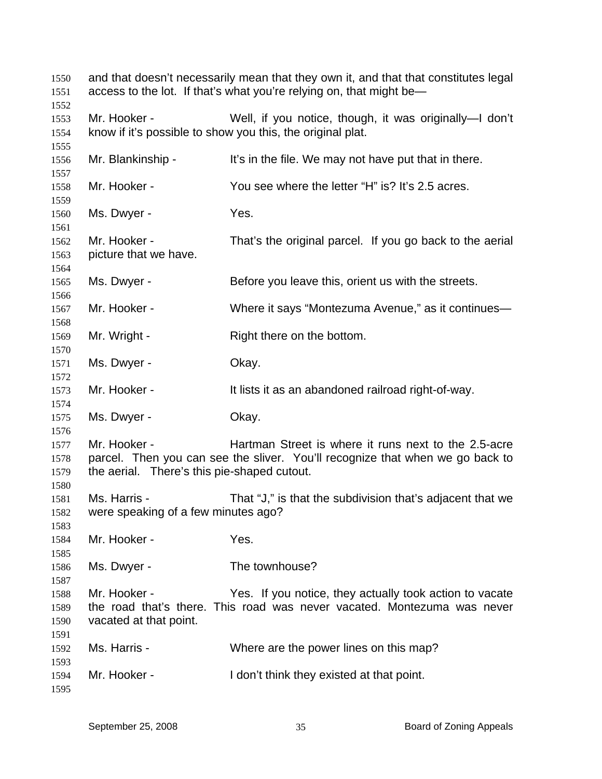and that doesn't necessarily mean that they own it, and that that constitutes legal access to the lot. If that's what you're relying on, that might be— Mr. Hooker - Well, if you notice, though, it was originally—I don't know if it's possible to show you this, the original plat. Mr. Blankinship - It's in the file. We may not have put that in there. Mr. Hooker - You see where the letter "H" is? It's 2.5 acres. Ms. Dwyer - Yes. Mr. Hooker - That's the original parcel. If you go back to the aerial picture that we have. Ms. Dwyer - Before you leave this, orient us with the streets. Mr. Hooker - Where it says "Montezuma Avenue," as it continues— Mr. Wright - Right there on the bottom. Ms. Dwyer - Chay. Mr. Hooker - The It lists it as an abandoned railroad right-of-way. Ms. Dwyer - Chay. Mr. Hooker - Hartman Street is where it runs next to the 2.5-acre parcel. Then you can see the sliver. You'll recognize that when we go back to the aerial. There's this pie-shaped cutout. Ms. Harris - That "J," is that the subdivision that's adjacent that we were speaking of a few minutes ago? Mr. Hooker - Yes. Ms. Dwyer - The townhouse? Mr. Hooker - The Yes. If you notice, they actually took action to vacate the road that's there. This road was never vacated. Montezuma was never vacated at that point. Ms. Harris - Where are the power lines on this map? Mr. Hooker - I don't think they existed at that point.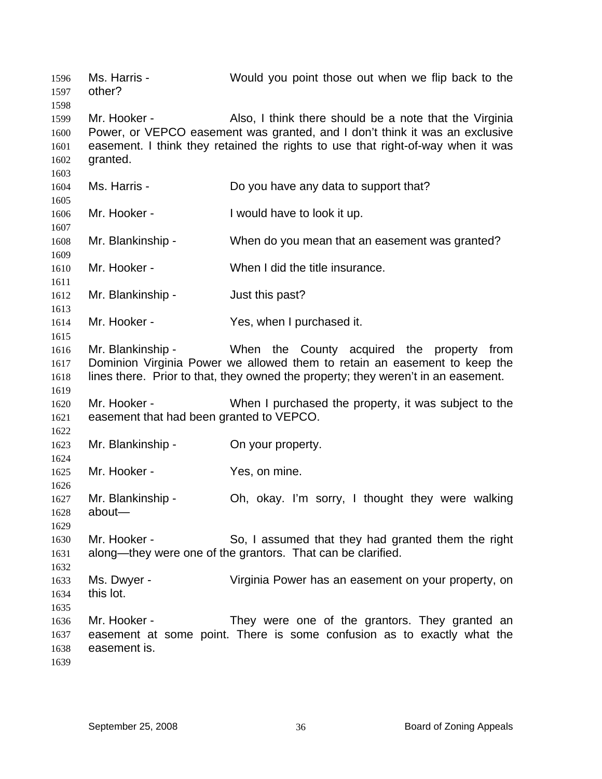Ms. Harris - Would you point those out when we flip back to the other? Mr. Hooker - **Also, I think there should be a note that the Virginia** Power, or VEPCO easement was granted, and I don't think it was an exclusive easement. I think they retained the rights to use that right-of-way when it was granted. Ms. Harris - Do you have any data to support that? Mr. Hooker - I would have to look it up. Mr. Blankinship - When do you mean that an easement was granted? Mr. Hooker - When I did the title insurance. Mr. Blankinship - The Just this past? Mr. Hooker - Yes, when I purchased it. Mr. Blankinship - When the County acquired the property from Dominion Virginia Power we allowed them to retain an easement to keep the lines there. Prior to that, they owned the property; they weren't in an easement. Mr. Hooker - When I purchased the property, it was subject to the easement that had been granted to VEPCO. Mr. Blankinship - On your property. Mr. Hooker - Yes, on mine. Mr. Blankinship - Oh, okay. I'm sorry, I thought they were walking about— Mr. Hooker - So, I assumed that they had granted them the right along—they were one of the grantors. That can be clarified. Ms. Dwyer - Virginia Power has an easement on your property, on this lot. Mr. Hooker - They were one of the grantors. They granted an easement at some point. There is some confusion as to exactly what the easement is.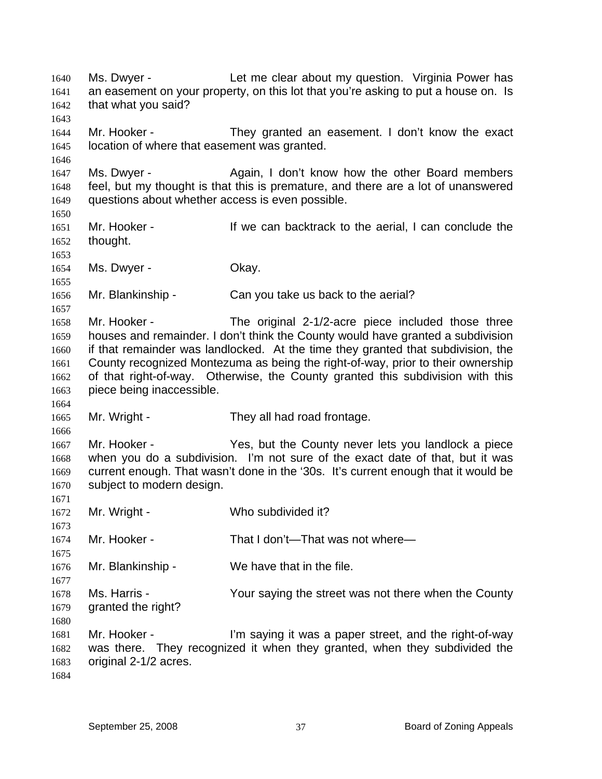Ms. Dwyer - The Let me clear about my question. Virginia Power has an easement on your property, on this lot that you're asking to put a house on. Is that what you said? 1640 1641 1642 1643 1644 1645 1646 1647 1648 1649 1650 1651 1652 1653 1654 1655 1656 1657 1658 1659 1660 1661 1662 1663 1664 1665 1666 1667 1668 1669 1670 1671 1672 1673 1674 1675 1676 1677 1678 1679 1680 1681 1682 1683 1684 Mr. Hooker - They granted an easement. I don't know the exact location of where that easement was granted. Ms. Dwyer - Again, I don't know how the other Board members feel, but my thought is that this is premature, and there are a lot of unanswered questions about whether access is even possible. Mr. Hooker - The Mr of the can backtrack to the aerial, I can conclude the thought. Ms. Dwyer - Chay. Mr. Blankinship - Can you take us back to the aerial? Mr. Hooker - The original 2-1/2-acre piece included those three houses and remainder. I don't think the County would have granted a subdivision if that remainder was landlocked. At the time they granted that subdivision, the County recognized Montezuma as being the right-of-way, prior to their ownership of that right-of-way. Otherwise, the County granted this subdivision with this piece being inaccessible. Mr. Wright - They all had road frontage. Mr. Hooker - The Yes, but the County never lets you landlock a piece when you do a subdivision. I'm not sure of the exact date of that, but it was current enough. That wasn't done in the '30s. It's current enough that it would be subject to modern design. Mr. Wright - Who subdivided it? Mr. Hooker - That I don't—That was not where— Mr. Blankinship - We have that in the file. Ms. Harris - The Your saying the street was not there when the County granted the right? Mr. Hooker - The saying it was a paper street, and the right-of-way was there. They recognized it when they granted, when they subdivided the original 2-1/2 acres.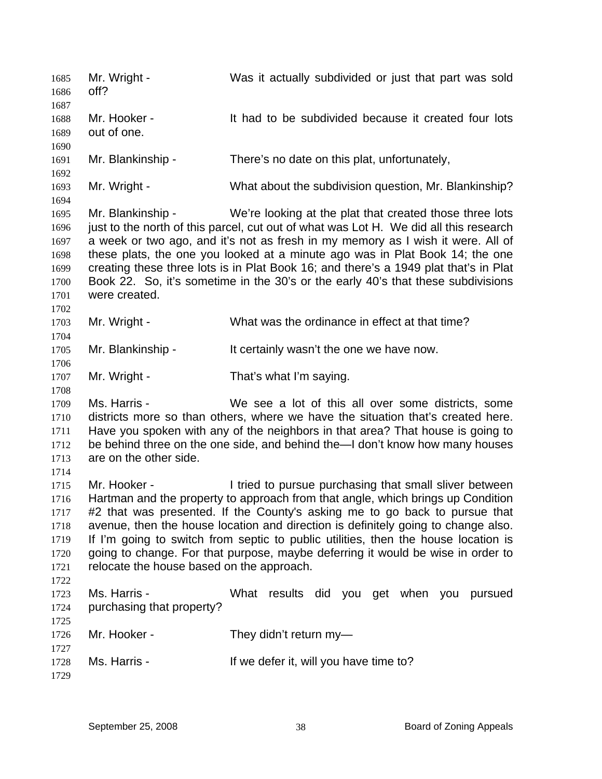Mr. Wright - Was it actually subdivided or just that part was sold off? 1685 1686 1687 1688 1689 1690 1691 1692 1693 1694 1695 1696 1697 1698 1699 1700 1701 1702 1703 1704 1705 1706 1707 1708 1709 1710 1711 1712 1713 1714 1715 1716 1717 1718 1719 1720 1721 1722 1723 1724 1725 1726 1727 1728 1729 Mr. Hooker - The Subdivided because it created four lots out of one. Mr. Blankinship - There's no date on this plat, unfortunately, Mr. Wright - What about the subdivision question, Mr. Blankinship? Mr. Blankinship - We're looking at the plat that created those three lots just to the north of this parcel, cut out of what was Lot H. We did all this research a week or two ago, and it's not as fresh in my memory as I wish it were. All of these plats, the one you looked at a minute ago was in Plat Book 14; the one creating these three lots is in Plat Book 16; and there's a 1949 plat that's in Plat Book 22. So, it's sometime in the 30's or the early 40's that these subdivisions were created. Mr. Wright - What was the ordinance in effect at that time? Mr. Blankinship - It certainly wasn't the one we have now. Mr. Wright - That's what I'm saying. Ms. Harris - We see a lot of this all over some districts, some districts more so than others, where we have the situation that's created here. Have you spoken with any of the neighbors in that area? That house is going to be behind three on the one side, and behind the—I don't know how many houses are on the other side. Mr. Hooker - The I tried to pursue purchasing that small sliver between Hartman and the property to approach from that angle, which brings up Condition #2 that was presented. If the County's asking me to go back to pursue that avenue, then the house location and direction is definitely going to change also. If I'm going to switch from septic to public utilities, then the house location is going to change. For that purpose, maybe deferring it would be wise in order to relocate the house based on the approach. Ms. Harris - What results did you get when you pursued purchasing that property? Mr. Hooker - They didn't return my-Ms. Harris - If we defer it, will you have time to?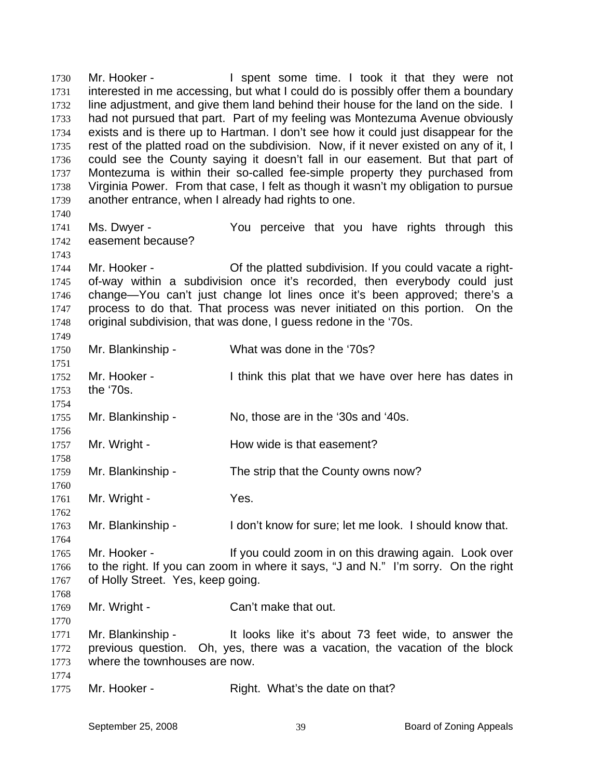Mr. Hooker - I spent some time. I took it that they were not interested in me accessing, but what I could do is possibly offer them a boundary line adjustment, and give them land behind their house for the land on the side. I had not pursued that part. Part of my feeling was Montezuma Avenue obviously exists and is there up to Hartman. I don't see how it could just disappear for the rest of the platted road on the subdivision. Now, if it never existed on any of it, I could see the County saying it doesn't fall in our easement. But that part of Montezuma is within their so-called fee-simple property they purchased from Virginia Power. From that case, I felt as though it wasn't my obligation to pursue another entrance, when I already had rights to one. 1730 1731 1732 1733 1734 1735 1736 1737 1738 1739 1740 1741 1742 1743 1744 1745 1746 1747 1748 1749 1750 1751 1752 1753 1754 1755 1756 1757 1758 1759 1760 1761 1762 1763 1764 1765 1766 1767 1768 1769 1770 1771 1772 1773 1774 1775 Ms. Dwyer - The You perceive that you have rights through this easement because? Mr. Hooker - **Of the platted subdivision.** If you could vacate a rightof-way within a subdivision once it's recorded, then everybody could just change—You can't just change lot lines once it's been approved; there's a process to do that. That process was never initiated on this portion. On the original subdivision, that was done, I guess redone in the '70s. Mr. Blankinship - What was done in the '70s? Mr. Hooker - Think this plat that we have over here has dates in the '70s. Mr. Blankinship - No, those are in the '30s and '40s. Mr. Wright - **How wide is that easement?** Mr. Blankinship - The strip that the County owns now? Mr. Wright - Yes. Mr. Blankinship - I don't know for sure; let me look. I should know that. Mr. Hooker - If you could zoom in on this drawing again. Look over to the right. If you can zoom in where it says, "J and N." I'm sorry. On the right of Holly Street. Yes, keep going. Mr. Wright - Can't make that out. Mr. Blankinship - The looks like it's about 73 feet wide, to answer the previous question. Oh, yes, there was a vacation, the vacation of the block where the townhouses are now. Mr. Hooker - Right. What's the date on that?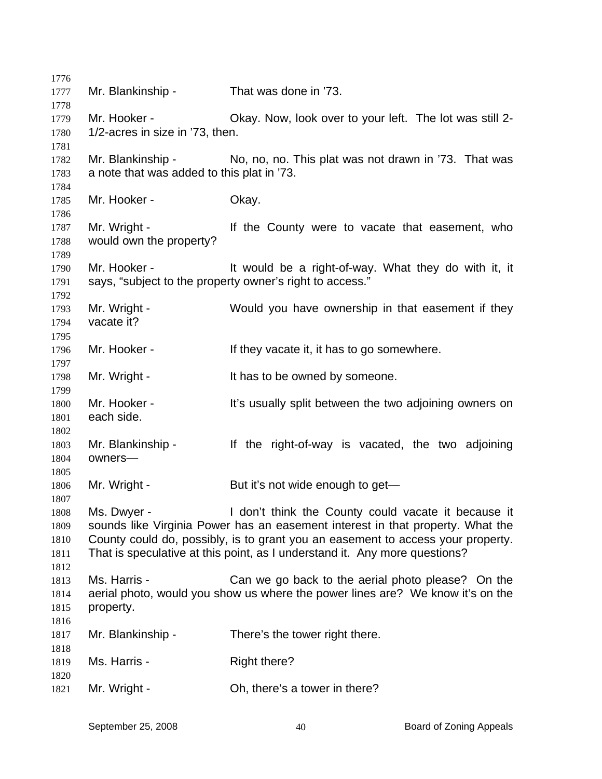Mr. Blankinship - That was done in '73. Mr. Hooker - Chay. Now, look over to your left. The lot was still 2-1/2-acres in size in '73, then. Mr. Blankinship - No, no, no. This plat was not drawn in '73. That was a note that was added to this plat in '73. Mr. Hooker - **Okay.** Mr. Wright - The County were to vacate that easement, who would own the property? Mr. Hooker - It would be a right-of-way. What they do with it, it says, "subject to the property owner's right to access." Mr. Wright - Would you have ownership in that easement if they vacate it? Mr. Hooker - If they vacate it, it has to go somewhere. Mr. Wright - It has to be owned by someone. Mr. Hooker - The This usually split between the two adjoining owners on each side. Mr. Blankinship - If the right-of-way is vacated, the two adjoining owners— Mr. Wright - But it's not wide enough to get— Ms. Dwyer - I don't think the County could vacate it because it sounds like Virginia Power has an easement interest in that property. What the County could do, possibly, is to grant you an easement to access your property. That is speculative at this point, as I understand it. Any more questions? Ms. Harris - Can we go back to the aerial photo please? On the aerial photo, would you show us where the power lines are? We know it's on the property. Mr. Blankinship - There's the tower right there. Ms. Harris - Right there? Mr. Wright - Ch, there's a tower in there?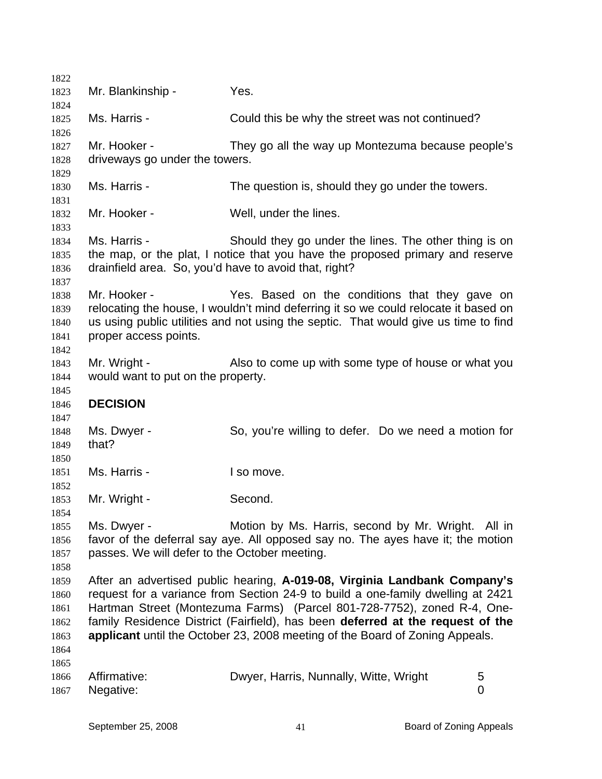| 1822         |                                                                                                                                                                            |                                                                                 |   |  |  |
|--------------|----------------------------------------------------------------------------------------------------------------------------------------------------------------------------|---------------------------------------------------------------------------------|---|--|--|
| 1823         | Mr. Blankinship -                                                                                                                                                          | Yes.                                                                            |   |  |  |
| 1824         |                                                                                                                                                                            |                                                                                 |   |  |  |
| 1825         | Ms. Harris -                                                                                                                                                               | Could this be why the street was not continued?                                 |   |  |  |
| 1826         |                                                                                                                                                                            |                                                                                 |   |  |  |
| 1827         | Mr. Hooker -                                                                                                                                                               | They go all the way up Montezuma because people's                               |   |  |  |
| 1828         | driveways go under the towers.                                                                                                                                             |                                                                                 |   |  |  |
| 1829         |                                                                                                                                                                            |                                                                                 |   |  |  |
| 1830         | Ms. Harris -                                                                                                                                                               | The question is, should they go under the towers.                               |   |  |  |
| 1831         |                                                                                                                                                                            |                                                                                 |   |  |  |
| 1832         | Mr. Hooker -                                                                                                                                                               | Well, under the lines.                                                          |   |  |  |
| 1833         |                                                                                                                                                                            |                                                                                 |   |  |  |
| 1834         | Ms. Harris -                                                                                                                                                               | Should they go under the lines. The other thing is on                           |   |  |  |
| 1835         | the map, or the plat, I notice that you have the proposed primary and reserve<br>drainfield area. So, you'd have to avoid that, right?                                     |                                                                                 |   |  |  |
| 1836         |                                                                                                                                                                            |                                                                                 |   |  |  |
| 1837         | Mr. Hooker -                                                                                                                                                               |                                                                                 |   |  |  |
| 1838<br>1839 |                                                                                                                                                                            | Yes. Based on the conditions that they gave on                                  |   |  |  |
| 1840         | relocating the house, I wouldn't mind deferring it so we could relocate it based on<br>us using public utilities and not using the septic. That would give us time to find |                                                                                 |   |  |  |
| 1841         | proper access points.                                                                                                                                                      |                                                                                 |   |  |  |
| 1842         |                                                                                                                                                                            |                                                                                 |   |  |  |
| 1843         | Mr. Wright -                                                                                                                                                               | Also to come up with some type of house or what you                             |   |  |  |
| 1844         | would want to put on the property.                                                                                                                                         |                                                                                 |   |  |  |
| 1845         |                                                                                                                                                                            |                                                                                 |   |  |  |
| 1846         | <b>DECISION</b>                                                                                                                                                            |                                                                                 |   |  |  |
| 1847         |                                                                                                                                                                            |                                                                                 |   |  |  |
| 1848         | Ms. Dwyer -                                                                                                                                                                | So, you're willing to defer. Do we need a motion for                            |   |  |  |
| 1849         | that?                                                                                                                                                                      |                                                                                 |   |  |  |
| 1850         |                                                                                                                                                                            |                                                                                 |   |  |  |
| 1851         | Ms. Harris -                                                                                                                                                               | I so move.                                                                      |   |  |  |
| 1852         |                                                                                                                                                                            |                                                                                 |   |  |  |
| 1853         | Mr. Wright -                                                                                                                                                               | Second.                                                                         |   |  |  |
| 1854         |                                                                                                                                                                            |                                                                                 |   |  |  |
| 1855         | Ms. Dwyer -                                                                                                                                                                | Motion by Ms. Harris, second by Mr. Wright. All in                              |   |  |  |
| 1856         |                                                                                                                                                                            | favor of the deferral say aye. All opposed say no. The ayes have it; the motion |   |  |  |
| 1857         | passes. We will defer to the October meeting.                                                                                                                              |                                                                                 |   |  |  |
| 1858         |                                                                                                                                                                            |                                                                                 |   |  |  |
| 1859         |                                                                                                                                                                            | After an advertised public hearing, A-019-08, Virginia Landbank Company's       |   |  |  |
| 1860         | request for a variance from Section 24-9 to build a one-family dwelling at 2421                                                                                            |                                                                                 |   |  |  |
| 1861         | Hartman Street (Montezuma Farms) (Parcel 801-728-7752), zoned R-4, One-                                                                                                    |                                                                                 |   |  |  |
| 1862         | family Residence District (Fairfield), has been deferred at the request of the                                                                                             |                                                                                 |   |  |  |
| 1863         |                                                                                                                                                                            | applicant until the October 23, 2008 meeting of the Board of Zoning Appeals.    |   |  |  |
| 1864         |                                                                                                                                                                            |                                                                                 |   |  |  |
| 1865         |                                                                                                                                                                            |                                                                                 |   |  |  |
| 1866         | Affirmative:                                                                                                                                                               | Dwyer, Harris, Nunnally, Witte, Wright                                          | 5 |  |  |
| 1867         | Negative:                                                                                                                                                                  |                                                                                 | 0 |  |  |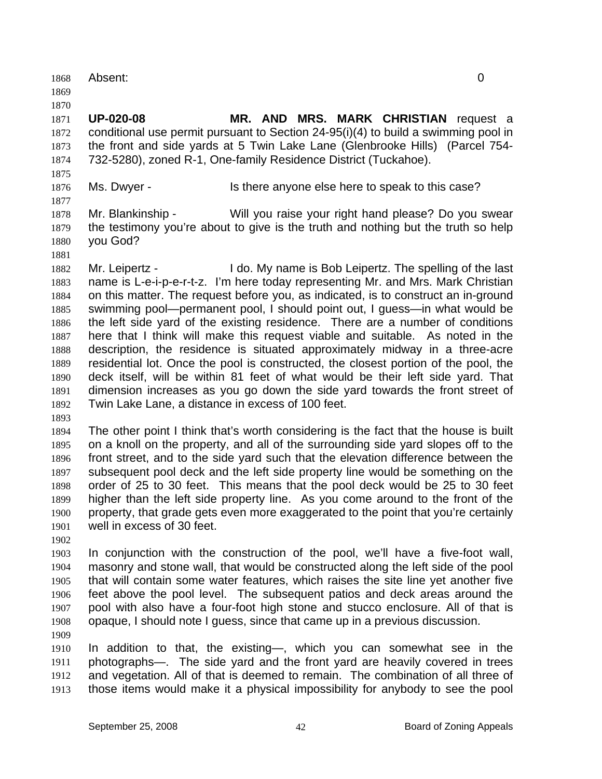1868 Absent: 0 1869 1870 1871 1872 1873 1874 1875 1876 1877 1878 1879 1880 1881 1882 1883 1884 1885 1886 1887 1888 1889 1890 1891 1892 1893 1894 1895 1896 1897 1898 1899 1900 1901 1902 1903 1904 1905 1906 1907 1908 1909 1910 1911 1912 1913 **UP-020-08 MR. AND MRS. MARK CHRISTIAN** request a conditional use permit pursuant to Section 24-95(i)(4) to build a swimming pool in the front and side yards at 5 Twin Lake Lane (Glenbrooke Hills) (Parcel 754- 732-5280), zoned R-1, One-family Residence District (Tuckahoe). Ms. Dwyer - This there anyone else here to speak to this case? Mr. Blankinship - Will you raise your right hand please? Do you swear the testimony you're about to give is the truth and nothing but the truth so help you God? Mr. Leipertz - **I** do. My name is Bob Leipertz. The spelling of the last name is L-e-i-p-e-r-t-z. I'm here today representing Mr. and Mrs. Mark Christian on this matter. The request before you, as indicated, is to construct an in-ground swimming pool—permanent pool, I should point out, I guess—in what would be the left side yard of the existing residence. There are a number of conditions here that I think will make this request viable and suitable. As noted in the description, the residence is situated approximately midway in a three-acre residential lot. Once the pool is constructed, the closest portion of the pool, the deck itself, will be within 81 feet of what would be their left side yard. That dimension increases as you go down the side yard towards the front street of Twin Lake Lane, a distance in excess of 100 feet. The other point I think that's worth considering is the fact that the house is built on a knoll on the property, and all of the surrounding side yard slopes off to the front street, and to the side yard such that the elevation difference between the subsequent pool deck and the left side property line would be something on the order of 25 to 30 feet. This means that the pool deck would be 25 to 30 feet higher than the left side property line. As you come around to the front of the property, that grade gets even more exaggerated to the point that you're certainly well in excess of 30 feet. In conjunction with the construction of the pool, we'll have a five-foot wall, masonry and stone wall, that would be constructed along the left side of the pool that will contain some water features, which raises the site line yet another five feet above the pool level. The subsequent patios and deck areas around the pool with also have a four-foot high stone and stucco enclosure. All of that is opaque, I should note I guess, since that came up in a previous discussion. In addition to that, the existing—, which you can somewhat see in the photographs—. The side yard and the front yard are heavily covered in trees and vegetation. All of that is deemed to remain. The combination of all three of those items would make it a physical impossibility for anybody to see the pool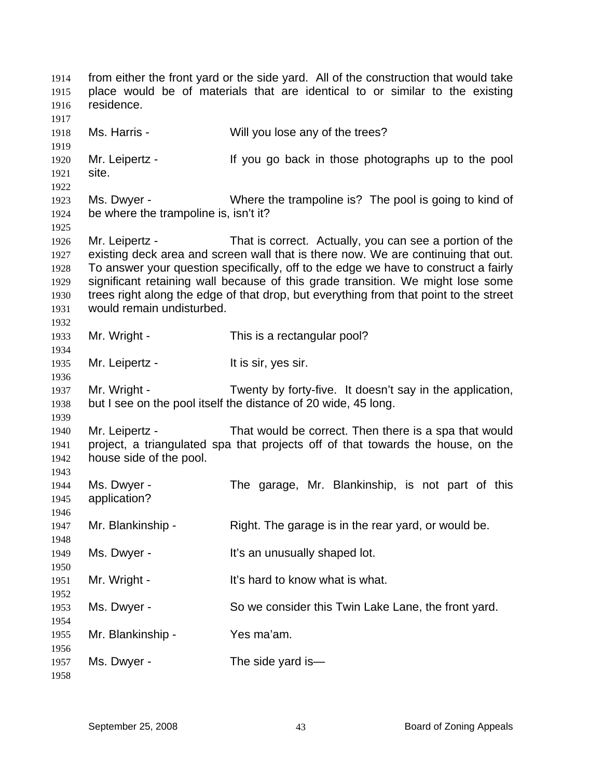from either the front yard or the side yard. All of the construction that would take place would be of materials that are identical to or similar to the existing residence. 1914 1915 1916 1917 1918 1919 1920 1921 1922 1923 1924 1925 1926 1927 1928 1929 1930 1931 1932 1933 1934 1935 1936 1937 1938 1939 1940 1941 1942 1943 1944 1945 1946 1947 1948 1949 1950 1951 1952 1953 1954 1955 1956 1957 1958 Ms. Harris - Will you lose any of the trees? Mr. Leipertz - If you go back in those photographs up to the pool site. Ms. Dwyer - Where the trampoline is? The pool is going to kind of be where the trampoline is, isn't it? Mr. Leipertz - That is correct. Actually, you can see a portion of the existing deck area and screen wall that is there now. We are continuing that out. To answer your question specifically, off to the edge we have to construct a fairly significant retaining wall because of this grade transition. We might lose some trees right along the edge of that drop, but everything from that point to the street would remain undisturbed. Mr. Wright - This is a rectangular pool? Mr. Leipertz - It is sir, yes sir. Mr. Wright - Twenty by forty-five. It doesn't say in the application, but I see on the pool itself the distance of 20 wide, 45 long. Mr. Leipertz - That would be correct. Then there is a spa that would project, a triangulated spa that projects off of that towards the house, on the house side of the pool. Ms. Dwyer - The garage, Mr. Blankinship, is not part of this application? Mr. Blankinship - Right. The garage is in the rear yard, or would be. Ms. Dwyer - The Musually shaped lot. Mr. Wright - It's hard to know what is what. Ms. Dwyer - So we consider this Twin Lake Lane, the front yard. Mr. Blankinship - Yes ma'am. Ms. Dwyer - The side yard is—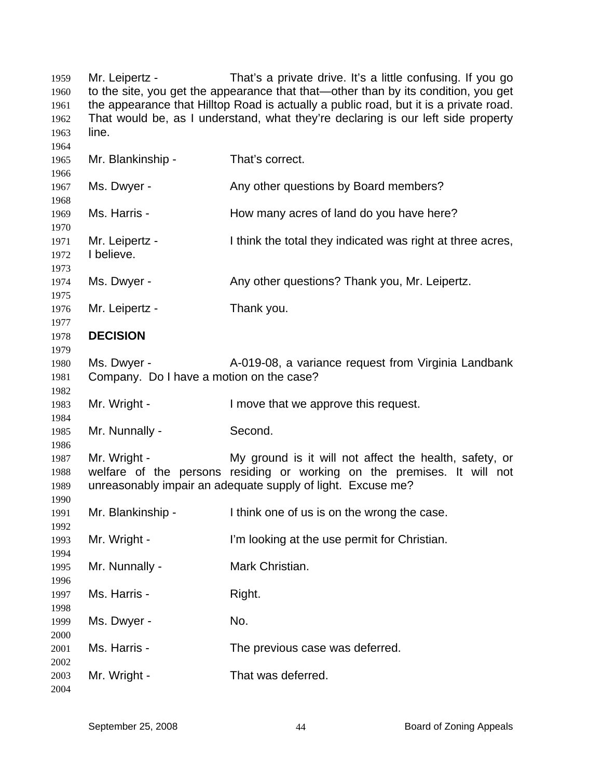Mr. Leipertz - That's a private drive. It's a little confusing. If you go to the site, you get the appearance that that—other than by its condition, you get the appearance that Hilltop Road is actually a public road, but it is a private road. That would be, as I understand, what they're declaring is our left side property line. Mr. Blankinship - That's correct. Ms. Dwyer - Any other questions by Board members? Ms. Harris - The Mow many acres of land do you have here? Mr. Leipertz - I think the total they indicated was right at three acres, I believe. Ms. Dwyer - Any other questions? Thank you, Mr. Leipertz. Mr. Leipertz - Thank you. **DECISION**  Ms. Dwyer - **A-019-08, a variance request from Virginia Landbank** Company. Do I have a motion on the case? Mr. Wright - I move that we approve this request. Mr. Nunnally - Second. Mr. Wright - My ground is it will not affect the health, safety, or welfare of the persons residing or working on the premises. It will not unreasonably impair an adequate supply of light. Excuse me? Mr. Blankinship - I think one of us is on the wrong the case. Mr. Wright - I'm looking at the use permit for Christian. Mr. Nunnally - Mark Christian. Ms. Harris - Right. Ms. Dwyer - No. Ms. Harris - The previous case was deferred. Mr. Wright - That was deferred.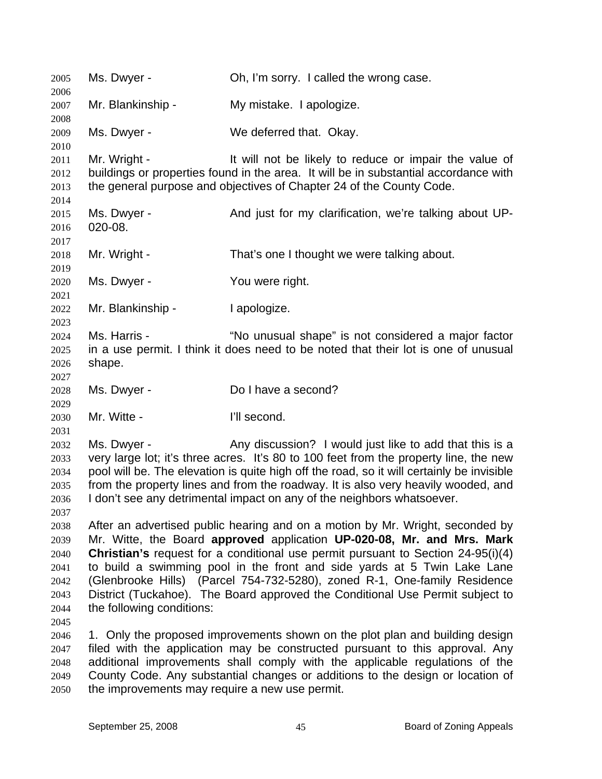2005 Ms. Dwyer - Oh, I'm sorry. I called the wrong case. 2006 2007 2008 2009 2010 2011 2012 2013 2014 2015 2016 2017 2018 2019 2020 2021 2022 2023 2024 2025 2026 2027 2028 2029 2030 2031 2032 2033 2034 2035 2036 2037 2038 2039 2040 2041 2042 2043 2044 2045 2046 2047 2048 2049 2050 Mr. Blankinship - My mistake. I apologize. Ms. Dwyer - We deferred that. Okay. Mr. Wright - The Muslim of be likely to reduce or impair the value of buildings or properties found in the area. It will be in substantial accordance with the general purpose and objectives of Chapter 24 of the County Code. Ms. Dwyer - The And just for my clarification, we're talking about UP-020-08. Mr. Wright - That's one I thought we were talking about. Ms. Dwyer - You were right. Mr. Blankinship - I apologize. Ms. Harris - "No unusual shape" is not considered a major factor in a use permit. I think it does need to be noted that their lot is one of unusual shape. Ms. Dwyer - Do I have a second? Mr. Witte - The Music Communist Communist Communist Policy Number 2016. Ms. Dwyer - Any discussion? I would just like to add that this is a very large lot; it's three acres. It's 80 to 100 feet from the property line, the new pool will be. The elevation is quite high off the road, so it will certainly be invisible from the property lines and from the roadway. It is also very heavily wooded, and I don't see any detrimental impact on any of the neighbors whatsoever. After an advertised public hearing and on a motion by Mr. Wright, seconded by Mr. Witte, the Board **approved** application **UP-020-08, Mr. and Mrs. Mark Christian's** request for a conditional use permit pursuant to Section 24-95(i)(4) to build a swimming pool in the front and side yards at 5 Twin Lake Lane (Glenbrooke Hills) (Parcel 754-732-5280), zoned R-1, One-family Residence District (Tuckahoe). The Board approved the Conditional Use Permit subject to the following conditions: 1. Only the proposed improvements shown on the plot plan and building design filed with the application may be constructed pursuant to this approval. Any additional improvements shall comply with the applicable regulations of the County Code. Any substantial changes or additions to the design or location of the improvements may require a new use permit.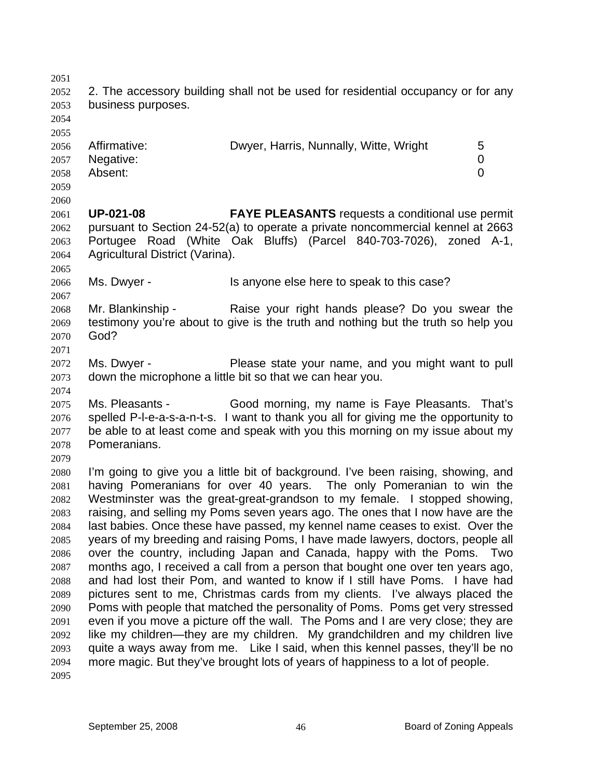2051 2052 2053 2054 2055 2056 2057 2058 2059 2060 2061 2062 2063 2064 2065 2066 2067 2068 2069 2070 2071 2072 2073 2074 2075 2076 2077 2078 2079 2080 2081 2082 2083 2084 2085 2086 2087 2088 2089 2090 2091 2092 2093 2094 2095 2. The accessory building shall not be used for residential occupancy or for any business purposes. Affirmative: **Dwyer, Harris, Nunnally, Witte, Wright** 5 Negative: 0 Absent: 0 **UP-021-08 FAYE PLEASANTS** requests a conditional use permit pursuant to Section 24-52(a) to operate a private noncommercial kennel at 2663 Portugee Road (White Oak Bluffs) (Parcel 840-703-7026), zoned A-1, Agricultural District (Varina). Ms. Dwyer - Is anyone else here to speak to this case? Mr. Blankinship - The Raise your right hands please? Do you swear the testimony you're about to give is the truth and nothing but the truth so help you God? Ms. Dwyer - Please state your name, and you might want to pull down the microphone a little bit so that we can hear you. Ms. Pleasants - Good morning, my name is Faye Pleasants. That's spelled P-l-e-a-s-a-n-t-s. I want to thank you all for giving me the opportunity to be able to at least come and speak with you this morning on my issue about my Pomeranians. I'm going to give you a little bit of background. I've been raising, showing, and having Pomeranians for over 40 years. The only Pomeranian to win the Westminster was the great-great-grandson to my female. I stopped showing, raising, and selling my Poms seven years ago. The ones that I now have are the last babies. Once these have passed, my kennel name ceases to exist. Over the years of my breeding and raising Poms, I have made lawyers, doctors, people all over the country, including Japan and Canada, happy with the Poms. Two months ago, I received a call from a person that bought one over ten years ago, and had lost their Pom, and wanted to know if I still have Poms. I have had pictures sent to me, Christmas cards from my clients. I've always placed the Poms with people that matched the personality of Poms. Poms get very stressed even if you move a picture off the wall. The Poms and I are very close; they are like my children—they are my children. My grandchildren and my children live quite a ways away from me. Like I said, when this kennel passes, they'll be no more magic. But they've brought lots of years of happiness to a lot of people.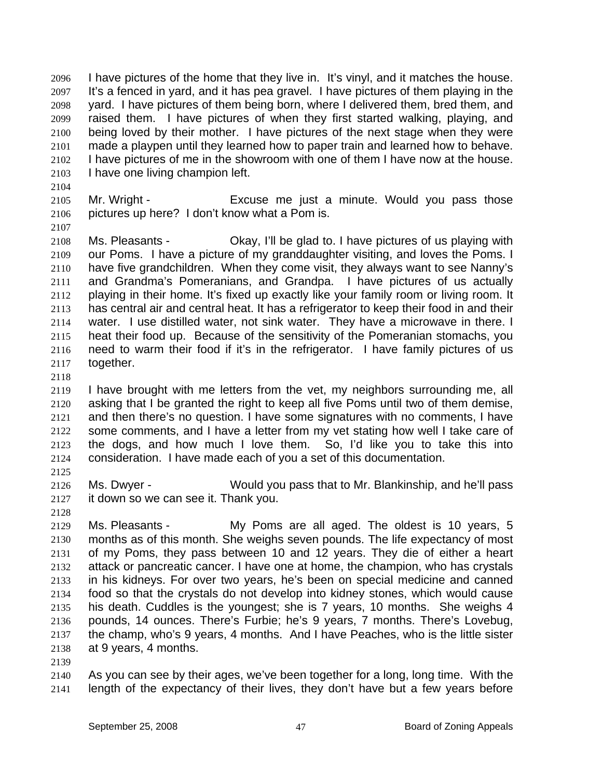I have pictures of the home that they live in. It's vinyl, and it matches the house. It's a fenced in yard, and it has pea gravel. I have pictures of them playing in the yard. I have pictures of them being born, where I delivered them, bred them, and raised them. I have pictures of when they first started walking, playing, and being loved by their mother. I have pictures of the next stage when they were made a playpen until they learned how to paper train and learned how to behave. I have pictures of me in the showroom with one of them I have now at the house. I have one living champion left. 2096 2097 2098 2099 2100 2101 2102 2103

2104

2107

2105 2106 Mr. Wright - Excuse me just a minute. Would you pass those pictures up here? I don't know what a Pom is.

2108 2109 2110 2111 2112 2113 2114 2115 2116 2117 Ms. Pleasants - Ckay, I'll be glad to. I have pictures of us playing with our Poms. I have a picture of my granddaughter visiting, and loves the Poms. I have five grandchildren. When they come visit, they always want to see Nanny's and Grandma's Pomeranians, and Grandpa. I have pictures of us actually playing in their home. It's fixed up exactly like your family room or living room. It has central air and central heat. It has a refrigerator to keep their food in and their water. I use distilled water, not sink water. They have a microwave in there. I heat their food up. Because of the sensitivity of the Pomeranian stomachs, you need to warm their food if it's in the refrigerator. I have family pictures of us together.

2118

2119 2120 2121 2122 2123 2124 I have brought with me letters from the vet, my neighbors surrounding me, all asking that I be granted the right to keep all five Poms until two of them demise, and then there's no question. I have some signatures with no comments, I have some comments, and I have a letter from my vet stating how well I take care of the dogs, and how much I love them. So, I'd like you to take this into consideration. I have made each of you a set of this documentation.

2125

2126 2127 Ms. Dwyer - Would you pass that to Mr. Blankinship, and he'll pass it down so we can see it. Thank you.

2128

2129 2130 2131 2132 2133 2134 2135 2136 2137 2138 Ms. Pleasants - My Poms are all aged. The oldest is 10 years, 5 months as of this month. She weighs seven pounds. The life expectancy of most of my Poms, they pass between 10 and 12 years. They die of either a heart attack or pancreatic cancer. I have one at home, the champion, who has crystals in his kidneys. For over two years, he's been on special medicine and canned food so that the crystals do not develop into kidney stones, which would cause his death. Cuddles is the youngest; she is 7 years, 10 months. She weighs 4 pounds, 14 ounces. There's Furbie; he's 9 years, 7 months. There's Lovebug, the champ, who's 9 years, 4 months. And I have Peaches, who is the little sister at 9 years, 4 months.

2139

2140 2141 As you can see by their ages, we've been together for a long, long time. With the length of the expectancy of their lives, they don't have but a few years before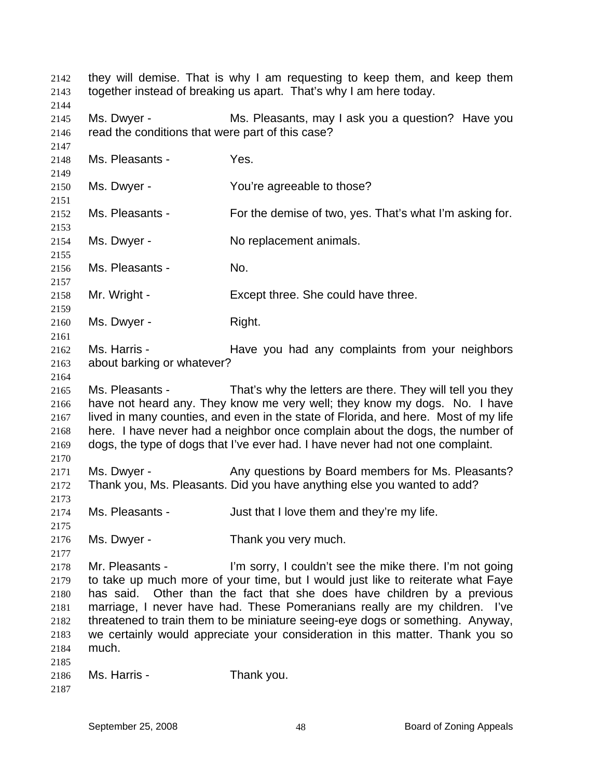they will demise. That is why I am requesting to keep them, and keep them together instead of breaking us apart. That's why I am here today. 2142 2143 2144 2145 2146 2147 2148 2149 2150 2151 2152 2153 2154 2155 2156 2157 2158 2159 2160 2161 2162 2163 2164 2165 2166 2167 2168 2169 2170 2171 2172 2173 2174 2175 2176 2177 2178 2179 2180 2181 2182 2183 2184 2185 2186 2187 Ms. Dwyer - Ms. Pleasants, may I ask you a question? Have you read the conditions that were part of this case? Ms. Pleasants - Yes. Ms. Dwyer - The You're agreeable to those? Ms. Pleasants - For the demise of two, yes. That's what I'm asking for. Ms. Dwyer - No replacement animals. Ms. Pleasants - No. Mr. Wright - Except three. She could have three. Ms. Dwyer - Right. Ms. Harris - The Have you had any complaints from your neighbors about barking or whatever? Ms. Pleasants - That's why the letters are there. They will tell you they have not heard any. They know me very well; they know my dogs. No. I have lived in many counties, and even in the state of Florida, and here. Most of my life here. I have never had a neighbor once complain about the dogs, the number of dogs, the type of dogs that I've ever had. I have never had not one complaint. Ms. Dwyer - Any questions by Board members for Ms. Pleasants? Thank you, Ms. Pleasants. Did you have anything else you wanted to add? Ms. Pleasants - The Suit that I love them and they're my life. Ms. Dwyer - Thank you very much. Mr. Pleasants - I'm sorry, I couldn't see the mike there. I'm not going to take up much more of your time, but I would just like to reiterate what Faye has said. Other than the fact that she does have children by a previous marriage, I never have had. These Pomeranians really are my children. I've threatened to train them to be miniature seeing-eye dogs or something. Anyway, we certainly would appreciate your consideration in this matter. Thank you so much. Ms. Harris - Thank you.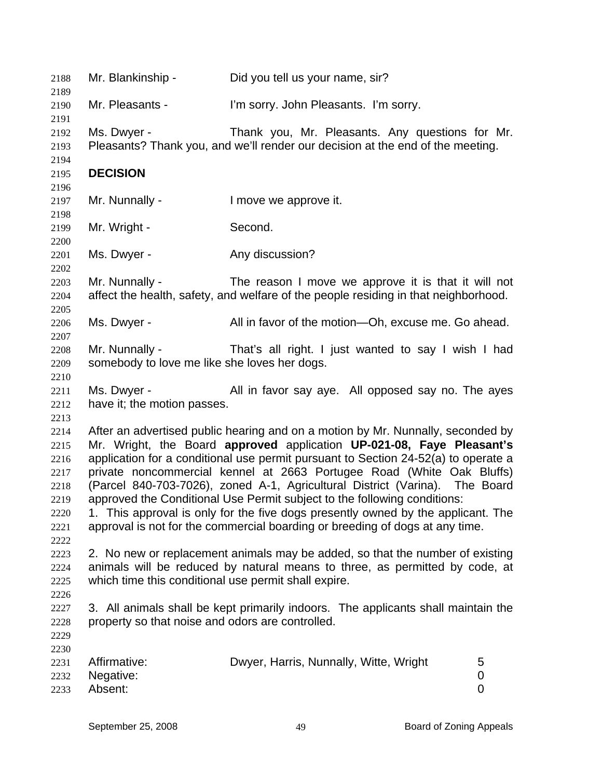| 2188<br>2189                                                         | Mr. Blankinship -                                              | Did you tell us your name, sir?                                                                                                                                                                                                                                                                                                                                                                                                                                                                                                                                                                                                                        |             |
|----------------------------------------------------------------------|----------------------------------------------------------------|--------------------------------------------------------------------------------------------------------------------------------------------------------------------------------------------------------------------------------------------------------------------------------------------------------------------------------------------------------------------------------------------------------------------------------------------------------------------------------------------------------------------------------------------------------------------------------------------------------------------------------------------------------|-------------|
| 2190<br>2191                                                         | Mr. Pleasants -                                                | I'm sorry. John Pleasants. I'm sorry.                                                                                                                                                                                                                                                                                                                                                                                                                                                                                                                                                                                                                  |             |
| 2192<br>2193<br>2194                                                 | Ms. Dwyer -                                                    | Thank you, Mr. Pleasants. Any questions for Mr.<br>Pleasants? Thank you, and we'll render our decision at the end of the meeting.                                                                                                                                                                                                                                                                                                                                                                                                                                                                                                                      |             |
| 2195                                                                 | <b>DECISION</b>                                                |                                                                                                                                                                                                                                                                                                                                                                                                                                                                                                                                                                                                                                                        |             |
| 2196<br>2197<br>2198                                                 | Mr. Nunnally -                                                 | I move we approve it.                                                                                                                                                                                                                                                                                                                                                                                                                                                                                                                                                                                                                                  |             |
| 2199<br>2200                                                         | Mr. Wright -                                                   | Second.                                                                                                                                                                                                                                                                                                                                                                                                                                                                                                                                                                                                                                                |             |
| 2201<br>2202                                                         | Ms. Dwyer -                                                    | Any discussion?                                                                                                                                                                                                                                                                                                                                                                                                                                                                                                                                                                                                                                        |             |
| 2203<br>2204<br>2205                                                 | Mr. Nunnally -                                                 | The reason I move we approve it is that it will not<br>affect the health, safety, and welfare of the people residing in that neighborhood.                                                                                                                                                                                                                                                                                                                                                                                                                                                                                                             |             |
| 2206<br>2207                                                         | Ms. Dwyer -                                                    | All in favor of the motion—Oh, excuse me. Go ahead.                                                                                                                                                                                                                                                                                                                                                                                                                                                                                                                                                                                                    |             |
| 2208<br>2209<br>2210                                                 | Mr. Nunnally -<br>somebody to love me like she loves her dogs. | That's all right. I just wanted to say I wish I had                                                                                                                                                                                                                                                                                                                                                                                                                                                                                                                                                                                                    |             |
| 2211<br>2212<br>2213                                                 | Ms. Dwyer -<br>have it; the motion passes.                     | All in favor say aye. All opposed say no. The ayes                                                                                                                                                                                                                                                                                                                                                                                                                                                                                                                                                                                                     |             |
| 2214<br>2215<br>2216<br>2217<br>2218<br>2219<br>2220<br>2221<br>2222 |                                                                | After an advertised public hearing and on a motion by Mr. Nunnally, seconded by<br>Mr. Wright, the Board approved application UP-021-08, Faye Pleasant's<br>application for a conditional use permit pursuant to Section 24-52(a) to operate a<br>private noncommercial kennel at 2663 Portugee Road (White Oak Bluffs)<br>(Parcel 840-703-7026), zoned A-1, Agricultural District (Varina). The Board<br>approved the Conditional Use Permit subject to the following conditions:<br>1. This approval is only for the five dogs presently owned by the applicant. The<br>approval is not for the commercial boarding or breeding of dogs at any time. |             |
| 2223<br>2224<br>2225<br>2226                                         | which time this conditional use permit shall expire.           | 2. No new or replacement animals may be added, so that the number of existing<br>animals will be reduced by natural means to three, as permitted by code, at                                                                                                                                                                                                                                                                                                                                                                                                                                                                                           |             |
| 2227<br>2228<br>2229                                                 | property so that noise and odors are controlled.               | 3. All animals shall be kept primarily indoors. The applicants shall maintain the                                                                                                                                                                                                                                                                                                                                                                                                                                                                                                                                                                      |             |
| 2230<br>2231<br>2232<br>2233                                         | Affirmative:<br>Negative:<br>Absent:                           | Dwyer, Harris, Nunnally, Witte, Wright                                                                                                                                                                                                                                                                                                                                                                                                                                                                                                                                                                                                                 | 5<br>0<br>0 |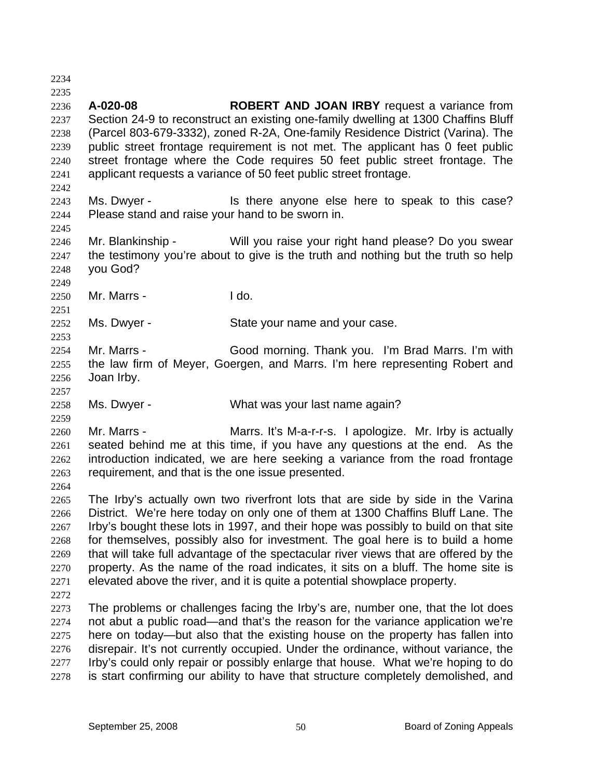2234 2235 2236 2237 2238 2239 2240 2241 2242 2243 2244 2245 2246 2247 2248 2249 2250 2251 2252 2253 2254 2255 2256 2257 2258 2259 2260 2261 2262 2263 2264 2265 2266 2267 2268 2269 2270 2271 2272 2273 2274 2275 2276 2277 2278 **A-020-08 ROBERT AND JOAN IRBY** request a variance from Section 24-9 to reconstruct an existing one-family dwelling at 1300 Chaffins Bluff (Parcel 803-679-3332), zoned R-2A, One-family Residence District (Varina). The public street frontage requirement is not met. The applicant has 0 feet public street frontage where the Code requires 50 feet public street frontage. The applicant requests a variance of 50 feet public street frontage. Ms. Dwyer - Is there anyone else here to speak to this case? Please stand and raise your hand to be sworn in. Mr. Blankinship - Will you raise your right hand please? Do you swear the testimony you're about to give is the truth and nothing but the truth so help you God? Mr. Marrs - I do. Ms. Dwyer - State your name and your case. Mr. Marrs - Good morning. Thank you. I'm Brad Marrs. I'm with the law firm of Meyer, Goergen, and Marrs. I'm here representing Robert and Joan Irby. Ms. Dwyer - What was your last name again? Mr. Marrs - Marrs. It's M-a-r-r-s. I apologize. Mr. Irby is actually seated behind me at this time, if you have any questions at the end. As the introduction indicated, we are here seeking a variance from the road frontage requirement, and that is the one issue presented. The Irby's actually own two riverfront lots that are side by side in the Varina District. We're here today on only one of them at 1300 Chaffins Bluff Lane. The Irby's bought these lots in 1997, and their hope was possibly to build on that site for themselves, possibly also for investment. The goal here is to build a home that will take full advantage of the spectacular river views that are offered by the property. As the name of the road indicates, it sits on a bluff. The home site is elevated above the river, and it is quite a potential showplace property. The problems or challenges facing the Irby's are, number one, that the lot does not abut a public road—and that's the reason for the variance application we're here on today—but also that the existing house on the property has fallen into disrepair. It's not currently occupied. Under the ordinance, without variance, the Irby's could only repair or possibly enlarge that house. What we're hoping to do is start confirming our ability to have that structure completely demolished, and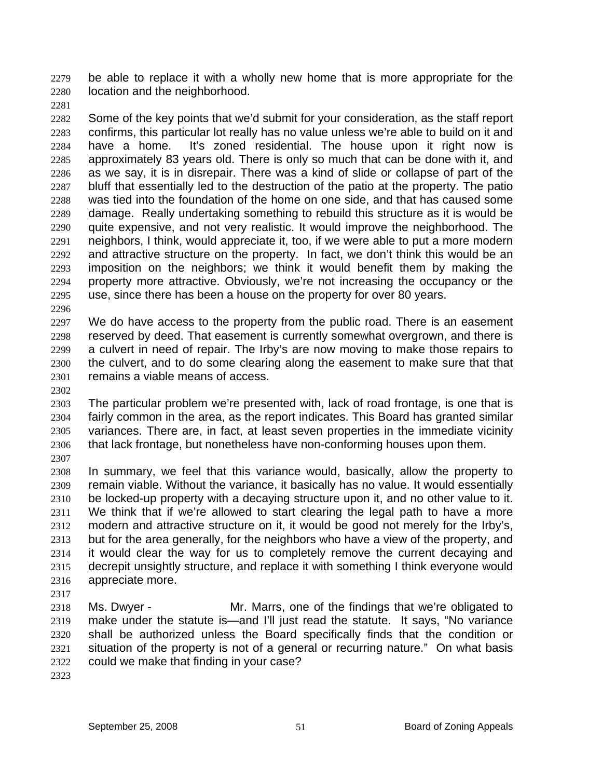be able to replace it with a wholly new home that is more appropriate for the location and the neighborhood. 2279 2280

2281

2282 2283 2284 2285 2286 2287 2288 2289 2290 2291 2292 2293 2294 2295 Some of the key points that we'd submit for your consideration, as the staff report confirms, this particular lot really has no value unless we're able to build on it and have a home. It's zoned residential. The house upon it right now is approximately 83 years old. There is only so much that can be done with it, and as we say, it is in disrepair. There was a kind of slide or collapse of part of the bluff that essentially led to the destruction of the patio at the property. The patio was tied into the foundation of the home on one side, and that has caused some damage. Really undertaking something to rebuild this structure as it is would be quite expensive, and not very realistic. It would improve the neighborhood. The neighbors, I think, would appreciate it, too, if we were able to put a more modern and attractive structure on the property. In fact, we don't think this would be an imposition on the neighbors; we think it would benefit them by making the property more attractive. Obviously, we're not increasing the occupancy or the use, since there has been a house on the property for over 80 years.

2296

2297 2298 2299 2300 2301 We do have access to the property from the public road. There is an easement reserved by deed. That easement is currently somewhat overgrown, and there is a culvert in need of repair. The Irby's are now moving to make those repairs to the culvert, and to do some clearing along the easement to make sure that that remains a viable means of access.

2302

2303 2304 2305 2306 The particular problem we're presented with, lack of road frontage, is one that is fairly common in the area, as the report indicates. This Board has granted similar variances. There are, in fact, at least seven properties in the immediate vicinity that lack frontage, but nonetheless have non-conforming houses upon them.

2307

2308 2309 2310 2311 2312 2313 2314 2315 2316 In summary, we feel that this variance would, basically, allow the property to remain viable. Without the variance, it basically has no value. It would essentially be locked-up property with a decaying structure upon it, and no other value to it. We think that if we're allowed to start clearing the legal path to have a more modern and attractive structure on it, it would be good not merely for the Irby's, but for the area generally, for the neighbors who have a view of the property, and it would clear the way for us to completely remove the current decaying and decrepit unsightly structure, and replace it with something I think everyone would appreciate more.

2317

2318 2319 2320 2321 2322 Ms. Dwyer - Mr. Marrs, one of the findings that we're obligated to make under the statute is—and I'll just read the statute. It says, "No variance shall be authorized unless the Board specifically finds that the condition or situation of the property is not of a general or recurring nature." On what basis could we make that finding in your case?

2323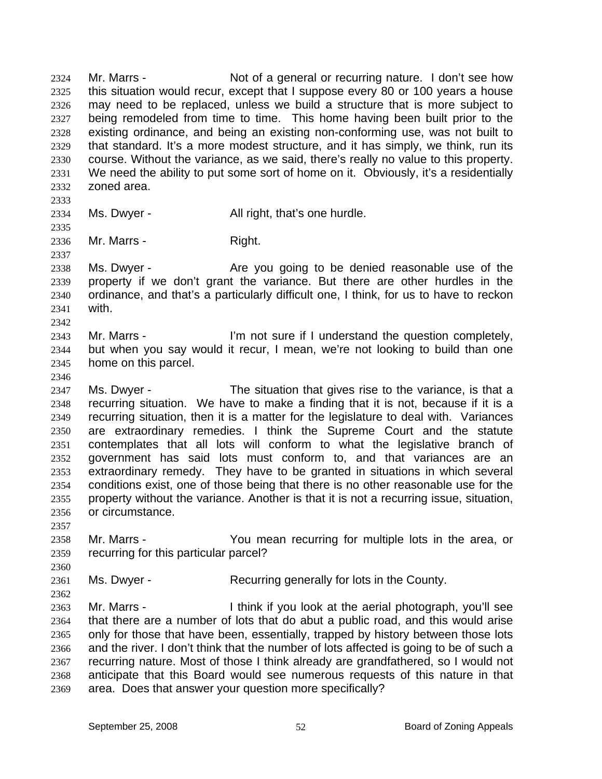Mr. Marrs - Not of a general or recurring nature. I don't see how this situation would recur, except that I suppose every 80 or 100 years a house may need to be replaced, unless we build a structure that is more subject to being remodeled from time to time. This home having been built prior to the existing ordinance, and being an existing non-conforming use, was not built to that standard. It's a more modest structure, and it has simply, we think, run its course. Without the variance, as we said, there's really no value to this property. We need the ability to put some sort of home on it. Obviously, it's a residentially zoned area. 2324 2325 2326 2327 2328 2329 2330 2331 2332 2333 2334 2335 2336 2337 2338 2339 2340 2341 2342 2343 2344 2345 2346 2347 2348 2349 2350 2351 2352 2353 2354 2355 2356 2357 2358 2359 2360 2361 2362 2363 2364 2365 2366 2367 2368 2369 Ms. Dwyer - The All right, that's one hurdle. Mr. Marrs - Right. Ms. Dwyer - Are you going to be denied reasonable use of the property if we don't grant the variance. But there are other hurdles in the ordinance, and that's a particularly difficult one, I think, for us to have to reckon with. Mr. Marrs - I'm not sure if I understand the question completely, but when you say would it recur, I mean, we're not looking to build than one home on this parcel. Ms. Dwyer - The situation that gives rise to the variance, is that a recurring situation. We have to make a finding that it is not, because if it is a recurring situation, then it is a matter for the legislature to deal with. Variances are extraordinary remedies. I think the Supreme Court and the statute contemplates that all lots will conform to what the legislative branch of government has said lots must conform to, and that variances are an extraordinary remedy. They have to be granted in situations in which several conditions exist, one of those being that there is no other reasonable use for the property without the variance. Another is that it is not a recurring issue, situation, or circumstance. Mr. Marrs - You mean recurring for multiple lots in the area, or recurring for this particular parcel? Ms. Dwyer - Recurring generally for lots in the County. Mr. Marrs - Think if you look at the aerial photograph, you'll see that there are a number of lots that do abut a public road, and this would arise only for those that have been, essentially, trapped by history between those lots and the river. I don't think that the number of lots affected is going to be of such a recurring nature. Most of those I think already are grandfathered, so I would not anticipate that this Board would see numerous requests of this nature in that area. Does that answer your question more specifically?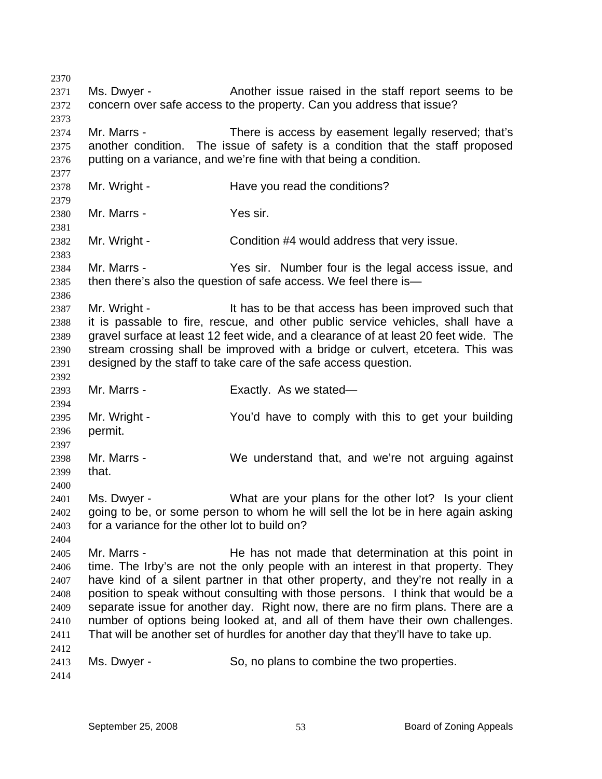2370 2371 2372 2373 2374 2375 2376 2377 2378 2379 2380 2381 2382 2383 2384 2385 2386 2387 2388 2389 2390 2391 2392 2393 2394 2395 2396 2397 2398 2399 2400 2401 2402 2403 2404 2405 2406 2407 2408 2409 2410 2411 2412 2413 2414 Ms. Dwyer - Another issue raised in the staff report seems to be concern over safe access to the property. Can you address that issue? Mr. Marrs - There is access by easement legally reserved; that's another condition. The issue of safety is a condition that the staff proposed putting on a variance, and we're fine with that being a condition. Mr. Wright - The Have you read the conditions? Mr. Marrs - Yes sir. Mr. Wright - Condition #4 would address that very issue. Mr. Marrs - Yes sir. Number four is the legal access issue, and then there's also the question of safe access. We feel there is— Mr. Wright - The Stote that access has been improved such that it is passable to fire, rescue, and other public service vehicles, shall have a gravel surface at least 12 feet wide, and a clearance of at least 20 feet wide. The stream crossing shall be improved with a bridge or culvert, etcetera. This was designed by the staff to take care of the safe access question. Mr. Marrs - Exactly. As we stated— Mr. Wright - The You'd have to comply with this to get your building permit. Mr. Marrs - We understand that, and we're not arguing against that. Ms. Dwyer - What are your plans for the other lot? Is your client going to be, or some person to whom he will sell the lot be in here again asking for a variance for the other lot to build on? Mr. Marrs - The has not made that determination at this point in time. The Irby's are not the only people with an interest in that property. They have kind of a silent partner in that other property, and they're not really in a position to speak without consulting with those persons. I think that would be a separate issue for another day. Right now, there are no firm plans. There are a number of options being looked at, and all of them have their own challenges. That will be another set of hurdles for another day that they'll have to take up. Ms. Dwyer - So, no plans to combine the two properties.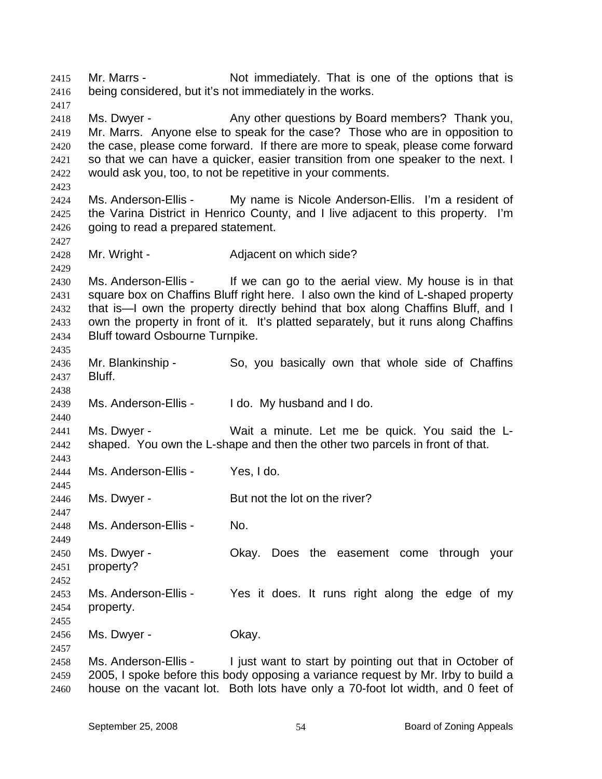Mr. Marrs - Not immediately. That is one of the options that is being considered, but it's not immediately in the works. 2415 2416 2417 2418 2419 2420 2421 2422 2423 2424 2425 2426 2427 2428 2429 2430 2431 2432 2433 2434 2435 2436 2437 2438 2439 2440 2441 2442 2443 2444 2445 2446 2447 2448 2449 2450 2451 2452 2453 2454 2455 2456 2457 2458 2459 2460 Ms. Dwyer - Any other questions by Board members? Thank you, Mr. Marrs. Anyone else to speak for the case? Those who are in opposition to the case, please come forward. If there are more to speak, please come forward so that we can have a quicker, easier transition from one speaker to the next. I would ask you, too, to not be repetitive in your comments. Ms. Anderson-Ellis - My name is Nicole Anderson-Ellis. I'm a resident of the Varina District in Henrico County, and I live adjacent to this property. I'm going to read a prepared statement. Mr. Wright - **Adjacent on which side?** Ms. Anderson-Ellis - If we can go to the aerial view. My house is in that square box on Chaffins Bluff right here. I also own the kind of L-shaped property that is—I own the property directly behind that box along Chaffins Bluff, and I own the property in front of it. It's platted separately, but it runs along Chaffins Bluff toward Osbourne Turnpike. Mr. Blankinship - So, you basically own that whole side of Chaffins Bluff. Ms. Anderson-Ellis - I do. My husband and I do. Ms. Dwyer - Wait a minute. Let me be quick. You said the Lshaped. You own the L-shape and then the other two parcels in front of that. Ms. Anderson-Ellis - Yes, I do. Ms. Dwyer - But not the lot on the river? Ms. Anderson-Ellis - No. Ms. Dwyer - The Okay. Does the easement come through your property? Ms. Anderson-Ellis - Yes it does. It runs right along the edge of my property. Ms. Dwyer - Chay. Ms. Anderson-Ellis - I just want to start by pointing out that in October of 2005, I spoke before this body opposing a variance request by Mr. Irby to build a house on the vacant lot. Both lots have only a 70-foot lot width, and 0 feet of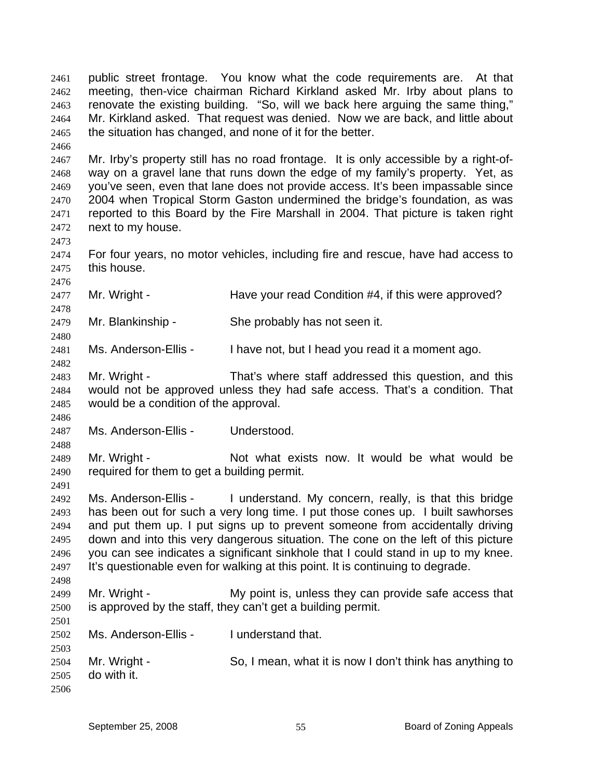public street frontage. You know what the code requirements are. At that meeting, then-vice chairman Richard Kirkland asked Mr. Irby about plans to renovate the existing building. "So, will we back here arguing the same thing," Mr. Kirkland asked. That request was denied. Now we are back, and little about the situation has changed, and none of it for the better. 2461 2462 2463 2464 2465

2467 2468 2469 2470 2471 2472 Mr. Irby's property still has no road frontage. It is only accessible by a right-ofway on a gravel lane that runs down the edge of my family's property. Yet, as you've seen, even that lane does not provide access. It's been impassable since 2004 when Tropical Storm Gaston undermined the bridge's foundation, as was reported to this Board by the Fire Marshall in 2004. That picture is taken right next to my house.

2474 2475 For four years, no motor vehicles, including fire and rescue, have had access to this house.

2477 Mr. Wright - The Have your read Condition #4, if this were approved?

2479 Mr. Blankinship - She probably has not seen it.

2481 Ms. Anderson-Ellis - I have not, but I head you read it a moment ago.

2483 2484 2485 Mr. Wright - That's where staff addressed this question, and this would not be approved unless they had safe access. That's a condition. That would be a condition of the approval.

2486 2487 Ms. Anderson-Ellis - Understood.

2466

2473

2476

2478

2480

2482

2488

2491

2501

2489 2490 Mr. Wright - Not what exists now. It would be what would be required for them to get a building permit.

2492 2493 2494 2495 2496 2497 2498 Ms. Anderson-Ellis - I understand. My concern, really, is that this bridge has been out for such a very long time. I put those cones up. I built sawhorses and put them up. I put signs up to prevent someone from accidentally driving down and into this very dangerous situation. The cone on the left of this picture you can see indicates a significant sinkhole that I could stand in up to my knee. It's questionable even for walking at this point. It is continuing to degrade.

2499 2500 Mr. Wright - My point is, unless they can provide safe access that is approved by the staff, they can't get a building permit.

- 2502 Ms. Anderson-Ellis - I understand that.
- 2503 2504 2505 2506 Mr. Wright - So, I mean, what it is now I don't think has anything to do with it.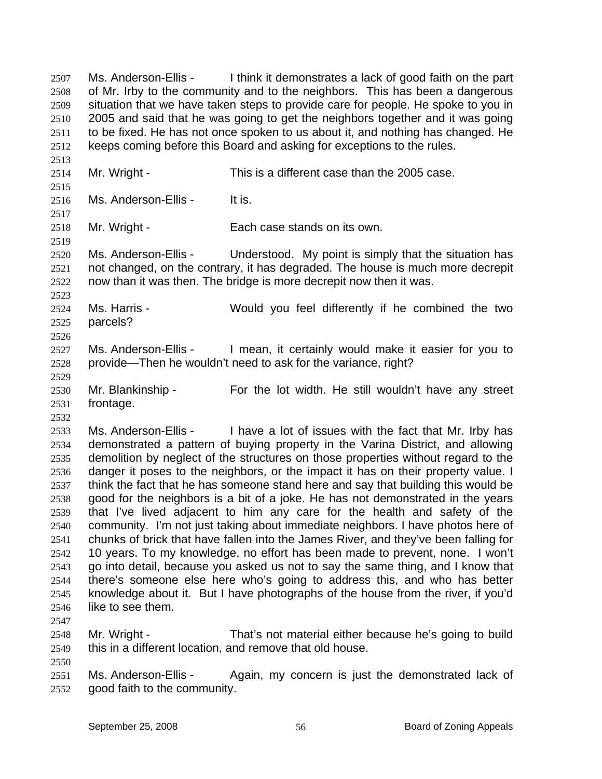Ms. Anderson-Ellis - I think it demonstrates a lack of good faith on the part of Mr. Irby to the community and to the neighbors. This has been a dangerous situation that we have taken steps to provide care for people. He spoke to you in 2005 and said that he was going to get the neighbors together and it was going to be fixed. He has not once spoken to us about it, and nothing has changed. He keeps coming before this Board and asking for exceptions to the rules. 2507 2508 2509 2510 2511 2512

2514 Mr. Wright - This is a different case than the 2005 case.

2516 Ms. Anderson-Ellis - It is.

2518 Mr. Wright - Each case stands on its own.

2520 2521 2522 Ms. Anderson-Ellis - Understood. My point is simply that the situation has not changed, on the contrary, it has degraded. The house is much more decrepit now than it was then. The bridge is more decrepit now then it was.

2524 2525 Ms. Harris - Would you feel differently if he combined the two parcels?

2527 2528 Ms. Anderson-Ellis - I mean, it certainly would make it easier for you to provide—Then he wouldn't need to ask for the variance, right?

2530 2531 Mr. Blankinship - For the lot width. He still wouldn't have any street frontage.

2533 2534 2535 2536 2537 2538 2539 2540 2541 2542 2543 2544 2545 2546 Ms. Anderson-Ellis - I have a lot of issues with the fact that Mr. Irby has demonstrated a pattern of buying property in the Varina District, and allowing demolition by neglect of the structures on those properties without regard to the danger it poses to the neighbors, or the impact it has on their property value. I think the fact that he has someone stand here and say that building this would be good for the neighbors is a bit of a joke. He has not demonstrated in the years that I've lived adjacent to him any care for the health and safety of the community. I'm not just taking about immediate neighbors. I have photos here of chunks of brick that have fallen into the James River, and they've been falling for 10 years. To my knowledge, no effort has been made to prevent, none. I won't go into detail, because you asked us not to say the same thing, and I know that there's someone else here who's going to address this, and who has better knowledge about it. But I have photographs of the house from the river, if you'd like to see them.

2547

2550

2513

2515

2517

2519

2523

2526

2529

2532

2548 2549 Mr. Wright - That's not material either because he's going to build this in a different location, and remove that old house.

2551 2552 Ms. Anderson-Ellis - Again, my concern is just the demonstrated lack of good faith to the community.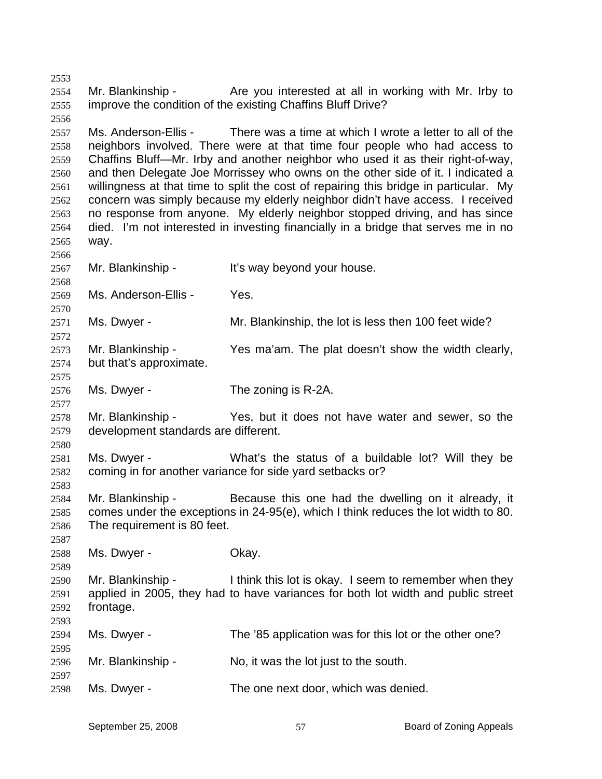2553 2554 2555 Mr. Blankinship - The you interested at all in working with Mr. Irby to improve the condition of the existing Chaffins Bluff Drive?

2557 2558 2559 2560 2561 2562 2563 2564 2565 Ms. Anderson-Ellis - There was a time at which I wrote a letter to all of the neighbors involved. There were at that time four people who had access to Chaffins Bluff—Mr. Irby and another neighbor who used it as their right-of-way, and then Delegate Joe Morrissey who owns on the other side of it. I indicated a willingness at that time to split the cost of repairing this bridge in particular. My concern was simply because my elderly neighbor didn't have access. I received no response from anyone. My elderly neighbor stopped driving, and has since died. I'm not interested in investing financially in a bridge that serves me in no way.

2567 Mr. Blankinship - It's way beyond your house.

2569 Ms. Anderson-Ellis - Yes.

2556

2566

2568

2570

2572

2575

2577

2580

2583

2587

2589

2595

2597

2571 Ms. Dwyer - Mr. Blankinship, the lot is less then 100 feet wide?

2573 2574 Mr. Blankinship - Yes ma'am. The plat doesn't show the width clearly, but that's approximate.

2576 Ms. Dwyer - The zoning is R-2A.

2578 2579 Mr. Blankinship - Yes, but it does not have water and sewer, so the development standards are different.

2581 2582 Ms. Dwyer - What's the status of a buildable lot? Will they be coming in for another variance for side yard setbacks or?

2584 2585 2586 Mr. Blankinship - Because this one had the dwelling on it already, it comes under the exceptions in 24-95(e), which I think reduces the lot width to 80. The requirement is 80 feet.

2588 Ms. Dwyer - Chay.

2590 2591 2592 2593 Mr. Blankinship - I think this lot is okay. I seem to remember when they applied in 2005, they had to have variances for both lot width and public street frontage.

2594 Ms. Dwyer - The '85 application was for this lot or the other one?

2596 Mr. Blankinship - No, it was the lot just to the south.

2598 Ms. Dwyer - The one next door, which was denied.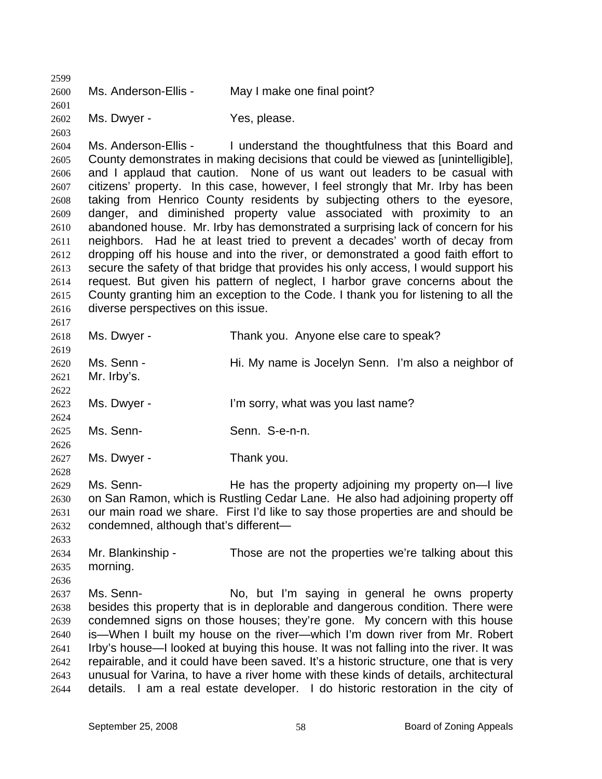2599 2600 2601 2602 2603 2604 2605 2606 2607 2608 2609 2610 2611 2612 2613 2614 2615 2616 2617 2618 2619 2620 2621 2622 2623 2624 2625 2626 2627 2628 2629 2630 2631 2632 2633 2634 2635 2636 2637 2638 2639 2640 2641 2642 2643 2644 Ms. Anderson-Ellis - May I make one final point? Ms. Dwyer - Yes, please. Ms. Anderson-Ellis - I understand the thoughtfulness that this Board and County demonstrates in making decisions that could be viewed as [unintelligible], and I applaud that caution. None of us want out leaders to be casual with citizens' property. In this case, however, I feel strongly that Mr. Irby has been taking from Henrico County residents by subjecting others to the eyesore, danger, and diminished property value associated with proximity to an abandoned house. Mr. Irby has demonstrated a surprising lack of concern for his neighbors. Had he at least tried to prevent a decades' worth of decay from dropping off his house and into the river, or demonstrated a good faith effort to secure the safety of that bridge that provides his only access, I would support his request. But given his pattern of neglect, I harbor grave concerns about the County granting him an exception to the Code. I thank you for listening to all the diverse perspectives on this issue. Ms. Dwyer - Thank you. Anyone else care to speak? Ms. Senn - Thi. My name is Jocelyn Senn. I'm also a neighbor of Mr. Irby's. Ms. Dwyer - I'm sorry, what was you last name? Ms. Senn- Senn. S-e-n-n. Ms. Dwyer - Thank you. Ms. Senn- **He has the property adjoining my property on—I live** on San Ramon, which is Rustling Cedar Lane. He also had adjoining property off our main road we share. First I'd like to say those properties are and should be condemned, although that's different— Mr. Blankinship - Those are not the properties we're talking about this morning. Ms. Senn- No, but I'm saying in general he owns property besides this property that is in deplorable and dangerous condition. There were condemned signs on those houses; they're gone. My concern with this house is—When I built my house on the river—which I'm down river from Mr. Robert Irby's house—I looked at buying this house. It was not falling into the river. It was repairable, and it could have been saved. It's a historic structure, one that is very unusual for Varina, to have a river home with these kinds of details, architectural details. I am a real estate developer. I do historic restoration in the city of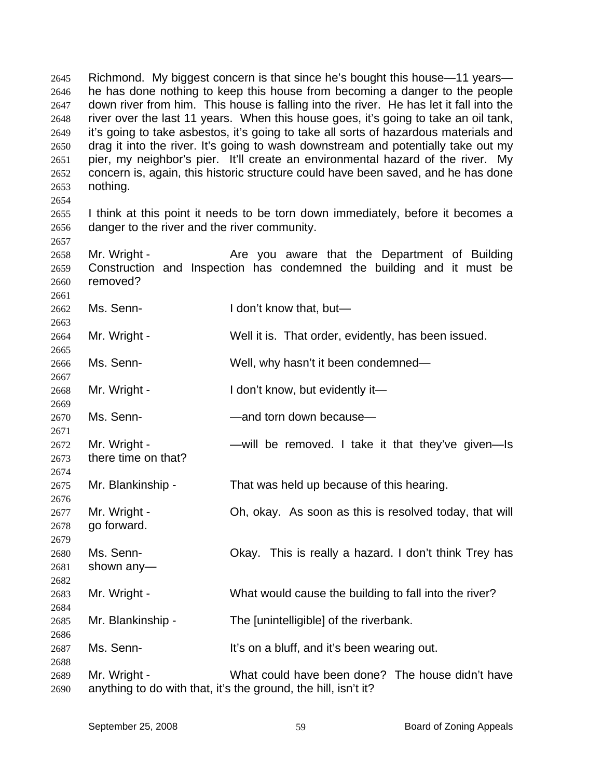Richmond. My biggest concern is that since he's bought this house—11 years he has done nothing to keep this house from becoming a danger to the people down river from him. This house is falling into the river. He has let it fall into the river over the last 11 years. When this house goes, it's going to take an oil tank, it's going to take asbestos, it's going to take all sorts of hazardous materials and drag it into the river. It's going to wash downstream and potentially take out my pier, my neighbor's pier. It'll create an environmental hazard of the river. My concern is, again, this historic structure could have been saved, and he has done nothing. 2645 2646 2647 2648 2649 2650 2651 2652 2653 2654

2655 2656 I think at this point it needs to be torn down immediately, before it becomes a danger to the river and the river community.

2657 2658 2659 2660 2661 Mr. Wright - The State you aware that the Department of Building Construction and Inspection has condemned the building and it must be removed?

2662 Ms. Senn- **I** don't know that, but—

2663

2665

2667

2671

2674

2676

2679

2682

2684

2686

2688

2664 Mr. Wright - Well it is. That order, evidently, has been issued.

2666 Ms. Senn- Well, why hasn't it been condemned—

2668 2669 Mr. Wright - I don't know, but evidently it—

2670 Ms. Senn- **Example 2** —and torn down because

2672 2673 Mr. Wright - The South Collection Communist Collection Controllection Collection Controllection Controllection Co there time on that?

2675 Mr. Blankinship - That was held up because of this hearing.

2677 2678 Mr. Wright - Oh, okay. As soon as this is resolved today, that will go forward.

2680 2681 Ms. Senn- Okay. This is really a hazard. I don't think Trey has shown any—

2683 Mr. Wright - What would cause the building to fall into the river?

2685 Mr. Blankinship - The [unintelligible] of the riverbank.

2687 Ms. Senn- It's on a bluff, and it's been wearing out.

2689 2690 Mr. Wright - What could have been done? The house didn't have anything to do with that, it's the ground, the hill, isn't it?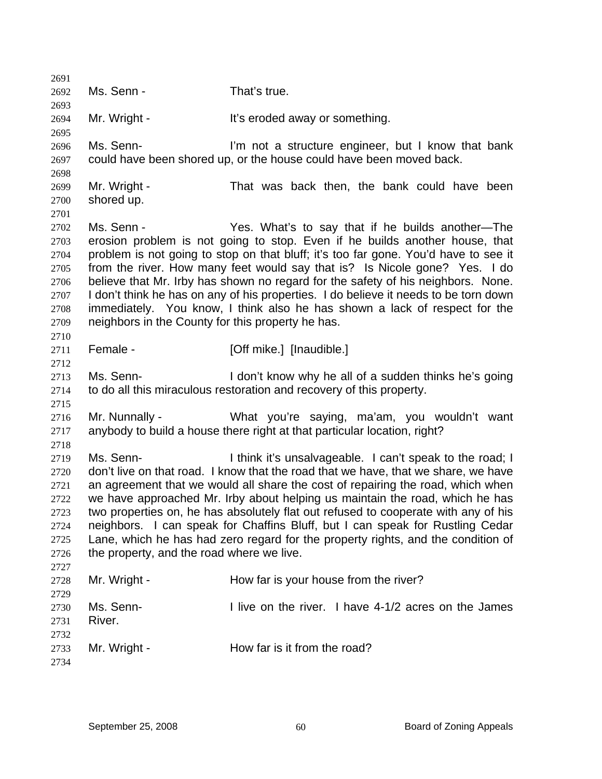2691 2692 2693 2694 2695 2696 2697 2698 2699 2700 2701 2702 2703 2704 2705 2706 2707 2708 2709 2710 2711 2712 2713 2714 2715 2716 2717 2718 2719 2720 2721 2722 2723 2724 2725 2726 2727 2728 2729 2730 2731 2732 2733 2734 Ms. Senn - That's true. Mr. Wright - It's eroded away or something. Ms. Senn- **I'm not a structure engineer**, but I know that bank could have been shored up, or the house could have been moved back. Mr. Wright - That was back then, the bank could have been shored up. Ms. Senn - The Yes. What's to say that if he builds another-The erosion problem is not going to stop. Even if he builds another house, that problem is not going to stop on that bluff; it's too far gone. You'd have to see it from the river. How many feet would say that is? Is Nicole gone? Yes. I do believe that Mr. Irby has shown no regard for the safety of his neighbors. None. I don't think he has on any of his properties. I do believe it needs to be torn down immediately. You know, I think also he has shown a lack of respect for the neighbors in the County for this property he has. Female - [Off mike.] [Inaudible.] Ms. Senn- **I** don't know why he all of a sudden thinks he's going to do all this miraculous restoration and recovery of this property. Mr. Nunnally - What you're saying, ma'am, you wouldn't want anybody to build a house there right at that particular location, right? Ms. Senn- Think it's unsalvageable. I can't speak to the road; I don't live on that road. I know that the road that we have, that we share, we have an agreement that we would all share the cost of repairing the road, which when we have approached Mr. Irby about helping us maintain the road, which he has two properties on, he has absolutely flat out refused to cooperate with any of his neighbors. I can speak for Chaffins Bluff, but I can speak for Rustling Cedar Lane, which he has had zero regard for the property rights, and the condition of the property, and the road where we live. Mr. Wright - How far is your house from the river? Ms. Senn- **I** live on the river. I have 4-1/2 acres on the James River. Mr. Wright - How far is it from the road?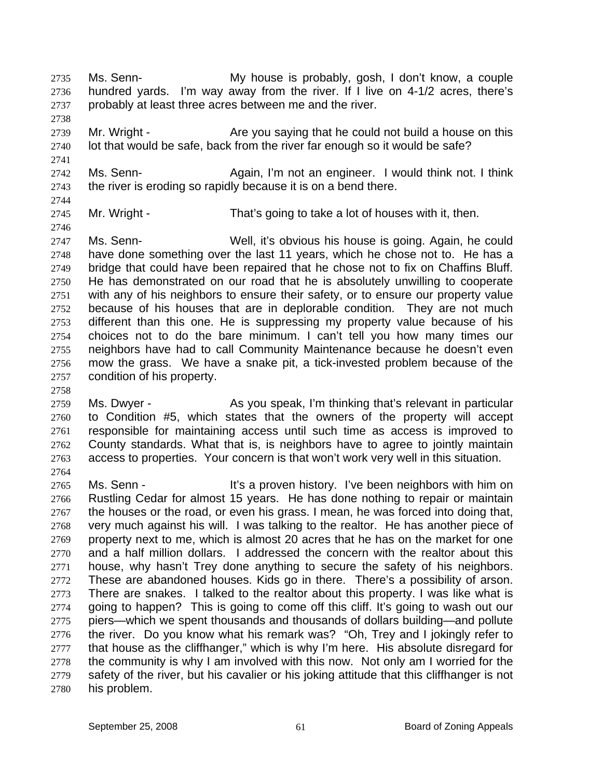Ms. Senn- **My house is probably, gosh, I don't know**, a couple hundred yards. I'm way away from the river. If I live on 4-1/2 acres, there's probably at least three acres between me and the river. 2735 2736 2737

2739 2740 Mr. Wright - Are you saying that he could not build a house on this lot that would be safe, back from the river far enough so it would be safe?

2742 2743 Ms. Senn- **Again, I'm not an engineer.** I would think not. I think the river is eroding so rapidly because it is on a bend there.

2744

2746

2738

2741

2745

Mr. Wright - That's going to take a lot of houses with it, then.

2747 2748 2749 2750 2751 2752 2753 2754 2755 2756 2757 2758 Ms. Senn- Well, it's obvious his house is going. Again, he could have done something over the last 11 years, which he chose not to. He has a bridge that could have been repaired that he chose not to fix on Chaffins Bluff. He has demonstrated on our road that he is absolutely unwilling to cooperate with any of his neighbors to ensure their safety, or to ensure our property value because of his houses that are in deplorable condition. They are not much different than this one. He is suppressing my property value because of his choices not to do the bare minimum. I can't tell you how many times our neighbors have had to call Community Maintenance because he doesn't even mow the grass. We have a snake pit, a tick-invested problem because of the condition of his property.

2759 2760 2761 2762 2763 2764 Ms. Dwyer - As you speak, I'm thinking that's relevant in particular to Condition #5, which states that the owners of the property will accept responsible for maintaining access until such time as access is improved to County standards. What that is, is neighbors have to agree to jointly maintain access to properties. Your concern is that won't work very well in this situation.

2765 2766 2767 2768 2769 2770 2771 2772 2773 2774 2775 2776 2777 2778 2779 2780 Ms. Senn - The Music a proven history. I've been neighbors with him on Rustling Cedar for almost 15 years. He has done nothing to repair or maintain the houses or the road, or even his grass. I mean, he was forced into doing that, very much against his will. I was talking to the realtor. He has another piece of property next to me, which is almost 20 acres that he has on the market for one and a half million dollars. I addressed the concern with the realtor about this house, why hasn't Trey done anything to secure the safety of his neighbors. These are abandoned houses. Kids go in there. There's a possibility of arson. There are snakes. I talked to the realtor about this property. I was like what is going to happen? This is going to come off this cliff. It's going to wash out our piers—which we spent thousands and thousands of dollars building—and pollute the river. Do you know what his remark was? "Oh, Trey and I jokingly refer to that house as the cliffhanger," which is why I'm here. His absolute disregard for the community is why I am involved with this now. Not only am I worried for the safety of the river, but his cavalier or his joking attitude that this cliffhanger is not his problem.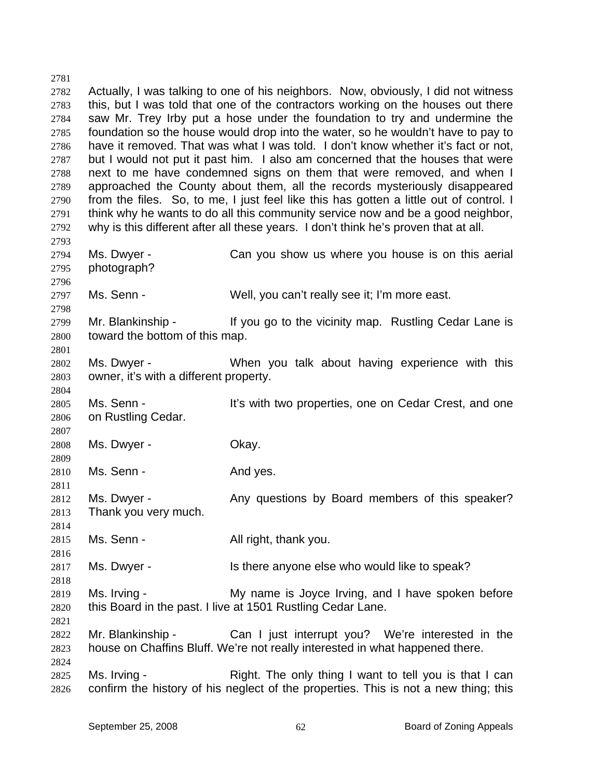2781 2782 2783 2784 2785 2786 2787 2788 2789 2790 2791 2792 2793 2794 2795 2796 2797 2798 2799 2800 2801 2802 2803 2804 2805 2806 2807 2808 2809 2810 2811 2812 2813 2814 2815 2816 2817 2818 2819 2820 2821 2822 2823 2824 2825 2826 Actually, I was talking to one of his neighbors. Now, obviously, I did not witness this, but I was told that one of the contractors working on the houses out there saw Mr. Trey Irby put a hose under the foundation to try and undermine the foundation so the house would drop into the water, so he wouldn't have to pay to have it removed. That was what I was told. I don't know whether it's fact or not, but I would not put it past him. I also am concerned that the houses that were next to me have condemned signs on them that were removed, and when I approached the County about them, all the records mysteriously disappeared from the files. So, to me, I just feel like this has gotten a little out of control. I think why he wants to do all this community service now and be a good neighbor, why is this different after all these years. I don't think he's proven that at all. Ms. Dwyer - The Can you show us where you house is on this aerial photograph? Ms. Senn - Well, you can't really see it; I'm more east. Mr. Blankinship - If you go to the vicinity map. Rustling Cedar Lane is toward the bottom of this map. Ms. Dwyer - **When you talk about having experience with this** owner, it's with a different property. Ms. Senn - It's with two properties, one on Cedar Crest, and one on Rustling Cedar. Ms. Dwyer - Chay. Ms. Senn - And yes. Ms. Dwyer - Any questions by Board members of this speaker? Thank you very much. Ms. Senn - All right, thank you. Ms. Dwyer - The Is there anyone else who would like to speak? Ms. Irving - My name is Joyce Irving, and I have spoken before this Board in the past. I live at 1501 Rustling Cedar Lane. Mr. Blankinship - The Can I just interrupt you? We're interested in the house on Chaffins Bluff. We're not really interested in what happened there. Ms. Irving - Right. The only thing I want to tell you is that I can confirm the history of his neglect of the properties. This is not a new thing; this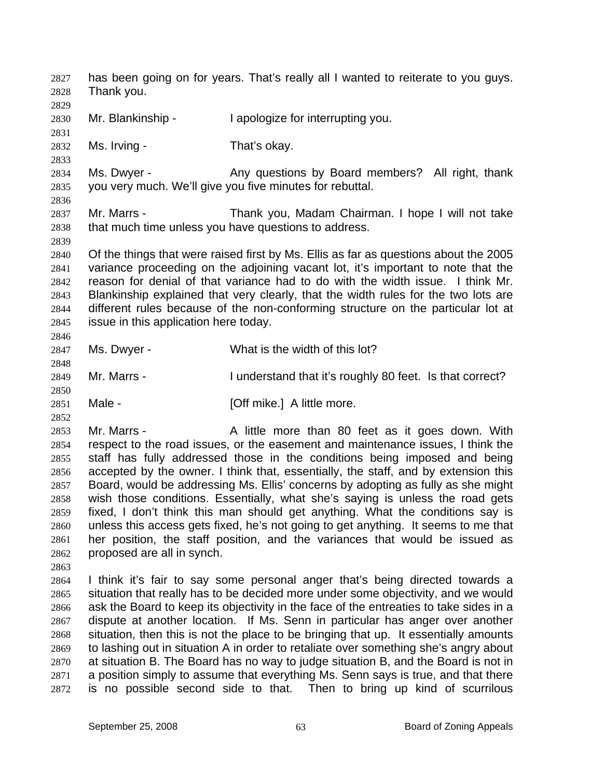has been going on for years. That's really all I wanted to reiterate to you guys. Thank you. 2827 2828 2829 2830 2831 2832 2833 2834 2835 2836 2837 2838 2839 2840 2841 2842 2843 2844 2845 2846 2847 2848 2849 2850 2851 2852 2853 2854 2855 2856 2857 2858 2859 2860 2861 2862 2863 2864 2865 2866 2867 2868 2869 2870 2871 2872 Mr. Blankinship - I apologize for interrupting you. Ms. Irving - That's okay. Ms. Dwyer - The Any questions by Board members? All right, thank you very much. We'll give you five minutes for rebuttal. Mr. Marrs - Thank you, Madam Chairman. I hope I will not take that much time unless you have questions to address. Of the things that were raised first by Ms. Ellis as far as questions about the 2005 variance proceeding on the adjoining vacant lot, it's important to note that the reason for denial of that variance had to do with the width issue. I think Mr. Blankinship explained that very clearly, that the width rules for the two lots are different rules because of the non-conforming structure on the particular lot at issue in this application here today. Ms. Dwyer - What is the width of this lot? Mr. Marrs - I understand that it's roughly 80 feet. Is that correct? Male - **[Off mike.]** A little more. Mr. Marrs - The A little more than 80 feet as it goes down. With respect to the road issues, or the easement and maintenance issues, I think the staff has fully addressed those in the conditions being imposed and being accepted by the owner. I think that, essentially, the staff, and by extension this Board, would be addressing Ms. Ellis' concerns by adopting as fully as she might wish those conditions. Essentially, what she's saying is unless the road gets fixed, I don't think this man should get anything. What the conditions say is unless this access gets fixed, he's not going to get anything. It seems to me that her position, the staff position, and the variances that would be issued as proposed are all in synch. I think it's fair to say some personal anger that's being directed towards a situation that really has to be decided more under some objectivity, and we would ask the Board to keep its objectivity in the face of the entreaties to take sides in a dispute at another location. If Ms. Senn in particular has anger over another situation, then this is not the place to be bringing that up. It essentially amounts to lashing out in situation A in order to retaliate over something she's angry about at situation B. The Board has no way to judge situation B, and the Board is not in a position simply to assume that everything Ms. Senn says is true, and that there is no possible second side to that. Then to bring up kind of scurrilous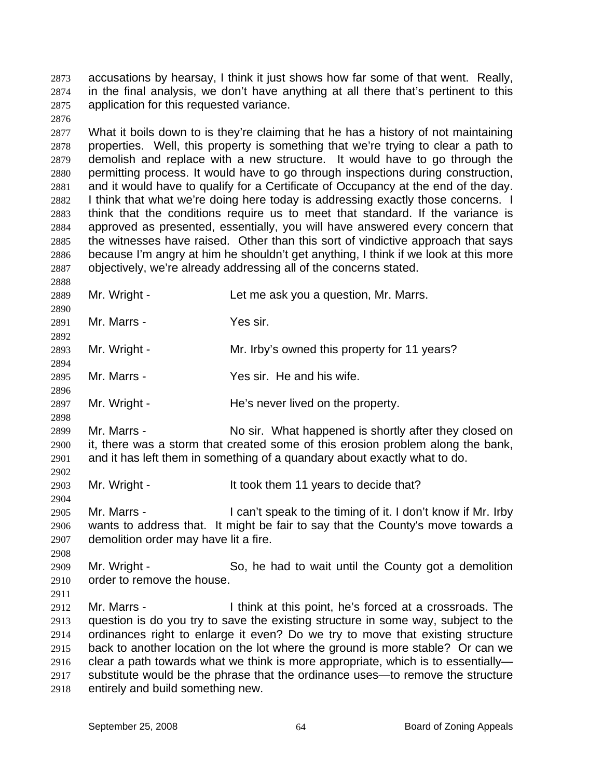accusations by hearsay, I think it just shows how far some of that went. Really, in the final analysis, we don't have anything at all there that's pertinent to this application for this requested variance. 2873 2874 2875

2877 2878 2879 2880 2881 2882 2883 2884 2885 2886 2887 What it boils down to is they're claiming that he has a history of not maintaining properties. Well, this property is something that we're trying to clear a path to demolish and replace with a new structure. It would have to go through the permitting process. It would have to go through inspections during construction, and it would have to qualify for a Certificate of Occupancy at the end of the day. I think that what we're doing here today is addressing exactly those concerns. I think that the conditions require us to meet that standard. If the variance is approved as presented, essentially, you will have answered every concern that the witnesses have raised. Other than this sort of vindictive approach that says because I'm angry at him he shouldn't get anything, I think if we look at this more objectively, we're already addressing all of the concerns stated.

2889

2876

2888

2890

2892

2894

2896

2898

2902

2904

2908

Mr. Wright - Let me ask you a question, Mr. Marrs.

2891 Mr. Marrs - Yes sir.

2893 Mr. Wright - Mr. Irby's owned this property for 11 years?

2895 Mr. Marrs - Yes sir. He and his wife.

2897 Mr. Wright - The's never lived on the property.

2899 2900 2901 Mr. Marrs - No sir. What happened is shortly after they closed on it, there was a storm that created some of this erosion problem along the bank, and it has left them in something of a quandary about exactly what to do.

2903 Mr. Wright - It took them 11 years to decide that?

2905 2906 2907 Mr. Marrs - I can't speak to the timing of it. I don't know if Mr. Irby wants to address that. It might be fair to say that the County's move towards a demolition order may have lit a fire.

2909 2910 Mr. Wright - So, he had to wait until the County got a demolition order to remove the house.

2911

2912 2913 2914 2915 2916 2917 2918 Mr. Marrs - Think at this point, he's forced at a crossroads. The question is do you try to save the existing structure in some way, subject to the ordinances right to enlarge it even? Do we try to move that existing structure back to another location on the lot where the ground is more stable? Or can we clear a path towards what we think is more appropriate, which is to essentially substitute would be the phrase that the ordinance uses—to remove the structure entirely and build something new.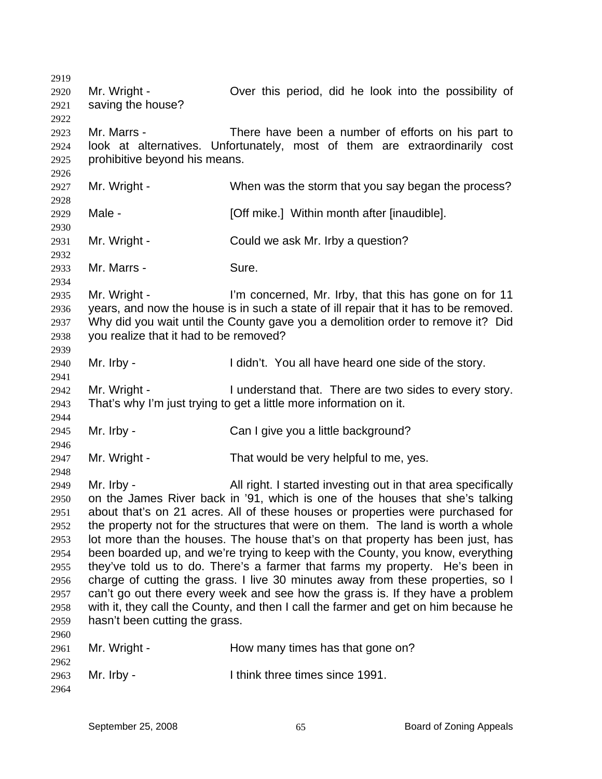2919 2920 2921 2922 2923 2924 2925 2926 2927 2928 2929 2930 2931 2932 2933 2934 2935 2936 2937 2938 2939 2940 2941 2942 2943 2944 2945 2946 2947 2948 2949 2950 2951 2952 2953 2954 2955 2956 2957 2958 2959 2960 2961 2962 2963 2964 Mr. Wright - Over this period, did he look into the possibility of saving the house? Mr. Marrs - There have been a number of efforts on his part to look at alternatives. Unfortunately, most of them are extraordinarily cost prohibitive beyond his means. Mr. Wright - When was the storm that you say began the process? Male - **[Off mike.]** Within month after [inaudible]. Mr. Wright - Could we ask Mr. Irby a question? Mr. Marrs - Sure. Mr. Wright - I'm concerned, Mr. Irby, that this has gone on for 11 years, and now the house is in such a state of ill repair that it has to be removed. Why did you wait until the County gave you a demolition order to remove it? Did you realize that it had to be removed? Mr. Irby - I didn't. You all have heard one side of the story. Mr. Wright - There are two sides to every story. That's why I'm just trying to get a little more information on it. Mr. Irby - Can I give you a little background? Mr. Wright - That would be very helpful to me, yes. Mr. Irby - All right. I started investing out in that area specifically on the James River back in '91, which is one of the houses that she's talking about that's on 21 acres. All of these houses or properties were purchased for the property not for the structures that were on them. The land is worth a whole lot more than the houses. The house that's on that property has been just, has been boarded up, and we're trying to keep with the County, you know, everything they've told us to do. There's a farmer that farms my property. He's been in charge of cutting the grass. I live 30 minutes away from these properties, so I can't go out there every week and see how the grass is. If they have a problem with it, they call the County, and then I call the farmer and get on him because he hasn't been cutting the grass. Mr. Wright - **How many times has that gone on?** Mr. Irby - Think three times since 1991.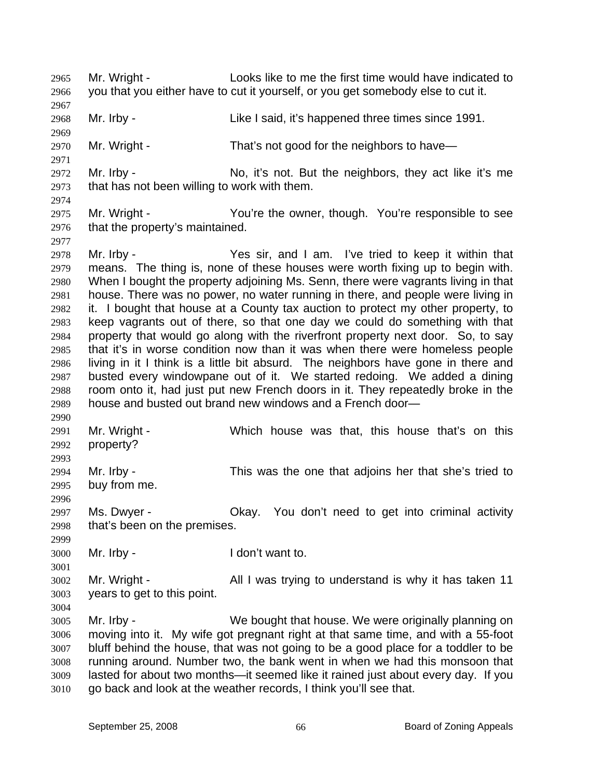Mr. Wright - Looks like to me the first time would have indicated to you that you either have to cut it yourself, or you get somebody else to cut it. 2965 2966 2967 2968 2969 2970 2971 2972 2973 2974 2975 2976 2977 2978 2979 2980 2981 2982 2983 2984 2985 2986 2987 2988 2989 2990 2991 2992 2993 2994 2995 2996 2997 2998 2999 3000 3001 3002 3003 3004 3005 3006 3007 3008 3009 3010 Mr. Irby - Like I said, it's happened three times since 1991. Mr. Wright - That's not good for the neighbors to have— Mr. Irby - No, it's not. But the neighbors, they act like it's me that has not been willing to work with them. Mr. Wright - You're the owner, though. You're responsible to see that the property's maintained. Mr. Irby - The Yes sir, and I am. I've tried to keep it within that means. The thing is, none of these houses were worth fixing up to begin with. When I bought the property adjoining Ms. Senn, there were vagrants living in that house. There was no power, no water running in there, and people were living in it. I bought that house at a County tax auction to protect my other property, to keep vagrants out of there, so that one day we could do something with that property that would go along with the riverfront property next door. So, to say that it's in worse condition now than it was when there were homeless people living in it I think is a little bit absurd. The neighbors have gone in there and busted every windowpane out of it. We started redoing. We added a dining room onto it, had just put new French doors in it. They repeatedly broke in the house and busted out brand new windows and a French door— Mr. Wright - Which house was that, this house that's on this property? Mr. Irby - This was the one that adjoins her that she's tried to buy from me. Ms. Dwyer - Chay. You don't need to get into criminal activity that's been on the premises. Mr. Irby - The Letter Health I don't want to. Mr. Wright - All I was trying to understand is why it has taken 11 years to get to this point. Mr. Irby - We bought that house. We were originally planning on moving into it. My wife got pregnant right at that same time, and with a 55-foot bluff behind the house, that was not going to be a good place for a toddler to be running around. Number two, the bank went in when we had this monsoon that lasted for about two months—it seemed like it rained just about every day. If you go back and look at the weather records, I think you'll see that.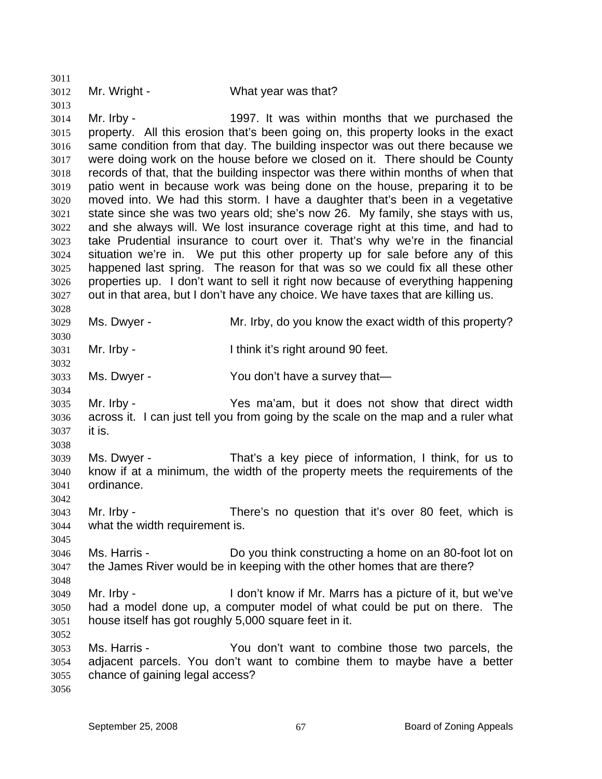3012

3011

3013

3028

3030

3032

3034

3038

3042

3045

3048

3052

## Mr. Wright - What year was that?

3014 3015 3016 3017 3018 3019 3020 3021 3022 3023 3024 3025 3026 3027 Mr. Irby - 1997. It was within months that we purchased the property. All this erosion that's been going on, this property looks in the exact same condition from that day. The building inspector was out there because we were doing work on the house before we closed on it. There should be County records of that, that the building inspector was there within months of when that patio went in because work was being done on the house, preparing it to be moved into. We had this storm. I have a daughter that's been in a vegetative state since she was two years old; she's now 26. My family, she stays with us, and she always will. We lost insurance coverage right at this time, and had to take Prudential insurance to court over it. That's why we're in the financial situation we're in. We put this other property up for sale before any of this happened last spring. The reason for that was so we could fix all these other properties up. I don't want to sell it right now because of everything happening out in that area, but I don't have any choice. We have taxes that are killing us.

3029 Ms. Dwyer - Mr. Irby, do you know the exact width of this property?

3031 Mr. Irby - Ithink it's right around 90 feet.

3033 Ms. Dwyer - You don't have a survey that—

3035 3036 3037 Mr. Irby - Yes ma'am, but it does not show that direct width across it. I can just tell you from going by the scale on the map and a ruler what it is.

3039 3040 3041 Ms. Dwyer - That's a key piece of information, I think, for us to know if at a minimum, the width of the property meets the requirements of the ordinance.

3043 3044 Mr. Irby - There's no question that it's over 80 feet, which is what the width requirement is.

3046 3047 Ms. Harris - Do you think constructing a home on an 80-foot lot on the James River would be in keeping with the other homes that are there?

3049 3050 3051 Mr. Irby - The Con't know if Mr. Marrs has a picture of it, but we've had a model done up, a computer model of what could be put on there. The house itself has got roughly 5,000 square feet in it.

3053 3054 3055 Ms. Harris - You don't want to combine those two parcels, the adjacent parcels. You don't want to combine them to maybe have a better chance of gaining legal access?

3056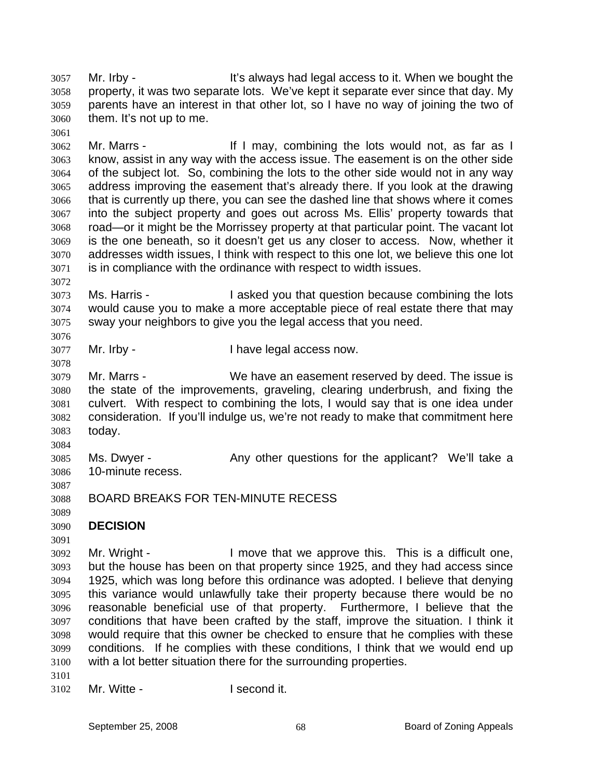Mr. Irby - The State of the It's always had legal access to it. When we bought the property, it was two separate lots. We've kept it separate ever since that day. My parents have an interest in that other lot, so I have no way of joining the two of them. It's not up to me. 3057 3058 3059 3060

3062 3063 3064 3065 3066 3067 3068 3069 3070 3071 Mr. Marrs - If I may, combining the lots would not, as far as I know, assist in any way with the access issue. The easement is on the other side of the subject lot. So, combining the lots to the other side would not in any way address improving the easement that's already there. If you look at the drawing that is currently up there, you can see the dashed line that shows where it comes into the subject property and goes out across Ms. Ellis' property towards that road—or it might be the Morrissey property at that particular point. The vacant lot is the one beneath, so it doesn't get us any closer to access. Now, whether it addresses width issues, I think with respect to this one lot, we believe this one lot is in compliance with the ordinance with respect to width issues.

3073 3074 3075 Ms. Harris - I asked you that question because combining the lots would cause you to make a more acceptable piece of real estate there that may sway your neighbors to give you the legal access that you need.

3077 Mr. Irby - Thave legal access now.

3079 3080 3081 3082 3083 Mr. Marrs - We have an easement reserved by deed. The issue is the state of the improvements, graveling, clearing underbrush, and fixing the culvert. With respect to combining the lots, I would say that is one idea under consideration. If you'll indulge us, we're not ready to make that commitment here today.

3085 3086 Ms. Dwyer - The Any other questions for the applicant? We'll take a 10-minute recess.

- 3088 BOARD BREAKS FOR TEN-MINUTE RECESS
- 3089

3091

3087

3084

3061

3072

3076

3078

## 3090 **DECISION**

3092 3093 3094 3095 3096 3097 3098 3099 3100 Mr. Wright - I move that we approve this. This is a difficult one, but the house has been on that property since 1925, and they had access since 1925, which was long before this ordinance was adopted. I believe that denying this variance would unlawfully take their property because there would be no reasonable beneficial use of that property. Furthermore, I believe that the conditions that have been crafted by the staff, improve the situation. I think it would require that this owner be checked to ensure that he complies with these conditions. If he complies with these conditions, I think that we would end up with a lot better situation there for the surrounding properties.

3101

3102 Mr. Witte - **I second it.**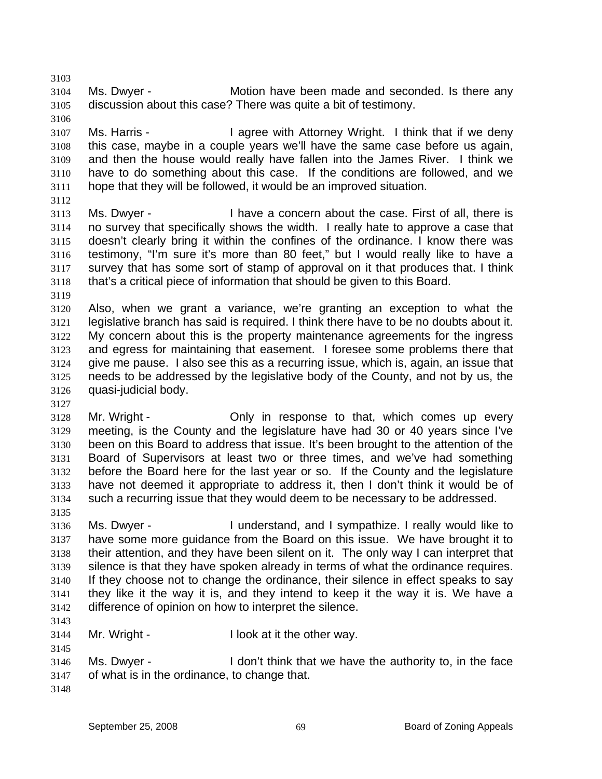3104 3105 Ms. Dwyer - **Motion have been made and seconded.** Is there any discussion about this case? There was quite a bit of testimony.

3107 3108 3109 3110 3111 Ms. Harris - I agree with Attorney Wright. I think that if we deny this case, maybe in a couple years we'll have the same case before us again, and then the house would really have fallen into the James River. I think we have to do something about this case. If the conditions are followed, and we hope that they will be followed, it would be an improved situation.

3112

3103

3106

- 3113 3114 3115 3116 3117 3118 Ms. Dwyer - I have a concern about the case. First of all, there is no survey that specifically shows the width. I really hate to approve a case that doesn't clearly bring it within the confines of the ordinance. I know there was testimony, "I'm sure it's more than 80 feet," but I would really like to have a survey that has some sort of stamp of approval on it that produces that. I think that's a critical piece of information that should be given to this Board.
- 3119

3120 3121 3122 3123 3124 3125 3126 Also, when we grant a variance, we're granting an exception to what the legislative branch has said is required. I think there have to be no doubts about it. My concern about this is the property maintenance agreements for the ingress and egress for maintaining that easement. I foresee some problems there that give me pause. I also see this as a recurring issue, which is, again, an issue that needs to be addressed by the legislative body of the County, and not by us, the quasi-judicial body.

3127

3128 3129 3130 3131 3132 3133 3134 Mr. Wright - The Schly in response to that, which comes up every meeting, is the County and the legislature have had 30 or 40 years since I've been on this Board to address that issue. It's been brought to the attention of the Board of Supervisors at least two or three times, and we've had something before the Board here for the last year or so. If the County and the legislature have not deemed it appropriate to address it, then I don't think it would be of such a recurring issue that they would deem to be necessary to be addressed.

3135

3136 3137 3138 3139 3140 3141 3142 Ms. Dwyer - The Understand, and I sympathize. I really would like to have some more guidance from the Board on this issue. We have brought it to their attention, and they have been silent on it. The only way I can interpret that silence is that they have spoken already in terms of what the ordinance requires. If they choose not to change the ordinance, their silence in effect speaks to say they like it the way it is, and they intend to keep it the way it is. We have a difference of opinion on how to interpret the silence.

3144 Mr. Wright - The I look at it the other way.

3146 3147 Ms. Dwyer - I don't think that we have the authority to, in the face of what is in the ordinance, to change that.

3148

3143

3145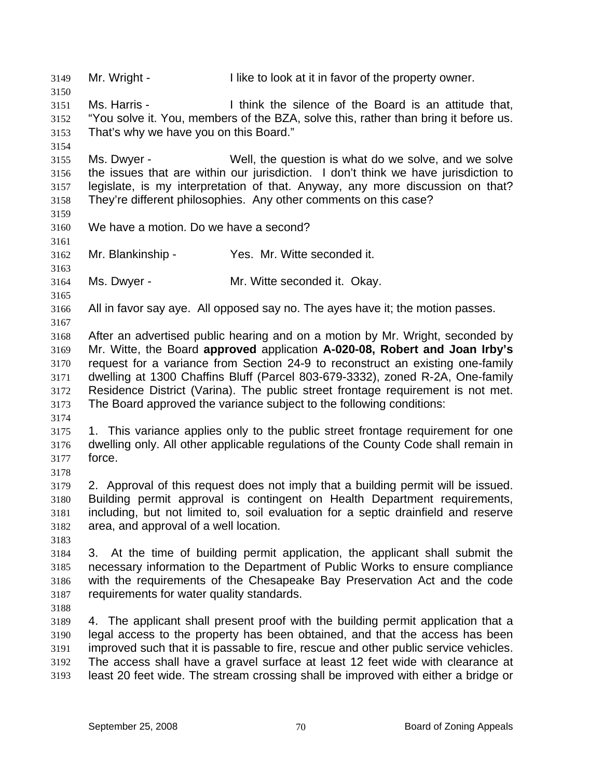3149 Mr. Wright - I like to look at it in favor of the property owner. 3150 3151 3152 3153 3154 3155 3156 3157 3158 3159 3160 3161 3162 3163 3164 3165 3166 3167 3168 3169 3170 3171 3172 3173 3174 3175 3176 3177 3178 3179 3180 3181 3182 3183 3184 3185 3186 3187 3188 3189 3190 3191 3192 3193 Ms. Harris - I think the silence of the Board is an attitude that, "You solve it. You, members of the BZA, solve this, rather than bring it before us. That's why we have you on this Board." Ms. Dwyer - Well, the question is what do we solve, and we solve the issues that are within our jurisdiction. I don't think we have jurisdiction to legislate, is my interpretation of that. Anyway, any more discussion on that? They're different philosophies. Any other comments on this case? We have a motion. Do we have a second? Mr. Blankinship - Yes. Mr. Witte seconded it. Ms. Dwyer - Mr. Witte seconded it. Okay. All in favor say aye. All opposed say no. The ayes have it; the motion passes. After an advertised public hearing and on a motion by Mr. Wright, seconded by Mr. Witte, the Board **approved** application **A-020-08, Robert and Joan Irby's**  request for a variance from Section 24-9 to reconstruct an existing one-family dwelling at 1300 Chaffins Bluff (Parcel 803-679-3332), zoned R-2A, One-family Residence District (Varina). The public street frontage requirement is not met. The Board approved the variance subject to the following conditions: 1. This variance applies only to the public street frontage requirement for one dwelling only. All other applicable regulations of the County Code shall remain in force. 2. Approval of this request does not imply that a building permit will be issued. Building permit approval is contingent on Health Department requirements, including, but not limited to, soil evaluation for a septic drainfield and reserve area, and approval of a well location. 3. At the time of building permit application, the applicant shall submit the necessary information to the Department of Public Works to ensure compliance with the requirements of the Chesapeake Bay Preservation Act and the code requirements for water quality standards. 4. The applicant shall present proof with the building permit application that a legal access to the property has been obtained, and that the access has been improved such that it is passable to fire, rescue and other public service vehicles. The access shall have a gravel surface at least 12 feet wide with clearance at least 20 feet wide. The stream crossing shall be improved with either a bridge or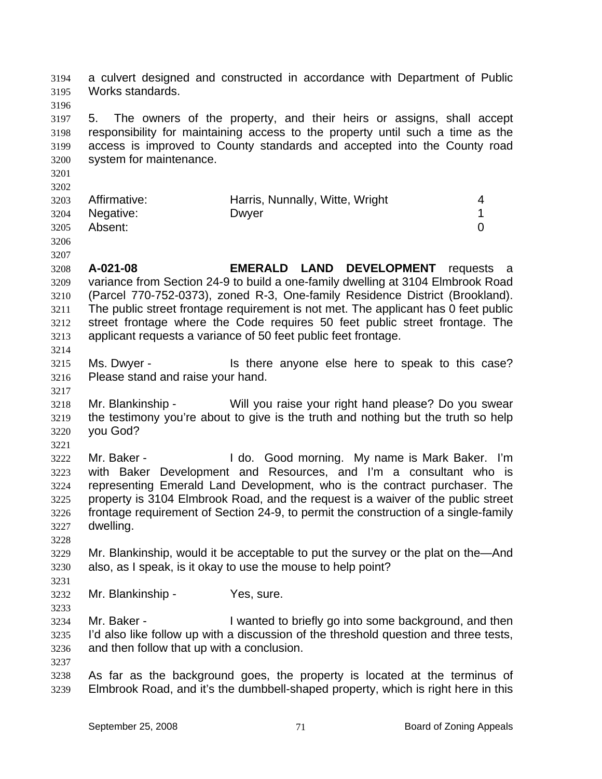a culvert designed and constructed in accordance with Department of Public Works standards. 3194 3195

3197 3198 3199 3200 5. The owners of the property, and their heirs or assigns, shall accept responsibility for maintaining access to the property until such a time as the access is improved to County standards and accepted into the County road system for maintenance.

3202 3203 3204 3205 Affirmative: **Harris, Nunnally, Witte, Wright** 4 Negative: Dwyer 2009 During David Negative: 1 Absent: 0

3206

3196

3201

3207

3208 3209 3210 3211 3212 3213 3214 **A-021-08 EMERALD LAND DEVELOPMENT** requests a variance from Section 24-9 to build a one-family dwelling at 3104 Elmbrook Road (Parcel 770-752-0373), zoned R-3, One-family Residence District (Brookland). The public street frontage requirement is not met. The applicant has 0 feet public street frontage where the Code requires 50 feet public street frontage. The applicant requests a variance of 50 feet public feet frontage.

3215 3216 Ms. Dwyer - Is there anyone else here to speak to this case? Please stand and raise your hand.

3218 3219 3220 Mr. Blankinship - Will you raise your right hand please? Do you swear the testimony you're about to give is the truth and nothing but the truth so help you God?

3221

3228

3231

3233

3217

3222 3223 3224 3225 3226 3227 Mr. Baker - I do. Good morning. My name is Mark Baker. I'm with Baker Development and Resources, and I'm a consultant who is representing Emerald Land Development, who is the contract purchaser. The property is 3104 Elmbrook Road, and the request is a waiver of the public street frontage requirement of Section 24-9, to permit the construction of a single-family dwelling.

3229 3230 Mr. Blankinship, would it be acceptable to put the survey or the plat on the—And also, as I speak, is it okay to use the mouse to help point?

3232 Mr. Blankinship - Yes, sure.

3234 3235 3236 Mr. Baker - **I** wanted to briefly go into some background, and then I'd also like follow up with a discussion of the threshold question and three tests, and then follow that up with a conclusion.

3237

3238 3239 As far as the background goes, the property is located at the terminus of Elmbrook Road, and it's the dumbbell-shaped property, which is right here in this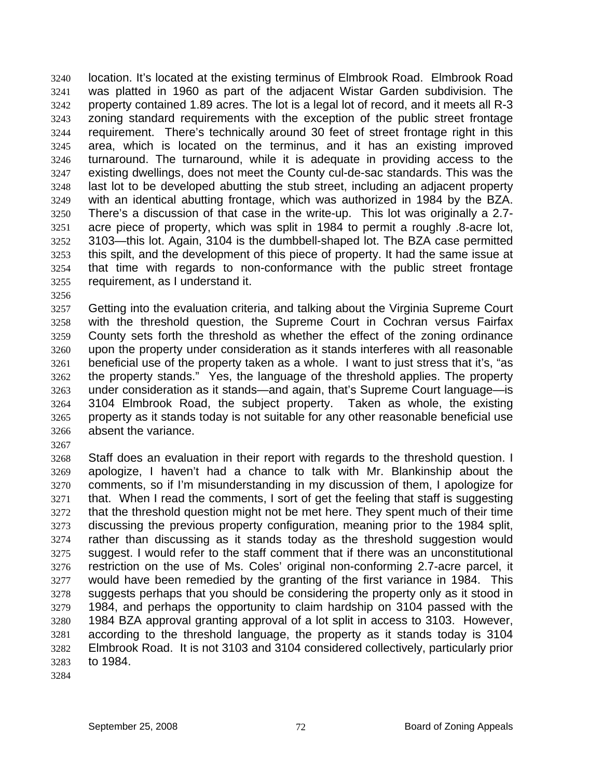location. It's located at the existing terminus of Elmbrook Road. Elmbrook Road was platted in 1960 as part of the adjacent Wistar Garden subdivision. The property contained 1.89 acres. The lot is a legal lot of record, and it meets all R-3 zoning standard requirements with the exception of the public street frontage requirement. There's technically around 30 feet of street frontage right in this area, which is located on the terminus, and it has an existing improved turnaround. The turnaround, while it is adequate in providing access to the existing dwellings, does not meet the County cul-de-sac standards. This was the last lot to be developed abutting the stub street, including an adjacent property with an identical abutting frontage, which was authorized in 1984 by the BZA. There's a discussion of that case in the write-up. This lot was originally a 2.7 acre piece of property, which was split in 1984 to permit a roughly .8-acre lot, 3103—this lot. Again, 3104 is the dumbbell-shaped lot. The BZA case permitted this spilt, and the development of this piece of property. It had the same issue at that time with regards to non-conformance with the public street frontage requirement, as I understand it. 3240 3241 3242 3243 3244 3245 3246 3247 3248 3249 3250 3251 3252 3253 3254 3255

3256

3257 3258 3259 3260 3261 3262 3263 3264 3265 3266 Getting into the evaluation criteria, and talking about the Virginia Supreme Court with the threshold question, the Supreme Court in Cochran versus Fairfax County sets forth the threshold as whether the effect of the zoning ordinance upon the property under consideration as it stands interferes with all reasonable beneficial use of the property taken as a whole. I want to just stress that it's, "as the property stands." Yes, the language of the threshold applies. The property under consideration as it stands—and again, that's Supreme Court language—is 3104 Elmbrook Road, the subject property. Taken as whole, the existing property as it stands today is not suitable for any other reasonable beneficial use absent the variance.

3267

3268 3269 3270 3271 3272 3273 3274 3275 3276 3277 3278 3279 3280 3281 3282 3283 Staff does an evaluation in their report with regards to the threshold question. I apologize, I haven't had a chance to talk with Mr. Blankinship about the comments, so if I'm misunderstanding in my discussion of them, I apologize for that. When I read the comments, I sort of get the feeling that staff is suggesting that the threshold question might not be met here. They spent much of their time discussing the previous property configuration, meaning prior to the 1984 split, rather than discussing as it stands today as the threshold suggestion would suggest. I would refer to the staff comment that if there was an unconstitutional restriction on the use of Ms. Coles' original non-conforming 2.7-acre parcel, it would have been remedied by the granting of the first variance in 1984. This suggests perhaps that you should be considering the property only as it stood in 1984, and perhaps the opportunity to claim hardship on 3104 passed with the 1984 BZA approval granting approval of a lot split in access to 3103. However, according to the threshold language, the property as it stands today is 3104 Elmbrook Road. It is not 3103 and 3104 considered collectively, particularly prior to 1984.

3284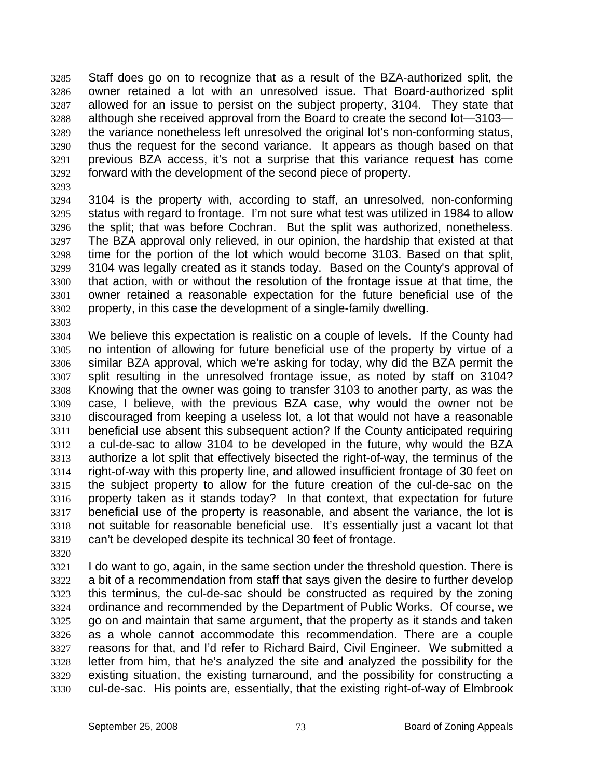Staff does go on to recognize that as a result of the BZA-authorized split, the owner retained a lot with an unresolved issue. That Board-authorized split allowed for an issue to persist on the subject property, 3104. They state that although she received approval from the Board to create the second lot—3103 the variance nonetheless left unresolved the original lot's non-conforming status, thus the request for the second variance. It appears as though based on that previous BZA access, it's not a surprise that this variance request has come forward with the development of the second piece of property. 3285 3286 3287 3288 3289 3290 3291 3292

3293

3303

3294 3295 3296 3297 3298 3299 3300 3301 3302 3104 is the property with, according to staff, an unresolved, non-conforming status with regard to frontage. I'm not sure what test was utilized in 1984 to allow the split; that was before Cochran. But the split was authorized, nonetheless. The BZA approval only relieved, in our opinion, the hardship that existed at that time for the portion of the lot which would become 3103. Based on that split, 3104 was legally created as it stands today. Based on the County's approval of that action, with or without the resolution of the frontage issue at that time, the owner retained a reasonable expectation for the future beneficial use of the property, in this case the development of a single-family dwelling.

- 3304 3305 3306 3307 3308 3309 3310 3311 3312 3313 3314 3315 3316 3317 3318 3319 We believe this expectation is realistic on a couple of levels. If the County had no intention of allowing for future beneficial use of the property by virtue of a similar BZA approval, which we're asking for today, why did the BZA permit the split resulting in the unresolved frontage issue, as noted by staff on 3104? Knowing that the owner was going to transfer 3103 to another party, as was the case, I believe, with the previous BZA case, why would the owner not be discouraged from keeping a useless lot, a lot that would not have a reasonable beneficial use absent this subsequent action? If the County anticipated requiring a cul-de-sac to allow 3104 to be developed in the future, why would the BZA authorize a lot split that effectively bisected the right-of-way, the terminus of the right-of-way with this property line, and allowed insufficient frontage of 30 feet on the subject property to allow for the future creation of the cul-de-sac on the property taken as it stands today? In that context, that expectation for future beneficial use of the property is reasonable, and absent the variance, the lot is not suitable for reasonable beneficial use. It's essentially just a vacant lot that can't be developed despite its technical 30 feet of frontage.
- 3320

3321 3322 3323 3324 3325 3326 3327 3328 3329 3330 I do want to go, again, in the same section under the threshold question. There is a bit of a recommendation from staff that says given the desire to further develop this terminus, the cul-de-sac should be constructed as required by the zoning ordinance and recommended by the Department of Public Works. Of course, we go on and maintain that same argument, that the property as it stands and taken as a whole cannot accommodate this recommendation. There are a couple reasons for that, and I'd refer to Richard Baird, Civil Engineer. We submitted a letter from him, that he's analyzed the site and analyzed the possibility for the existing situation, the existing turnaround, and the possibility for constructing a cul-de-sac. His points are, essentially, that the existing right-of-way of Elmbrook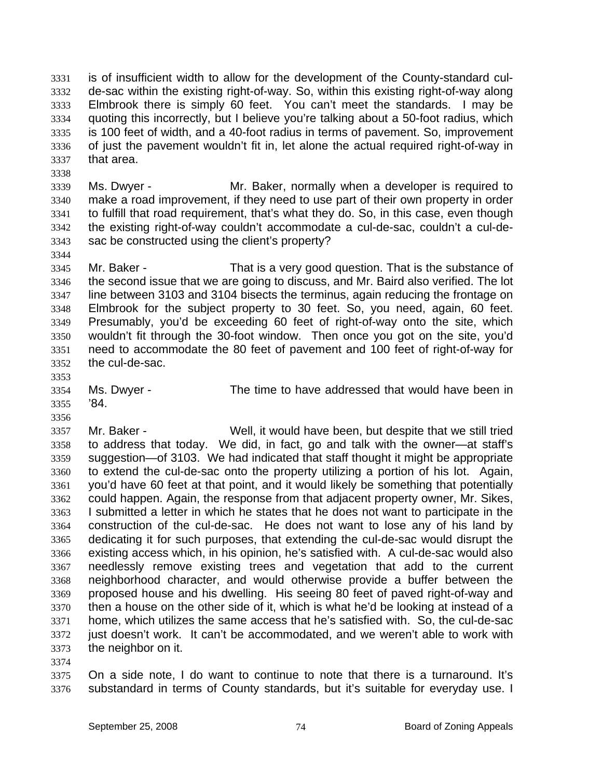is of insufficient width to allow for the development of the County-standard culde-sac within the existing right-of-way. So, within this existing right-of-way along Elmbrook there is simply 60 feet. You can't meet the standards. I may be quoting this incorrectly, but I believe you're talking about a 50-foot radius, which is 100 feet of width, and a 40-foot radius in terms of pavement. So, improvement of just the pavement wouldn't fit in, let alone the actual required right-of-way in that area. 3331 3332 3333 3334 3335 3336 3337

3339 3340 3341 3342 3343 Ms. Dwyer - The Mr. Baker, normally when a developer is required to make a road improvement, if they need to use part of their own property in order to fulfill that road requirement, that's what they do. So, in this case, even though the existing right-of-way couldn't accommodate a cul-de-sac, couldn't a cul-desac be constructed using the client's property?

3345 3346 3347 3348 3349 3350 3351 3352 Mr. Baker - That is a very good question. That is the substance of the second issue that we are going to discuss, and Mr. Baird also verified. The lot line between 3103 and 3104 bisects the terminus, again reducing the frontage on Elmbrook for the subject property to 30 feet. So, you need, again, 60 feet. Presumably, you'd be exceeding 60 feet of right-of-way onto the site, which wouldn't fit through the 30-foot window. Then once you got on the site, you'd need to accommodate the 80 feet of pavement and 100 feet of right-of-way for the cul-de-sac.

3353

3356

3338

3344

3354 3355 Ms. Dwyer - The time to have addressed that would have been in '84.

3357 3358 3359 3360 3361 3362 3363 3364 3365 3366 3367 3368 3369 3370 3371 3372 3373 Mr. Baker - Well, it would have been, but despite that we still tried to address that today. We did, in fact, go and talk with the owner—at staff's suggestion—of 3103. We had indicated that staff thought it might be appropriate to extend the cul-de-sac onto the property utilizing a portion of his lot. Again, you'd have 60 feet at that point, and it would likely be something that potentially could happen. Again, the response from that adjacent property owner, Mr. Sikes, I submitted a letter in which he states that he does not want to participate in the construction of the cul-de-sac. He does not want to lose any of his land by dedicating it for such purposes, that extending the cul-de-sac would disrupt the existing access which, in his opinion, he's satisfied with. A cul-de-sac would also needlessly remove existing trees and vegetation that add to the current neighborhood character, and would otherwise provide a buffer between the proposed house and his dwelling. His seeing 80 feet of paved right-of-way and then a house on the other side of it, which is what he'd be looking at instead of a home, which utilizes the same access that he's satisfied with. So, the cul-de-sac just doesn't work. It can't be accommodated, and we weren't able to work with the neighbor on it.

3374

3375 3376 On a side note, I do want to continue to note that there is a turnaround. It's substandard in terms of County standards, but it's suitable for everyday use. I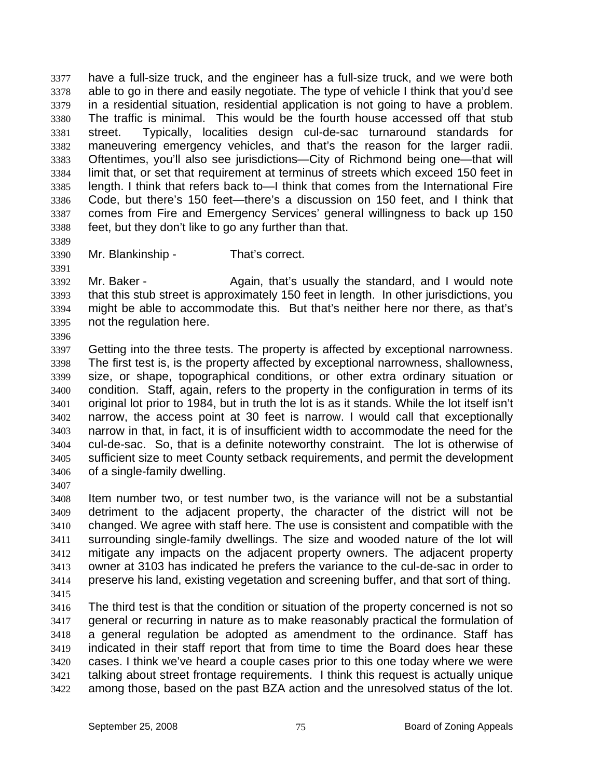have a full-size truck, and the engineer has a full-size truck, and we were both able to go in there and easily negotiate. The type of vehicle I think that you'd see in a residential situation, residential application is not going to have a problem. The traffic is minimal. This would be the fourth house accessed off that stub street. Typically, localities design cul-de-sac turnaround standards for maneuvering emergency vehicles, and that's the reason for the larger radii. Oftentimes, you'll also see jurisdictions—City of Richmond being one—that will limit that, or set that requirement at terminus of streets which exceed 150 feet in length. I think that refers back to—I think that comes from the International Fire Code, but there's 150 feet—there's a discussion on 150 feet, and I think that comes from Fire and Emergency Services' general willingness to back up 150 feet, but they don't like to go any further than that. 3377 3378 3379 3380 3381 3382 3383 3384 3385 3386 3387 3388

- 3389
- 3390 3391
- Mr. Blankinship That's correct.

3392 3393 3394 3395 3396 Mr. Baker - Again, that's usually the standard, and I would note that this stub street is approximately 150 feet in length. In other jurisdictions, you might be able to accommodate this. But that's neither here nor there, as that's not the regulation here.

3397 3398 3399 3400 3401 3402 3403 3404 3405 3406 Getting into the three tests. The property is affected by exceptional narrowness. The first test is, is the property affected by exceptional narrowness, shallowness, size, or shape, topographical conditions, or other extra ordinary situation or condition. Staff, again, refers to the property in the configuration in terms of its original lot prior to 1984, but in truth the lot is as it stands. While the lot itself isn't narrow, the access point at 30 feet is narrow. I would call that exceptionally narrow in that, in fact, it is of insufficient width to accommodate the need for the cul-de-sac. So, that is a definite noteworthy constraint. The lot is otherwise of sufficient size to meet County setback requirements, and permit the development of a single-family dwelling.

3407

3408 3409 3410 3411 3412 3413 3414 Item number two, or test number two, is the variance will not be a substantial detriment to the adjacent property, the character of the district will not be changed. We agree with staff here. The use is consistent and compatible with the surrounding single-family dwellings. The size and wooded nature of the lot will mitigate any impacts on the adjacent property owners. The adjacent property owner at 3103 has indicated he prefers the variance to the cul-de-sac in order to preserve his land, existing vegetation and screening buffer, and that sort of thing.

3415

3416 3417 3418 3419 3420 3421 3422 The third test is that the condition or situation of the property concerned is not so general or recurring in nature as to make reasonably practical the formulation of a general regulation be adopted as amendment to the ordinance. Staff has indicated in their staff report that from time to time the Board does hear these cases. I think we've heard a couple cases prior to this one today where we were talking about street frontage requirements. I think this request is actually unique among those, based on the past BZA action and the unresolved status of the lot.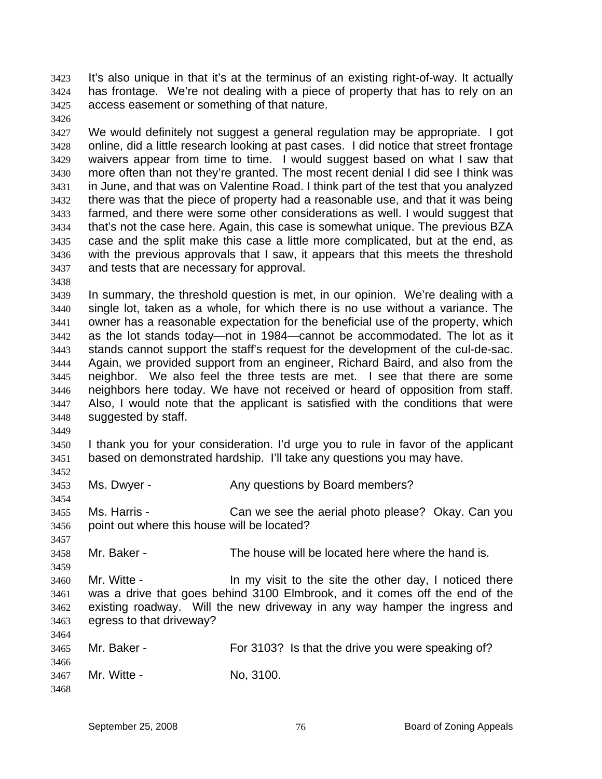It's also unique in that it's at the terminus of an existing right-of-way. It actually has frontage. We're not dealing with a piece of property that has to rely on an access easement or something of that nature. 3423 3424 3425

3427 3428 3429 3430 3431 3432 3433 3434 3435 3436 3437 We would definitely not suggest a general regulation may be appropriate. I got online, did a little research looking at past cases. I did notice that street frontage waivers appear from time to time. I would suggest based on what I saw that more often than not they're granted. The most recent denial I did see I think was in June, and that was on Valentine Road. I think part of the test that you analyzed there was that the piece of property had a reasonable use, and that it was being farmed, and there were some other considerations as well. I would suggest that that's not the case here. Again, this case is somewhat unique. The previous BZA case and the split make this case a little more complicated, but at the end, as with the previous approvals that I saw, it appears that this meets the threshold and tests that are necessary for approval.

3438

3449

3454

3457

3459

3464

3426

3439 3440 3441 3442 3443 3444 3445 3446 3447 3448 In summary, the threshold question is met, in our opinion. We're dealing with a single lot, taken as a whole, for which there is no use without a variance. The owner has a reasonable expectation for the beneficial use of the property, which as the lot stands today—not in 1984—cannot be accommodated. The lot as it stands cannot support the staff's request for the development of the cul-de-sac. Again, we provided support from an engineer, Richard Baird, and also from the neighbor. We also feel the three tests are met. I see that there are some neighbors here today. We have not received or heard of opposition from staff. Also, I would note that the applicant is satisfied with the conditions that were suggested by staff.

3450 3451 3452 I thank you for your consideration. I'd urge you to rule in favor of the applicant based on demonstrated hardship. I'll take any questions you may have.

3453 Ms. Dwyer - **Any questions by Board members?** 

3455 3456 Ms. Harris - Can we see the aerial photo please? Okay. Can you point out where this house will be located?

3458 Mr. Baker - The house will be located here where the hand is.

3460 3461 3462 3463 Mr. Witte - The Mr wisit to the site the other day, I noticed there was a drive that goes behind 3100 Elmbrook, and it comes off the end of the existing roadway. Will the new driveway in any way hamper the ingress and egress to that driveway?

| 3465 | Mr. Baker - | For 3103? Is that the drive you were speaking of? |
|------|-------------|---------------------------------------------------|
| 3466 |             |                                                   |
| 3467 | Mr. Witte - | No. 3100.                                         |
| 3468 |             |                                                   |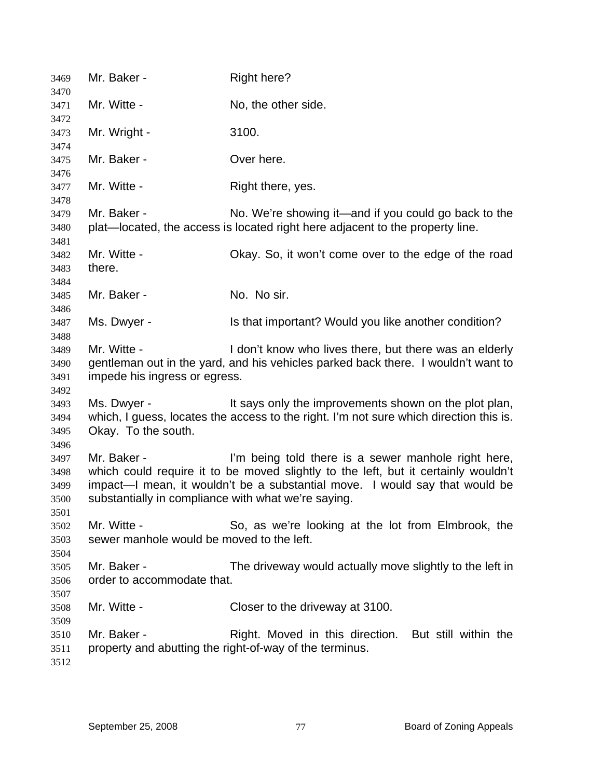| 3469                                 | Mr. Baker -                                                        | <b>Right here?</b>                                                                                                                                                                                                       |
|--------------------------------------|--------------------------------------------------------------------|--------------------------------------------------------------------------------------------------------------------------------------------------------------------------------------------------------------------------|
| 3470<br>3471                         | Mr. Witte -                                                        | No, the other side.                                                                                                                                                                                                      |
| 3472<br>3473                         | Mr. Wright -                                                       | 3100.                                                                                                                                                                                                                    |
| 3474<br>3475<br>3476                 | Mr. Baker -                                                        | Over here.                                                                                                                                                                                                               |
| 3477<br>3478                         | Mr. Witte -                                                        | Right there, yes.                                                                                                                                                                                                        |
| 3479<br>3480                         | Mr. Baker -                                                        | No. We're showing it—and if you could go back to the<br>plat—located, the access is located right here adjacent to the property line.                                                                                    |
| 3481<br>3482<br>3483                 | Mr. Witte -<br>there.                                              | Okay. So, it won't come over to the edge of the road                                                                                                                                                                     |
| 3484<br>3485                         | Mr. Baker -                                                        | No. No sir.                                                                                                                                                                                                              |
| 3486<br>3487<br>3488                 | Ms. Dwyer -                                                        | Is that important? Would you like another condition?                                                                                                                                                                     |
| 3489<br>3490<br>3491                 | Mr. Witte -<br>impede his ingress or egress.                       | I don't know who lives there, but there was an elderly<br>gentleman out in the yard, and his vehicles parked back there. I wouldn't want to                                                                              |
| 3492<br>3493<br>3494<br>3495         | Ms. Dwyer -<br>Okay. To the south.                                 | It says only the improvements shown on the plot plan,<br>which, I guess, locates the access to the right. I'm not sure which direction this is.                                                                          |
| 3496<br>3497<br>3498<br>3499<br>3500 | Mr. Baker -<br>substantially in compliance with what we're saying. | I'm being told there is a sewer manhole right here,<br>which could require it to be moved slightly to the left, but it certainly wouldn't<br>impact—I mean, it wouldn't be a substantial move. I would say that would be |
| 3501<br>3502<br>3503                 | Mr. Witte -<br>sewer manhole would be moved to the left.           | So, as we're looking at the lot from Elmbrook, the                                                                                                                                                                       |
| 3504<br>3505<br>3506                 | Mr. Baker -<br>order to accommodate that.                          | The driveway would actually move slightly to the left in                                                                                                                                                                 |
| 3507<br>3508<br>3509                 | Mr. Witte -                                                        | Closer to the driveway at 3100.                                                                                                                                                                                          |
| 3510<br>3511<br>3512                 | Mr. Baker -                                                        | Right. Moved in this direction. But still within the<br>property and abutting the right-of-way of the terminus.                                                                                                          |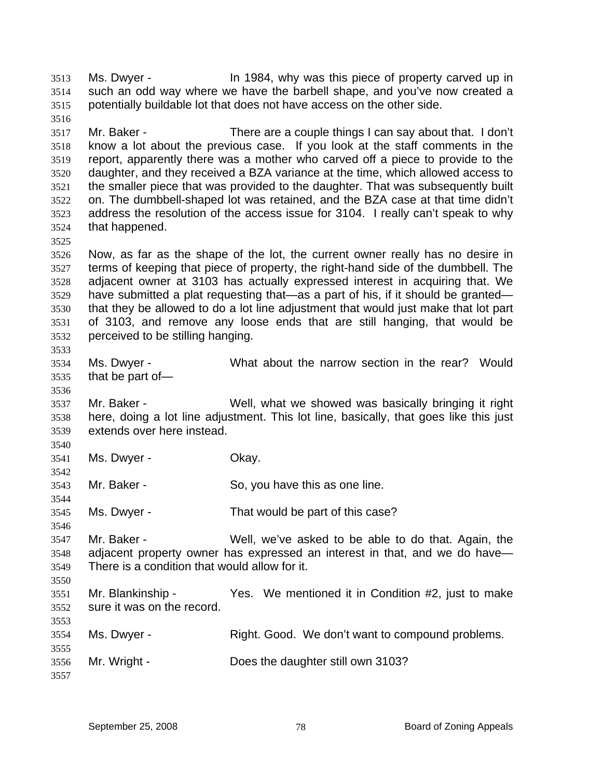Ms. Dwyer - In 1984, why was this piece of property carved up in such an odd way where we have the barbell shape, and you've now created a potentially buildable lot that does not have access on the other side. 3513 3514 3515 3516 3517 3518 3519 3520 3521 3522 3523 3524 3525 3526 3527 3528 3529 3530 3531 3532 3533 3534 3535 3536 3537 3538 3539 3540 3541 3542 3543 3544 3545 3546 3547 3548 3549 3550 3551 3552 3553 3554 3555 3556 3557 Mr. Baker - There are a couple things I can say about that. I don't know a lot about the previous case. If you look at the staff comments in the report, apparently there was a mother who carved off a piece to provide to the daughter, and they received a BZA variance at the time, which allowed access to the smaller piece that was provided to the daughter. That was subsequently built on. The dumbbell-shaped lot was retained, and the BZA case at that time didn't address the resolution of the access issue for 3104. I really can't speak to why that happened. Now, as far as the shape of the lot, the current owner really has no desire in terms of keeping that piece of property, the right-hand side of the dumbbell. The adjacent owner at 3103 has actually expressed interest in acquiring that. We have submitted a plat requesting that—as a part of his, if it should be granted that they be allowed to do a lot line adjustment that would just make that lot part of 3103, and remove any loose ends that are still hanging, that would be perceived to be stilling hanging. Ms. Dwyer - What about the narrow section in the rear? Would that be part of— Mr. Baker - Well, what we showed was basically bringing it right here, doing a lot line adjustment. This lot line, basically, that goes like this just extends over here instead. Ms. Dwyer - Chay. Mr. Baker - So, you have this as one line. Ms. Dwyer - That would be part of this case? Mr. Baker - Well, we've asked to be able to do that. Again, the adjacent property owner has expressed an interest in that, and we do have— There is a condition that would allow for it. Mr. Blankinship - Yes. We mentioned it in Condition #2, just to make sure it was on the record. Ms. Dwyer - Right. Good. We don't want to compound problems. Mr. Wright - Does the daughter still own 3103?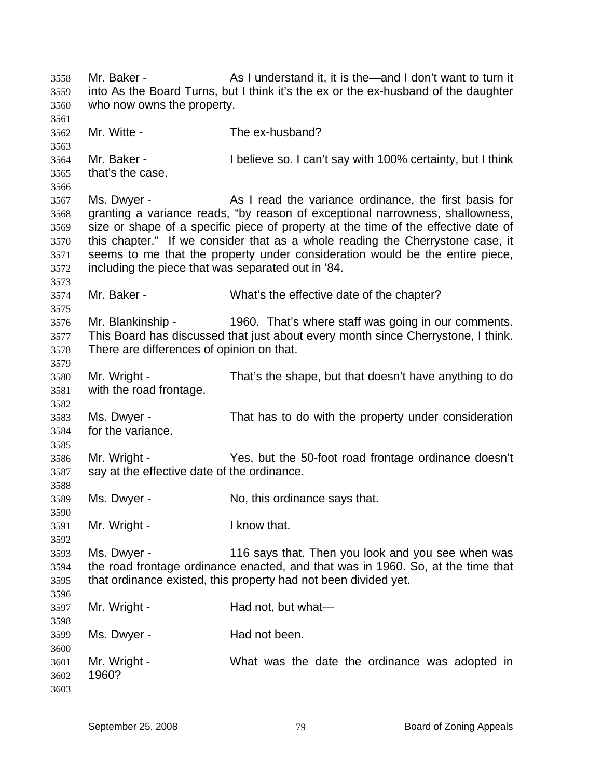Mr. Baker - As I understand it, it is the—and I don't want to turn it into As the Board Turns, but I think it's the ex or the ex-husband of the daughter who now owns the property. 3558 3559 3560 3561 3562 3563 3564 3565 3566 3567 3568 3569 3570 3571 3572 3573 3574 3575 3576 3577 3578 3579 3580 3581 3582 3583 3584 3585 3586 3587 3588 3589 3590 3591 3592 3593 3594 3595 3596 3597 3598 3599 3600 3601 3602 3603 Mr. Witte - The ex-husband? Mr. Baker - **I** believe so. I can't say with 100% certainty, but I think that's the case. Ms. Dwyer - As I read the variance ordinance, the first basis for granting a variance reads, "by reason of exceptional narrowness, shallowness, size or shape of a specific piece of property at the time of the effective date of this chapter." If we consider that as a whole reading the Cherrystone case, it seems to me that the property under consideration would be the entire piece, including the piece that was separated out in '84. Mr. Baker - What's the effective date of the chapter? Mr. Blankinship - 1960. That's where staff was going in our comments. This Board has discussed that just about every month since Cherrystone, I think. There are differences of opinion on that. Mr. Wright - That's the shape, but that doesn't have anything to do with the road frontage. Ms. Dwyer - That has to do with the property under consideration for the variance. Mr. Wright - Yes, but the 50-foot road frontage ordinance doesn't say at the effective date of the ordinance. Ms. Dwyer - No, this ordinance says that. Mr. Wright - The University of the I know that. Ms. Dwyer - 116 says that. Then you look and you see when was the road frontage ordinance enacted, and that was in 1960. So, at the time that that ordinance existed, this property had not been divided yet. Mr. Wright - Had not, but what— Ms. Dwyer - The Had not been. Mr. Wright - What was the date the ordinance was adopted in 1960?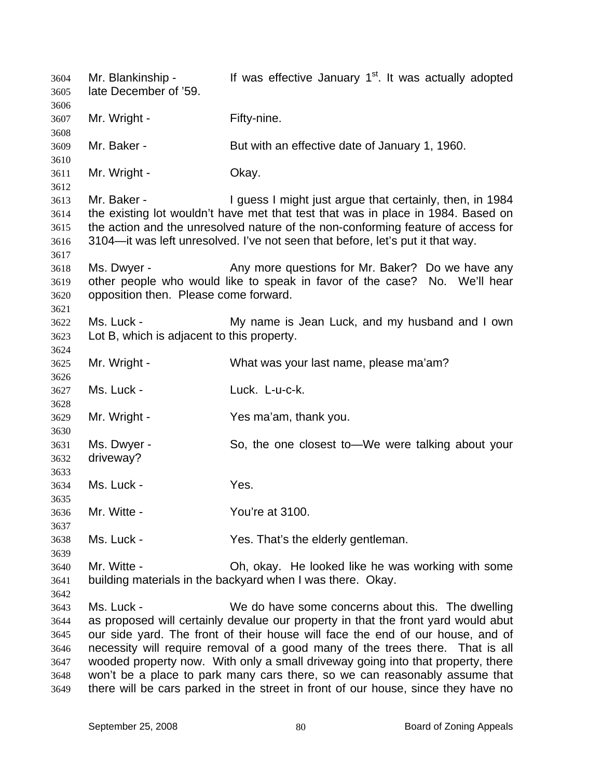Mr. Blankinship - If was effective January  $1<sup>st</sup>$ . It was actually adopted late December of '59. 3604 3605 3606 3607 3608 3609 3610 3611 3612 3613 3614 3615 3616 3617 3618 3619 3620 3621 3622 3623 3624 3625 3626 3627 3628 3629 3630 3631 3632 3633 3634 3635 3636 3637 3638 3639 3640 3641 3642 3643 3644 3645 3646 3647 3648 3649 Mr. Wright - Fifty-nine. Mr. Baker - But with an effective date of January 1, 1960. Mr. Wright - Chay. Mr. Baker - **I** guess I might just argue that certainly, then, in 1984 the existing lot wouldn't have met that test that was in place in 1984. Based on the action and the unresolved nature of the non-conforming feature of access for 3104—it was left unresolved. I've not seen that before, let's put it that way. Ms. Dwyer - The Any more questions for Mr. Baker? Do we have any other people who would like to speak in favor of the case? No. We'll hear opposition then. Please come forward. Ms. Luck - The My name is Jean Luck, and my husband and I own Lot B, which is adjacent to this property. Mr. Wright - What was your last name, please ma'am? Ms. Luck - Luck. L-u-c-k. Mr. Wright - Yes ma'am, thank you. Ms. Dwyer - So, the one closest to—We were talking about your driveway? Ms. Luck - The Yes. Mr. Witte - The You're at 3100. Ms. Luck - Yes. That's the elderly gentleman. Mr. Witte - Oh, okay. He looked like he was working with some building materials in the backyard when I was there. Okay. Ms. Luck - We do have some concerns about this. The dwelling as proposed will certainly devalue our property in that the front yard would abut our side yard. The front of their house will face the end of our house, and of necessity will require removal of a good many of the trees there. That is all wooded property now. With only a small driveway going into that property, there won't be a place to park many cars there, so we can reasonably assume that there will be cars parked in the street in front of our house, since they have no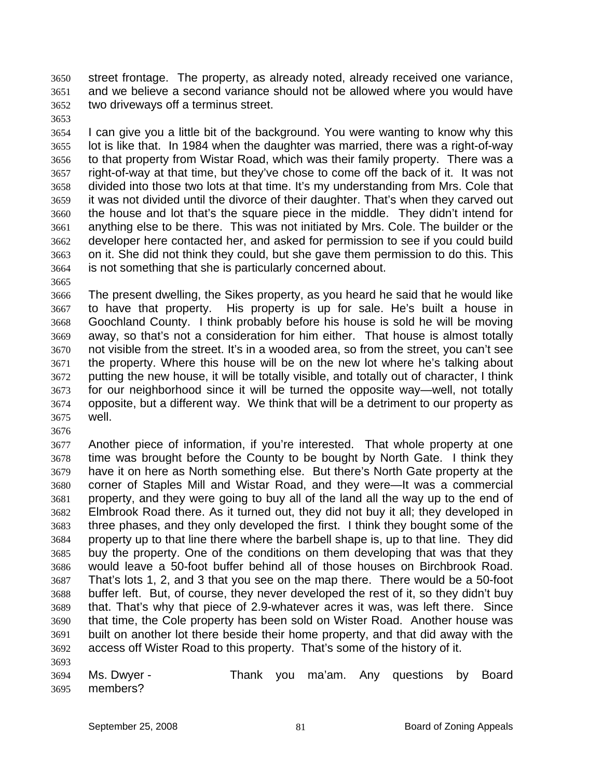street frontage. The property, as already noted, already received one variance, and we believe a second variance should not be allowed where you would have two driveways off a terminus street. 3650 3651 3652

3653

3654 3655 3656 3657 3658 3659 3660 3661 3662 3663 3664 I can give you a little bit of the background. You were wanting to know why this lot is like that. In 1984 when the daughter was married, there was a right-of-way to that property from Wistar Road, which was their family property. There was a right-of-way at that time, but they've chose to come off the back of it. It was not divided into those two lots at that time. It's my understanding from Mrs. Cole that it was not divided until the divorce of their daughter. That's when they carved out the house and lot that's the square piece in the middle. They didn't intend for anything else to be there. This was not initiated by Mrs. Cole. The builder or the developer here contacted her, and asked for permission to see if you could build on it. She did not think they could, but she gave them permission to do this. This is not something that she is particularly concerned about.

3665

3676

3693

3666 3667 3668 3669 3670 3671 3672 3673 3674 3675 The present dwelling, the Sikes property, as you heard he said that he would like to have that property. His property is up for sale. He's built a house in Goochland County. I think probably before his house is sold he will be moving away, so that's not a consideration for him either. That house is almost totally not visible from the street. It's in a wooded area, so from the street, you can't see the property. Where this house will be on the new lot where he's talking about putting the new house, it will be totally visible, and totally out of character, I think for our neighborhood since it will be turned the opposite way—well, not totally opposite, but a different way. We think that will be a detriment to our property as well.

3677 3678 3679 3680 3681 3682 3683 3684 3685 3686 3687 3688 3689 3690 3691 3692 Another piece of information, if you're interested. That whole property at one time was brought before the County to be bought by North Gate. I think they have it on here as North something else. But there's North Gate property at the corner of Staples Mill and Wistar Road, and they were—It was a commercial property, and they were going to buy all of the land all the way up to the end of Elmbrook Road there. As it turned out, they did not buy it all; they developed in three phases, and they only developed the first. I think they bought some of the property up to that line there where the barbell shape is, up to that line. They did buy the property. One of the conditions on them developing that was that they would leave a 50-foot buffer behind all of those houses on Birchbrook Road. That's lots 1, 2, and 3 that you see on the map there. There would be a 50-foot buffer left. But, of course, they never developed the rest of it, so they didn't buy that. That's why that piece of 2.9-whatever acres it was, was left there. Since that time, the Cole property has been sold on Wister Road. Another house was built on another lot there beside their home property, and that did away with the access off Wister Road to this property. That's some of the history of it.

3694 3695 Ms. Dwyer - Thank you ma'am. Any questions by Board members?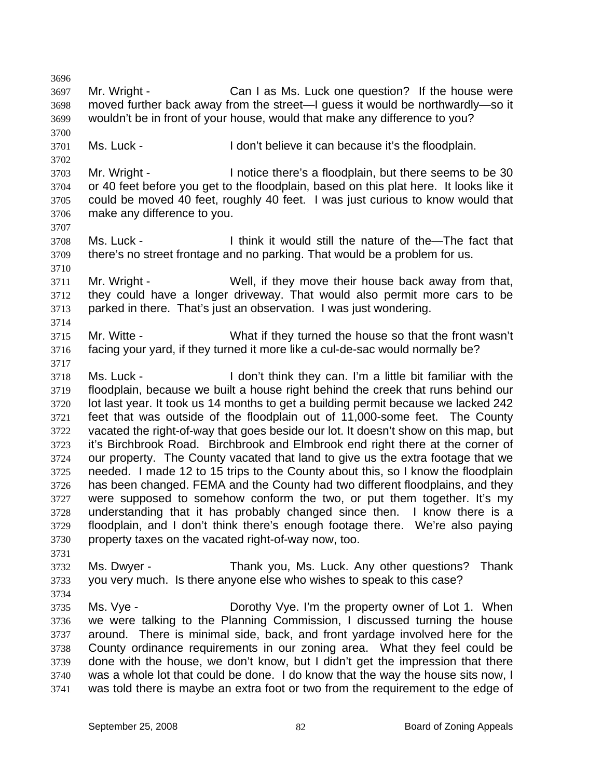3696 3697 3698 3699 3700 3701 3702 3703 3704 3705 3706 3707 3708 3709 3710 3711 3712 3713 3714 3715 3716 3717 3718 3719 3720 3721 3722 3723 3724 3725 3726 3727 3728 3729 3730 3731 3732 3733 3734 3735 3736 3737 3738 3739 3740 3741 Mr. Wright - Can I as Ms. Luck one question? If the house were moved further back away from the street—I guess it would be northwardly—so it wouldn't be in front of your house, would that make any difference to you? Ms. Luck - I don't believe it can because it's the floodplain. Mr. Wright - I notice there's a floodplain, but there seems to be 30 or 40 feet before you get to the floodplain, based on this plat here. It looks like it could be moved 40 feet, roughly 40 feet. I was just curious to know would that make any difference to you. Ms. Luck - I think it would still the nature of the—The fact that there's no street frontage and no parking. That would be a problem for us. Mr. Wright - Well, if they move their house back away from that, they could have a longer driveway. That would also permit more cars to be parked in there. That's just an observation. I was just wondering. Mr. Witte - What if they turned the house so that the front wasn't facing your yard, if they turned it more like a cul-de-sac would normally be? Ms. Luck - I don't think they can. I'm a little bit familiar with the floodplain, because we built a house right behind the creek that runs behind our lot last year. It took us 14 months to get a building permit because we lacked 242 feet that was outside of the floodplain out of 11,000-some feet. The County vacated the right-of-way that goes beside our lot. It doesn't show on this map, but it's Birchbrook Road. Birchbrook and Elmbrook end right there at the corner of our property. The County vacated that land to give us the extra footage that we needed. I made 12 to 15 trips to the County about this, so I know the floodplain has been changed. FEMA and the County had two different floodplains, and they were supposed to somehow conform the two, or put them together. It's my understanding that it has probably changed since then. I know there is a floodplain, and I don't think there's enough footage there. We're also paying property taxes on the vacated right-of-way now, too. Ms. Dwyer - Thank you, Ms. Luck. Any other questions? Thank you very much. Is there anyone else who wishes to speak to this case? Ms. Vye - The Dorothy Vye. I'm the property owner of Lot 1. When we were talking to the Planning Commission, I discussed turning the house around. There is minimal side, back, and front yardage involved here for the County ordinance requirements in our zoning area. What they feel could be done with the house, we don't know, but I didn't get the impression that there was a whole lot that could be done. I do know that the way the house sits now, I was told there is maybe an extra foot or two from the requirement to the edge of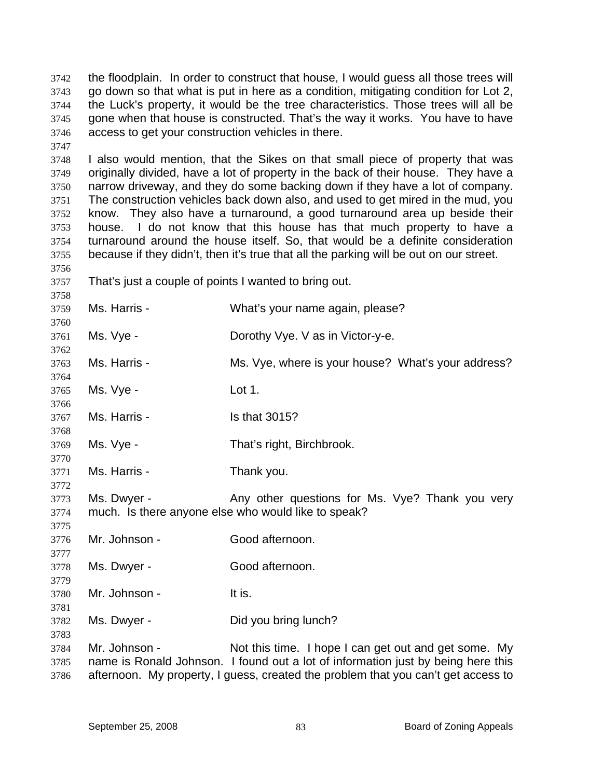the floodplain. In order to construct that house, I would guess all those trees will go down so that what is put in here as a condition, mitigating condition for Lot 2, the Luck's property, it would be the tree characteristics. Those trees will all be gone when that house is constructed. That's the way it works. You have to have access to get your construction vehicles in there. 3742 3743 3744 3745 3746

3748 3749 3750 3751 3752 3753 3754 3755 I also would mention, that the Sikes on that small piece of property that was originally divided, have a lot of property in the back of their house. They have a narrow driveway, and they do some backing down if they have a lot of company. The construction vehicles back down also, and used to get mired in the mud, you know. They also have a turnaround, a good turnaround area up beside their house. I do not know that this house has that much property to have a turnaround around the house itself. So, that would be a definite consideration because if they didn't, then it's true that all the parking will be out on our street.

3757 That's just a couple of points I wanted to bring out.

3747

3756

3758

| 3759                 | Ms. Harris -  | What's your name again, please?                                                                                                                                                                                               |
|----------------------|---------------|-------------------------------------------------------------------------------------------------------------------------------------------------------------------------------------------------------------------------------|
| 3760<br>3761         | Ms. Vye -     | Dorothy Vye. V as in Victor-y-e.                                                                                                                                                                                              |
| 3762<br>3763         | Ms. Harris -  | Ms. Vye, where is your house? What's your address?                                                                                                                                                                            |
| 3764<br>3765<br>3766 | Ms. Vye -     | Lot 1.                                                                                                                                                                                                                        |
| 3767<br>3768         | Ms. Harris -  | Is that 3015?                                                                                                                                                                                                                 |
| 3769<br>3770         | Ms. Vye -     | That's right, Birchbrook.                                                                                                                                                                                                     |
| 3771<br>3772         | Ms. Harris -  | Thank you.                                                                                                                                                                                                                    |
| 3773<br>3774<br>3775 | Ms. Dwyer -   | Any other questions for Ms. Vye? Thank you very<br>much. Is there anyone else who would like to speak?                                                                                                                        |
| 3776<br>3777         | Mr. Johnson - | Good afternoon.                                                                                                                                                                                                               |
| 3778<br>3779         | Ms. Dwyer -   | Good afternoon.                                                                                                                                                                                                               |
| 3780<br>3781         | Mr. Johnson - | It is.                                                                                                                                                                                                                        |
| 3782<br>3783         | Ms. Dwyer -   | Did you bring lunch?                                                                                                                                                                                                          |
| 3784<br>3785<br>3786 | Mr. Johnson - | Not this time. I hope I can get out and get some. My<br>name is Ronald Johnson. I found out a lot of information just by being here this<br>afternoon. My property, I guess, created the problem that you can't get access to |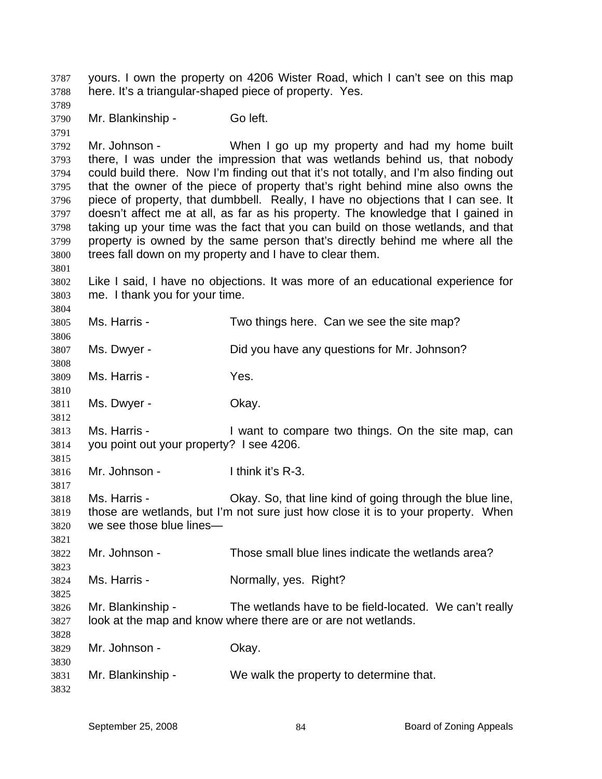yours. I own the property on 4206 Wister Road, which I can't see on this map here. It's a triangular-shaped piece of property. Yes. 3787 3788

3789 3790 3791 3792 3793 3794 3795 3796 3797 3798 3799 3800 3801 3802 3803 3804 3805 3806 3807 3808 3809 3810 3811 3812 3813 3814 3815 Mr. Blankinship - Go left. Mr. Johnson - When I go up my property and had my home built there, I was under the impression that was wetlands behind us, that nobody could build there. Now I'm finding out that it's not totally, and I'm also finding out that the owner of the piece of property that's right behind mine also owns the piece of property, that dumbbell. Really, I have no objections that I can see. It doesn't affect me at all, as far as his property. The knowledge that I gained in taking up your time was the fact that you can build on those wetlands, and that property is owned by the same person that's directly behind me where all the trees fall down on my property and I have to clear them. Like I said, I have no objections. It was more of an educational experience for me. I thank you for your time. Ms. Harris - Two things here. Can we see the site map? Ms. Dwyer - Did you have any questions for Mr. Johnson? Ms. Harris - Yes. Ms. Dwyer - Ckay. Ms. Harris - The Unit of the Compare two things. On the site map, can you point out your property? I see 4206.

3816 Mr. Johnson - Think it's R-3.

3818 3819 3820 Ms. Harris - Okay. So, that line kind of going through the blue line, those are wetlands, but I'm not sure just how close it is to your property. When we see those blue lines—

3822 Mr. Johnson - Those small blue lines indicate the wetlands area?

3824 Ms. Harris - **Normally**, yes. Right?

3826 3827 Mr. Blankinship - The wetlands have to be field-located. We can't really look at the map and know where there are or are not wetlands.

3829 3830 Mr. Johnson - Ckay.

3831 Mr. Blankinship - We walk the property to determine that.

3817

3821

3823

3825

3828

3832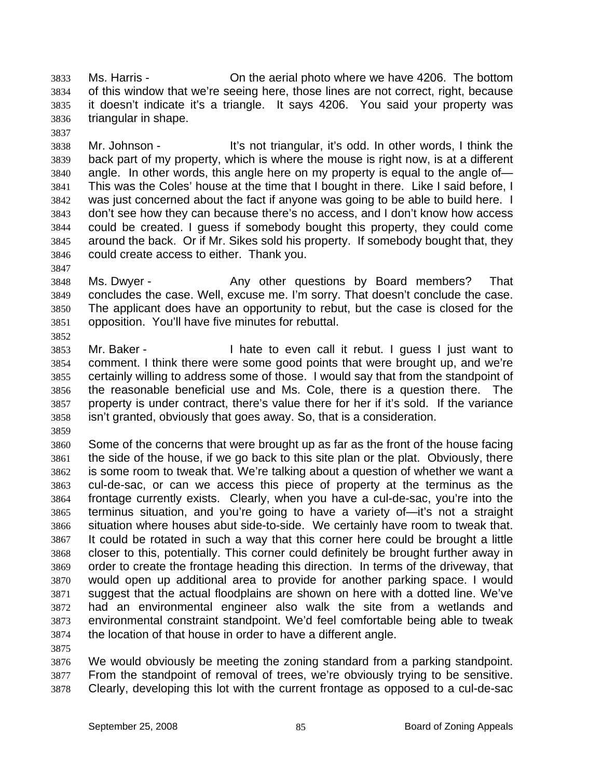Ms. Harris - On the aerial photo where we have 4206. The bottom of this window that we're seeing here, those lines are not correct, right, because it doesn't indicate it's a triangle. It says 4206. You said your property was triangular in shape. 3833 3834 3835 3836

3838 3839 3840 3841 3842 3843 3844 3845 3846 Mr. Johnson - It's not triangular, it's odd. In other words, I think the back part of my property, which is where the mouse is right now, is at a different angle. In other words, this angle here on my property is equal to the angle of— This was the Coles' house at the time that I bought in there. Like I said before, I was just concerned about the fact if anyone was going to be able to build here. I don't see how they can because there's no access, and I don't know how access could be created. I guess if somebody bought this property, they could come around the back. Or if Mr. Sikes sold his property. If somebody bought that, they could create access to either. Thank you.

- 3848 3849 3850 3851 3852 Ms. Dwyer - That Any other questions by Board members? That concludes the case. Well, excuse me. I'm sorry. That doesn't conclude the case. The applicant does have an opportunity to rebut, but the case is closed for the opposition. You'll have five minutes for rebuttal.
- 3853 3854 3855 3856 3857 3858 Mr. Baker - Thate to even call it rebut. I guess I just want to comment. I think there were some good points that were brought up, and we're certainly willing to address some of those. I would say that from the standpoint of the reasonable beneficial use and Ms. Cole, there is a question there. The property is under contract, there's value there for her if it's sold. If the variance isn't granted, obviously that goes away. So, that is a consideration.
- 3859

3837

3847

3860 3861 3862 3863 3864 3865 3866 3867 3868 3869 3870 3871 3872 3873 3874 Some of the concerns that were brought up as far as the front of the house facing the side of the house, if we go back to this site plan or the plat. Obviously, there is some room to tweak that. We're talking about a question of whether we want a cul-de-sac, or can we access this piece of property at the terminus as the frontage currently exists. Clearly, when you have a cul-de-sac, you're into the terminus situation, and you're going to have a variety of—it's not a straight situation where houses abut side-to-side. We certainly have room to tweak that. It could be rotated in such a way that this corner here could be brought a little closer to this, potentially. This corner could definitely be brought further away in order to create the frontage heading this direction. In terms of the driveway, that would open up additional area to provide for another parking space. I would suggest that the actual floodplains are shown on here with a dotted line. We've had an environmental engineer also walk the site from a wetlands and environmental constraint standpoint. We'd feel comfortable being able to tweak the location of that house in order to have a different angle.

3875

3876 3877 3878 We would obviously be meeting the zoning standard from a parking standpoint. From the standpoint of removal of trees, we're obviously trying to be sensitive. Clearly, developing this lot with the current frontage as opposed to a cul-de-sac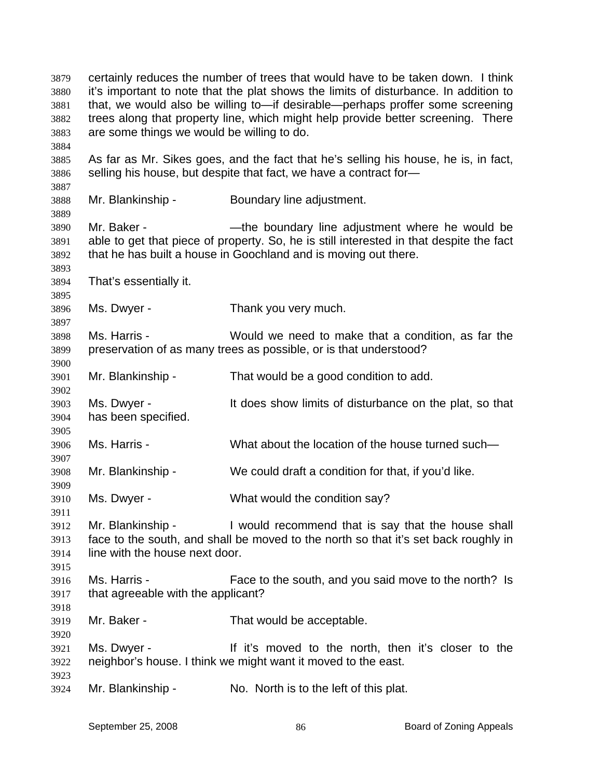certainly reduces the number of trees that would have to be taken down. I think it's important to note that the plat shows the limits of disturbance. In addition to that, we would also be willing to—if desirable—perhaps proffer some screening trees along that property line, which might help provide better screening. There are some things we would be willing to do. 3879 3880 3881 3882 3883 3884 3885 3886 3887 3888 3889 3890 3891 3892 3893 3894 3895 3896 3897 3898 3899 3900 3901 3902 3903 3904 3905 3906 3907 3908 3909 3910 3911 3912 3913 3914 3915 3916 3917 3918 3919 3920 3921 3922 3923 3924 As far as Mr. Sikes goes, and the fact that he's selling his house, he is, in fact, selling his house, but despite that fact, we have a contract for— Mr. Blankinship - Boundary line adjustment. Mr. Baker - The boundary line adjustment where he would be able to get that piece of property. So, he is still interested in that despite the fact that he has built a house in Goochland and is moving out there. That's essentially it. Ms. Dwyer - Thank you very much. Ms. Harris - Would we need to make that a condition, as far the preservation of as many trees as possible, or is that understood? Mr. Blankinship - That would be a good condition to add. Ms. Dwyer - It does show limits of disturbance on the plat, so that has been specified. Ms. Harris - What about the location of the house turned such— Mr. Blankinship - We could draft a condition for that, if you'd like. Ms. Dwyer - What would the condition say? Mr. Blankinship - I would recommend that is say that the house shall face to the south, and shall be moved to the north so that it's set back roughly in line with the house next door. Ms. Harris - Face to the south, and you said move to the north? Is that agreeable with the applicant? Mr. Baker - That would be acceptable. Ms. Dwyer - If it's moved to the north, then it's closer to the neighbor's house. I think we might want it moved to the east. Mr. Blankinship - No. North is to the left of this plat.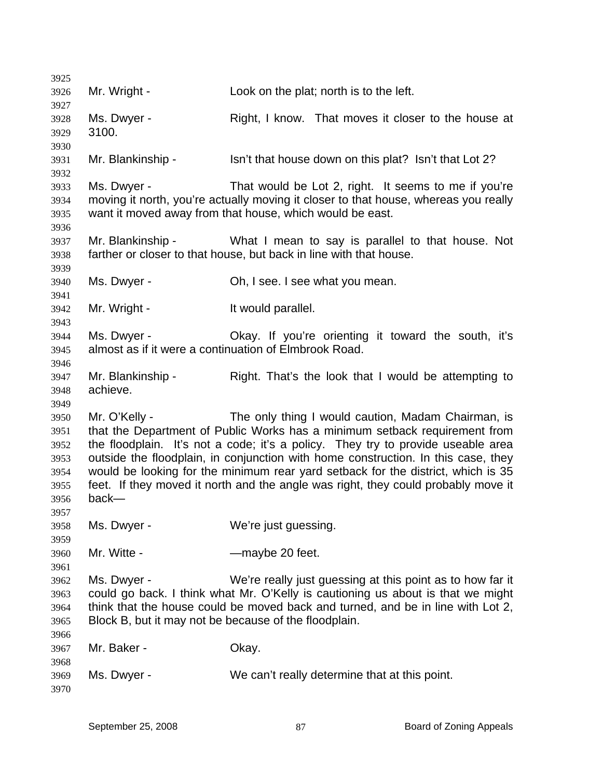| 3925                                                         |                                                                      |                                                                                                                                                                                                                                                                                                                                                                                                                                                                                    |
|--------------------------------------------------------------|----------------------------------------------------------------------|------------------------------------------------------------------------------------------------------------------------------------------------------------------------------------------------------------------------------------------------------------------------------------------------------------------------------------------------------------------------------------------------------------------------------------------------------------------------------------|
| 3926                                                         | Mr. Wright -                                                         | Look on the plat; north is to the left.                                                                                                                                                                                                                                                                                                                                                                                                                                            |
| 3927<br>3928<br>3929                                         | Ms. Dwyer -<br>3100.                                                 | Right, I know. That moves it closer to the house at                                                                                                                                                                                                                                                                                                                                                                                                                                |
| 3930<br>3931<br>3932                                         | Mr. Blankinship -                                                    | Isn't that house down on this plat? Isn't that Lot 2?                                                                                                                                                                                                                                                                                                                                                                                                                              |
| 3933<br>3934<br>3935<br>3936                                 | Ms. Dwyer -                                                          | That would be Lot 2, right. It seems to me if you're<br>moving it north, you're actually moving it closer to that house, whereas you really<br>want it moved away from that house, which would be east.                                                                                                                                                                                                                                                                            |
| 3937<br>3938                                                 | Mr. Blankinship -                                                    | What I mean to say is parallel to that house. Not<br>farther or closer to that house, but back in line with that house.                                                                                                                                                                                                                                                                                                                                                            |
| 3939<br>3940<br>3941                                         | Ms. Dwyer -                                                          | Oh, I see. I see what you mean.                                                                                                                                                                                                                                                                                                                                                                                                                                                    |
| 3942<br>3943                                                 | Mr. Wright -                                                         | It would parallel.                                                                                                                                                                                                                                                                                                                                                                                                                                                                 |
| 3944<br>3945<br>3946                                         | Ms. Dwyer -                                                          | Okay. If you're orienting it toward the south, it's<br>almost as if it were a continuation of Elmbrook Road.                                                                                                                                                                                                                                                                                                                                                                       |
| 3947<br>3948                                                 | Mr. Blankinship -<br>achieve.                                        | Right. That's the look that I would be attempting to                                                                                                                                                                                                                                                                                                                                                                                                                               |
| 3949<br>3950<br>3951<br>3952<br>3953<br>3954<br>3955<br>3956 | Mr. O'Kelly -<br>back-                                               | The only thing I would caution, Madam Chairman, is<br>that the Department of Public Works has a minimum setback requirement from<br>the floodplain. It's not a code; it's a policy. They try to provide useable area<br>outside the floodplain, in conjunction with home construction. In this case, they<br>would be looking for the minimum rear yard setback for the district, which is 35<br>feet. If they moved it north and the angle was right, they could probably move it |
| 3957<br>3958                                                 | Ms. Dwyer -                                                          | We're just guessing.                                                                                                                                                                                                                                                                                                                                                                                                                                                               |
| 3959<br>3960<br>3961                                         | Mr. Witte -                                                          | -maybe 20 feet.                                                                                                                                                                                                                                                                                                                                                                                                                                                                    |
| 3962<br>3963<br>3964<br>3965                                 | Ms. Dwyer -<br>Block B, but it may not be because of the floodplain. | We're really just guessing at this point as to how far it<br>could go back. I think what Mr. O'Kelly is cautioning us about is that we might<br>think that the house could be moved back and turned, and be in line with Lot 2,                                                                                                                                                                                                                                                    |
| 3966<br>3967                                                 | Mr. Baker -                                                          | Okay.                                                                                                                                                                                                                                                                                                                                                                                                                                                                              |
| 3968<br>3969<br>3970                                         | Ms. Dwyer -                                                          | We can't really determine that at this point.                                                                                                                                                                                                                                                                                                                                                                                                                                      |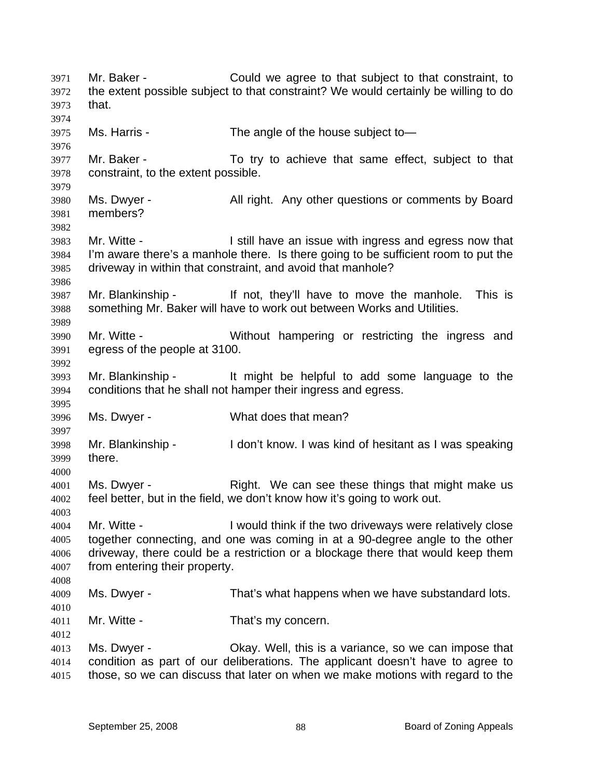Mr. Baker - Could we agree to that subject to that constraint, to the extent possible subject to that constraint? We would certainly be willing to do that. 3971 3972 3973 3974 3975 3976 3977 3978 3979 3980 3981 3982 3983 3984 3985 3986 3987 3988 3989 3990 3991 3992 3993 3994 3995 3996 3997 3998 3999 4000 4001 4002 4003 4004 4005 4006 4007 4008 4009 4010 4011 4012 4013 4014 4015 Ms. Harris - The angle of the house subject to — Mr. Baker - To try to achieve that same effect, subject to that constraint, to the extent possible. Ms. Dwyer - All right. Any other questions or comments by Board members? Mr. Witte - **I** still have an issue with ingress and egress now that I'm aware there's a manhole there. Is there going to be sufficient room to put the driveway in within that constraint, and avoid that manhole? Mr. Blankinship - This is a light of the v'll have to move the manhole. This is something Mr. Baker will have to work out between Works and Utilities. Mr. Witte - **Without hampering or restricting the ingress and** egress of the people at 3100. Mr. Blankinship - It might be helpful to add some language to the conditions that he shall not hamper their ingress and egress. Ms. Dwyer - What does that mean? Mr. Blankinship - I don't know. I was kind of hesitant as I was speaking there. Ms. Dwyer - The Right. We can see these things that might make us feel better, but in the field, we don't know how it's going to work out. Mr. Witte - **I** would think if the two driveways were relatively close together connecting, and one was coming in at a 90-degree angle to the other driveway, there could be a restriction or a blockage there that would keep them from entering their property. Ms. Dwyer - That's what happens when we have substandard lots. Mr. Witte - That's my concern. Ms. Dwyer - Chay. Well, this is a variance, so we can impose that condition as part of our deliberations. The applicant doesn't have to agree to those, so we can discuss that later on when we make motions with regard to the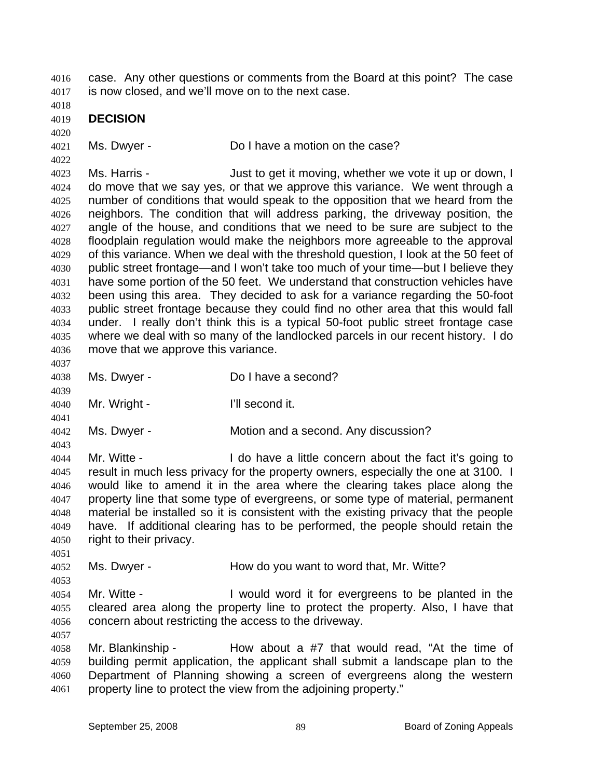case. Any other questions or comments from the Board at this point? The case is now closed, and we'll move on to the next case. 4016 4017

4018

4019 **DECISION** 

4020

4022

4037

4039

4041

4043

4021

Ms. Dwyer - Do I have a motion on the case?

4023 4024 4025 4026 4027 4028 4029 4030 4031 4032 4033 4034 4035 4036 Ms. Harris - The Solution of the Must to get it moving, whether we vote it up or down, I do move that we say yes, or that we approve this variance. We went through a number of conditions that would speak to the opposition that we heard from the neighbors. The condition that will address parking, the driveway position, the angle of the house, and conditions that we need to be sure are subject to the floodplain regulation would make the neighbors more agreeable to the approval of this variance. When we deal with the threshold question, I look at the 50 feet of public street frontage—and I won't take too much of your time—but I believe they have some portion of the 50 feet. We understand that construction vehicles have been using this area. They decided to ask for a variance regarding the 50-foot public street frontage because they could find no other area that this would fall under. I really don't think this is a typical 50-foot public street frontage case where we deal with so many of the landlocked parcels in our recent history. I do move that we approve this variance.

- 4038 Ms. Dwyer - Do I have a second?
- 4040 Mr. Wright - I'll second it.

4042 Ms. Dwyer - **Motion and a second.** Any discussion?

4044 4045 4046 4047 4048 4049 4050 Mr. Witte - The State of Let a little concern about the fact it's going to result in much less privacy for the property owners, especially the one at 3100. I would like to amend it in the area where the clearing takes place along the property line that some type of evergreens, or some type of material, permanent material be installed so it is consistent with the existing privacy that the people have. If additional clearing has to be performed, the people should retain the right to their privacy.

4052 Ms. Dwyer - The How do you want to word that, Mr. Witte?

4054 4055 4056 Mr. Witte - I would word it for evergreens to be planted in the cleared area along the property line to protect the property. Also, I have that concern about restricting the access to the driveway.

4057

4051

4053

4058 4059 4060 4061 Mr. Blankinship - How about a #7 that would read, "At the time of building permit application, the applicant shall submit a landscape plan to the Department of Planning showing a screen of evergreens along the western property line to protect the view from the adjoining property."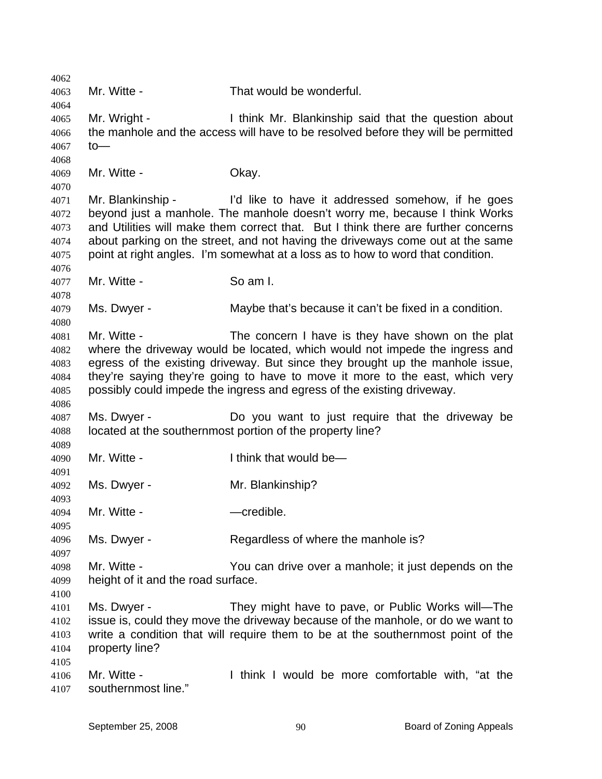4062 4063 4064 4065 4066 4067 4068 4069 4070 4071 4072 4073 4074 4075 4076 4077 4078 4079 4080 4081 4082 4083 4084 4085 4086 4087 4088 4089 4090 4091 4092 4093 4094 4095 4096 4097 4098 4099 4100 4101 4102 4103 4104 4105 4106 4107 Mr. Witte - That would be wonderful. Mr. Wright - I think Mr. Blankinship said that the question about the manhole and the access will have to be resolved before they will be permitted to— Mr. Witte - Chay. Mr. Blankinship - I'd like to have it addressed somehow, if he goes beyond just a manhole. The manhole doesn't worry me, because I think Works and Utilities will make them correct that. But I think there are further concerns about parking on the street, and not having the driveways come out at the same point at right angles. I'm somewhat at a loss as to how to word that condition. Mr. Witte - So am I. Ms. Dwyer - Maybe that's because it can't be fixed in a condition. Mr. Witte - The concern I have is they have shown on the plat where the driveway would be located, which would not impede the ingress and egress of the existing driveway. But since they brought up the manhole issue, they're saying they're going to have to move it more to the east, which very possibly could impede the ingress and egress of the existing driveway. Ms. Dwyer - Do you want to just require that the driveway be located at the southernmost portion of the property line? Mr. Witte - Think that would be— Ms. Dwyer - Mr. Blankinship? Mr. Witte - The Credible. Ms. Dwyer - Regardless of where the manhole is? Mr. Witte - You can drive over a manhole; it just depends on the height of it and the road surface. Ms. Dwyer - They might have to pave, or Public Works will—The issue is, could they move the driveway because of the manhole, or do we want to write a condition that will require them to be at the southernmost point of the property line? Mr. Witte - Think I would be more comfortable with, "at the southernmost line."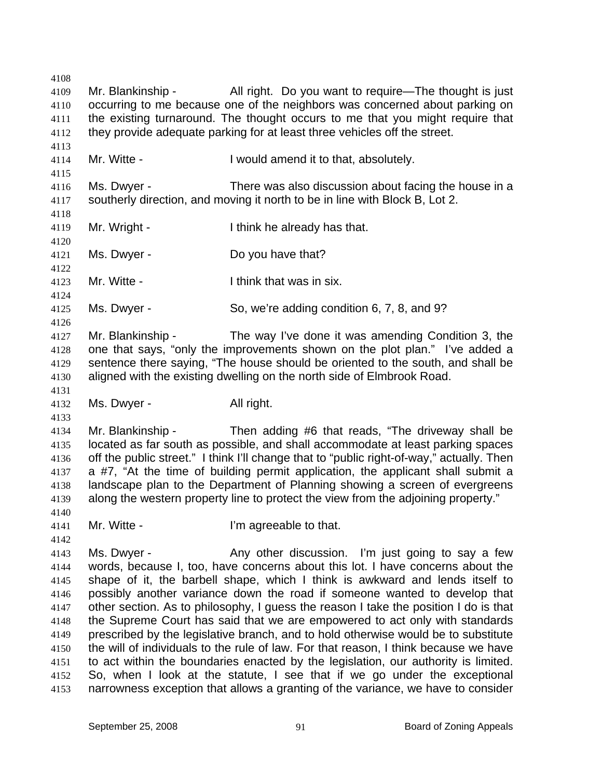4108 4109 4110 4111 4112 4113 4114 4115 4116 4117 4118 4119 4120 4121 4122 4123 4124 4125 4126 4127 4128 4129 4130 4131 4132 4133 4134 4135 4136 4137 4138 4139 4140 4141 4142 4143 4144 4145 4146 4147 4148 4149 4150 4151 4152 4153 Mr. Blankinship - All right. Do you want to require—The thought is just occurring to me because one of the neighbors was concerned about parking on the existing turnaround. The thought occurs to me that you might require that they provide adequate parking for at least three vehicles off the street. Mr. Witte - The State of Twould amend it to that, absolutely. Ms. Dwyer - There was also discussion about facing the house in a southerly direction, and moving it north to be in line with Block B, Lot 2. Mr. Wright - Think he already has that. Ms. Dwyer - Do you have that? Mr. Witte - Think that was in six. Ms. Dwyer - So, we're adding condition 6, 7, 8, and 9? Mr. Blankinship - The way I've done it was amending Condition 3, the one that says, "only the improvements shown on the plot plan." I've added a sentence there saying, "The house should be oriented to the south, and shall be aligned with the existing dwelling on the north side of Elmbrook Road. Ms. Dwyer - All right. Mr. Blankinship - Then adding #6 that reads, "The driveway shall be located as far south as possible, and shall accommodate at least parking spaces off the public street." I think I'll change that to "public right-of-way," actually. Then a #7, "At the time of building permit application, the applicant shall submit a landscape plan to the Department of Planning showing a screen of evergreens along the western property line to protect the view from the adjoining property." Mr. Witte - The U'm agreeable to that. Ms. Dwyer - Any other discussion. I'm just going to say a few words, because I, too, have concerns about this lot. I have concerns about the shape of it, the barbell shape, which I think is awkward and lends itself to possibly another variance down the road if someone wanted to develop that other section. As to philosophy, I guess the reason I take the position I do is that the Supreme Court has said that we are empowered to act only with standards prescribed by the legislative branch, and to hold otherwise would be to substitute the will of individuals to the rule of law. For that reason, I think because we have to act within the boundaries enacted by the legislation, our authority is limited. So, when I look at the statute, I see that if we go under the exceptional narrowness exception that allows a granting of the variance, we have to consider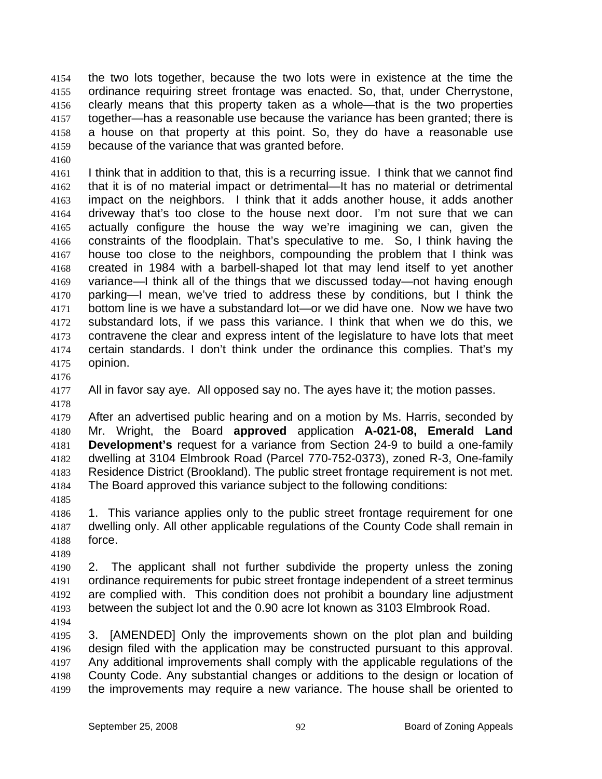the two lots together, because the two lots were in existence at the time the ordinance requiring street frontage was enacted. So, that, under Cherrystone, clearly means that this property taken as a whole—that is the two properties together—has a reasonable use because the variance has been granted; there is a house on that property at this point. So, they do have a reasonable use because of the variance that was granted before. 4154 4155 4156 4157 4158 4159

4161 4162 4163 4164 4165 4166 4167 4168 4169 4170 4171 4172 4173 4174 4175 I think that in addition to that, this is a recurring issue. I think that we cannot find that it is of no material impact or detrimental—It has no material or detrimental impact on the neighbors. I think that it adds another house, it adds another driveway that's too close to the house next door. I'm not sure that we can actually configure the house the way we're imagining we can, given the constraints of the floodplain. That's speculative to me. So, I think having the house too close to the neighbors, compounding the problem that I think was created in 1984 with a barbell-shaped lot that may lend itself to yet another variance—I think all of the things that we discussed today—not having enough parking—I mean, we've tried to address these by conditions, but I think the bottom line is we have a substandard lot—or we did have one. Now we have two substandard lots, if we pass this variance. I think that when we do this, we contravene the clear and express intent of the legislature to have lots that meet certain standards. I don't think under the ordinance this complies. That's my opinion.

4176

4178

4160

4177 All in favor say aye. All opposed say no. The ayes have it; the motion passes.

4179 4180 4181 4182 4183 4184 After an advertised public hearing and on a motion by Ms. Harris, seconded by Mr. Wright, the Board **approved** application **A-021-08, Emerald Land Development's** request for a variance from Section 24-9 to build a one-family dwelling at 3104 Elmbrook Road (Parcel 770-752-0373), zoned R-3, One-family Residence District (Brookland). The public street frontage requirement is not met. The Board approved this variance subject to the following conditions:

4186 4187 4188 1. This variance applies only to the public street frontage requirement for one dwelling only. All other applicable regulations of the County Code shall remain in force.

4189

4185

4190 4191 4192 4193 2. The applicant shall not further subdivide the property unless the zoning ordinance requirements for pubic street frontage independent of a street terminus are complied with. This condition does not prohibit a boundary line adjustment between the subject lot and the 0.90 acre lot known as 3103 Elmbrook Road.

4194

4195 4196 4197 4198 4199 3. [AMENDED] Only the improvements shown on the plot plan and building design filed with the application may be constructed pursuant to this approval. Any additional improvements shall comply with the applicable regulations of the County Code. Any substantial changes or additions to the design or location of the improvements may require a new variance. The house shall be oriented to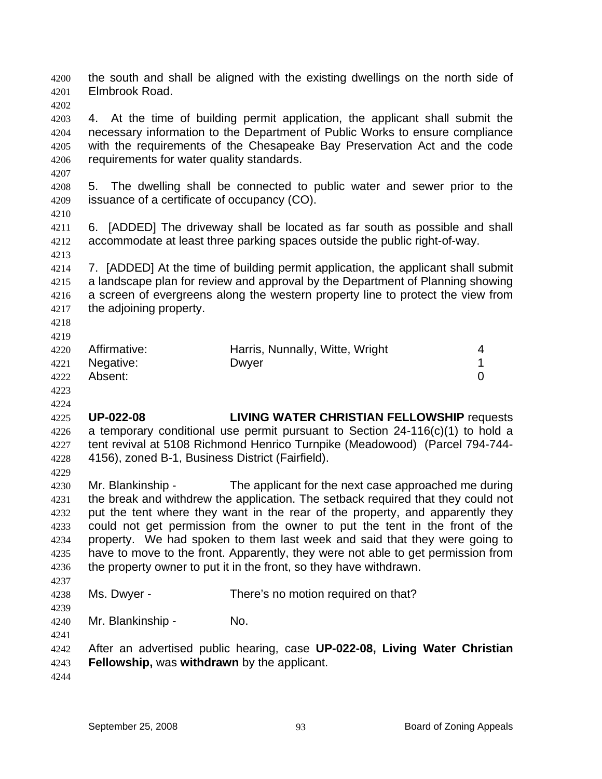the south and shall be aligned with the existing dwellings on the north side of Elmbrook Road. 4200 4201

4203 4204 4205 4206 4. At the time of building permit application, the applicant shall submit the necessary information to the Department of Public Works to ensure compliance with the requirements of the Chesapeake Bay Preservation Act and the code requirements for water quality standards.

4208 4209 5. The dwelling shall be connected to public water and sewer prior to the issuance of a certificate of occupancy (CO).

4210

4207

4202

4211 4212 4213 6. [ADDED] The driveway shall be located as far south as possible and shall accommodate at least three parking spaces outside the public right-of-way.

4214 4215 4216 4217 7. [ADDED] At the time of building permit application, the applicant shall submit a landscape plan for review and approval by the Department of Planning showing a screen of evergreens along the western property line to protect the view from the adjoining property.

4218 4219

| 4220 Affirmative: | Harris, Nunnally, Witte, Wright |  |
|-------------------|---------------------------------|--|
| 4221 Negative:    | Dwyer                           |  |
| 4222 Absent:      |                                 |  |

4223 4224

4225 4226 4227 4228 4229 **UP-022-08 LIVING WATER CHRISTIAN FELLOWSHIP** requests a temporary conditional use permit pursuant to Section 24-116(c)(1) to hold a tent revival at 5108 Richmond Henrico Turnpike (Meadowood) (Parcel 794-744- 4156), zoned B-1, Business District (Fairfield).

4230 4231 4232 4233 4234 4235 4236 4237 Mr. Blankinship - The applicant for the next case approached me during the break and withdrew the application. The setback required that they could not put the tent where they want in the rear of the property, and apparently they could not get permission from the owner to put the tent in the front of the property. We had spoken to them last week and said that they were going to have to move to the front. Apparently, they were not able to get permission from the property owner to put it in the front, so they have withdrawn.

4238 Ms. Dwyer - There's no motion required on that?

4240 Mr. Blankinship - No.

4241

4239

4242 4243 After an advertised public hearing, case **UP-022-08, Living Water Christian Fellowship,** was **withdrawn** by the applicant.

4244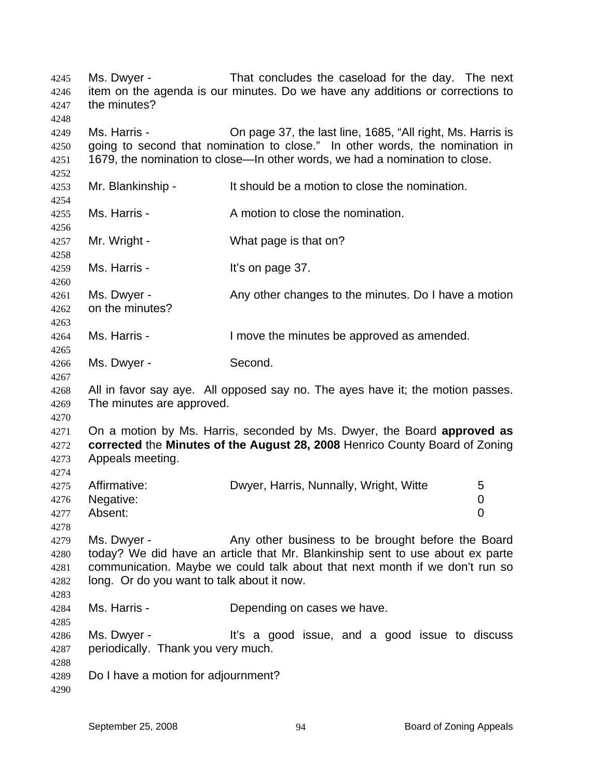Ms. Dwyer - That concludes the caseload for the day. The next item on the agenda is our minutes. Do we have any additions or corrections to the minutes? 4245 4246 4247 4248 4249 4250 4251 4252 4253 4254 4255 4256 4257 4258 4259 4260 4261 4262 4263 4264 4265 4266 4267 4268 4269 4270 4271 4272 4273 4274 4275 4276 4277 4278 4279 4280 4281 4282 4283 4284 4285 4286 4287 4288 4289 4290 Ms. Harris - Chipage 37, the last line, 1685, "All right, Ms. Harris is going to second that nomination to close." In other words, the nomination in 1679, the nomination to close—In other words, we had a nomination to close. Mr. Blankinship - It should be a motion to close the nomination. Ms. Harris - A motion to close the nomination. Mr. Wright - What page is that on? Ms. Harris - The Music Hit's on page 37. Ms. Dwyer - Any other changes to the minutes. Do I have a motion on the minutes? Ms. Harris - The Move the minutes be approved as amended. Ms. Dwyer - Second. All in favor say aye. All opposed say no. The ayes have it; the motion passes. The minutes are approved. On a motion by Ms. Harris, seconded by Ms. Dwyer, the Board **approved as corrected** the **Minutes of the August 28, 2008** Henrico County Board of Zoning Appeals meeting. Affirmative: **Dwyer, Harris, Nunnally, Wright, Witte** 5 Negative: 0 Absent: 0 Ms. Dwyer - Any other business to be brought before the Board today? We did have an article that Mr. Blankinship sent to use about ex parte communication. Maybe we could talk about that next month if we don't run so long. Or do you want to talk about it now. Ms. Harris - The Depending on cases we have. Ms. Dwyer - The M<sup>t's</sup> a good issue, and a good issue to discuss periodically. Thank you very much. Do I have a motion for adjournment?